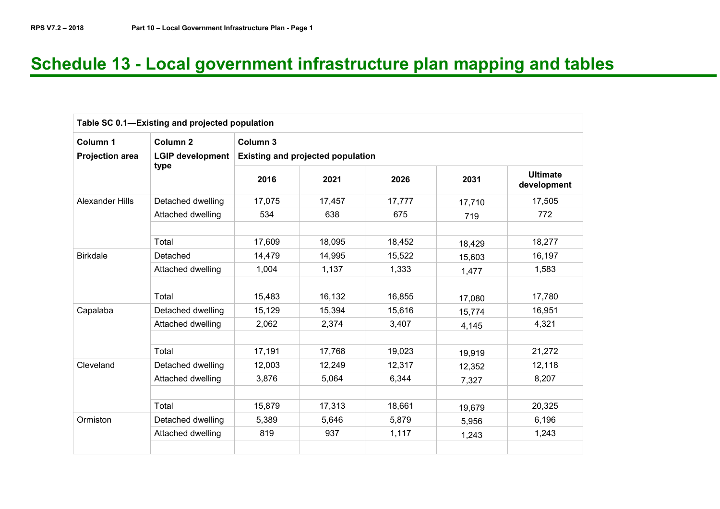# **Schedule 13 - Local government infrastructure plan mapping and tables**

|                        | Table SC 0.1-Existing and projected population |          |                                          |        |        |                                |  |  |  |  |  |
|------------------------|------------------------------------------------|----------|------------------------------------------|--------|--------|--------------------------------|--|--|--|--|--|
| Column 1               | Column <sub>2</sub>                            | Column 3 |                                          |        |        |                                |  |  |  |  |  |
| <b>Projection area</b> | LGIP development                               |          | <b>Existing and projected population</b> |        |        |                                |  |  |  |  |  |
|                        | type                                           | 2016     | 2021                                     | 2026   | 2031   | <b>Ultimate</b><br>development |  |  |  |  |  |
| <b>Alexander Hills</b> | Detached dwelling                              | 17,075   | 17,457                                   | 17,777 | 17,710 | 17,505                         |  |  |  |  |  |
|                        | Attached dwelling                              | 534      | 638                                      | 675    | 719    | 772                            |  |  |  |  |  |
|                        |                                                |          |                                          |        |        |                                |  |  |  |  |  |
|                        | Total                                          | 17,609   | 18,095                                   | 18,452 | 18,429 | 18,277                         |  |  |  |  |  |
| <b>Birkdale</b>        | Detached                                       | 14,479   | 14,995                                   | 15,522 | 15,603 | 16,197                         |  |  |  |  |  |
|                        | Attached dwelling                              | 1,004    | 1,137                                    | 1,333  | 1,477  | 1,583                          |  |  |  |  |  |
|                        |                                                |          |                                          |        |        |                                |  |  |  |  |  |
|                        | Total                                          | 15,483   | 16,132                                   | 16,855 | 17,080 | 17,780                         |  |  |  |  |  |
| Capalaba               | Detached dwelling                              | 15,129   | 15,394                                   | 15,616 | 15,774 | 16,951                         |  |  |  |  |  |
|                        | Attached dwelling                              | 2,062    | 2,374                                    | 3,407  | 4,145  | 4,321                          |  |  |  |  |  |
|                        |                                                |          |                                          |        |        |                                |  |  |  |  |  |
|                        | Total                                          | 17,191   | 17,768                                   | 19,023 | 19,919 | 21,272                         |  |  |  |  |  |
| Cleveland              | Detached dwelling                              | 12,003   | 12,249                                   | 12,317 | 12,352 | 12,118                         |  |  |  |  |  |
|                        | Attached dwelling                              | 3,876    | 5,064                                    | 6,344  | 7,327  | 8,207                          |  |  |  |  |  |
|                        |                                                |          |                                          |        |        |                                |  |  |  |  |  |
|                        | Total                                          | 15,879   | 17,313                                   | 18,661 | 19,679 | 20,325                         |  |  |  |  |  |
| Ormiston               | Detached dwelling                              | 5,389    | 5,646                                    | 5,879  | 5,956  | 6,196                          |  |  |  |  |  |
|                        | Attached dwelling                              | 819      | 937                                      | 1,117  | 1,243  | 1,243                          |  |  |  |  |  |
|                        |                                                |          |                                          |        |        |                                |  |  |  |  |  |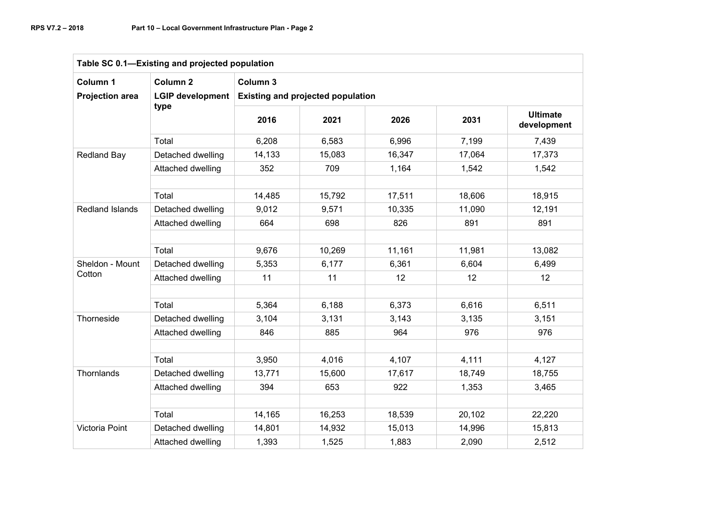| Table SC 0.1-Existing and projected population |                                                        |                                                      |        |        |        |                                |  |  |  |  |
|------------------------------------------------|--------------------------------------------------------|------------------------------------------------------|--------|--------|--------|--------------------------------|--|--|--|--|
| Column 1<br><b>Projection area</b>             | Column <sub>2</sub><br><b>LGIP development</b><br>type | Column 3<br><b>Existing and projected population</b> |        |        |        |                                |  |  |  |  |
|                                                |                                                        | 2016                                                 | 2021   | 2026   | 2031   | <b>Ultimate</b><br>development |  |  |  |  |
|                                                | Total                                                  | 6,208                                                | 6,583  | 6,996  | 7,199  | 7,439                          |  |  |  |  |
| <b>Redland Bay</b>                             | Detached dwelling                                      | 14,133                                               | 15,083 | 16,347 | 17,064 | 17,373                         |  |  |  |  |
|                                                | Attached dwelling                                      | 352                                                  | 709    | 1,164  | 1,542  | 1,542                          |  |  |  |  |
|                                                |                                                        |                                                      |        |        |        |                                |  |  |  |  |
|                                                | Total                                                  | 14,485                                               | 15,792 | 17,511 | 18,606 | 18,915                         |  |  |  |  |
| Redland Islands                                | Detached dwelling                                      | 9,012                                                | 9,571  | 10,335 | 11,090 | 12,191                         |  |  |  |  |
|                                                | Attached dwelling                                      | 664                                                  | 698    | 826    | 891    | 891                            |  |  |  |  |
|                                                |                                                        |                                                      |        |        |        |                                |  |  |  |  |
|                                                | Total                                                  | 9,676                                                | 10,269 | 11,161 | 11,981 | 13,082                         |  |  |  |  |
| Sheldon - Mount                                | Detached dwelling                                      | 5,353                                                | 6,177  | 6,361  | 6,604  | 6,499                          |  |  |  |  |
| Cotton                                         | Attached dwelling                                      | 11                                                   | 11     | 12     | 12     | 12 <sup>°</sup>                |  |  |  |  |
|                                                |                                                        |                                                      |        |        |        |                                |  |  |  |  |
|                                                | Total                                                  | 5,364                                                | 6,188  | 6,373  | 6,616  | 6,511                          |  |  |  |  |
| Thorneside                                     | Detached dwelling                                      | 3,104                                                | 3,131  | 3,143  | 3,135  | 3,151                          |  |  |  |  |
|                                                | Attached dwelling                                      | 846                                                  | 885    | 964    | 976    | 976                            |  |  |  |  |
|                                                |                                                        |                                                      |        |        |        |                                |  |  |  |  |
|                                                | Total                                                  | 3,950                                                | 4,016  | 4,107  | 4,111  | 4,127                          |  |  |  |  |
| Thornlands                                     | Detached dwelling                                      | 13,771                                               | 15,600 | 17,617 | 18,749 | 18,755                         |  |  |  |  |
|                                                | Attached dwelling                                      | 394                                                  | 653    | 922    | 1,353  | 3,465                          |  |  |  |  |
|                                                |                                                        |                                                      |        |        |        |                                |  |  |  |  |
|                                                | Total                                                  | 14,165                                               | 16,253 | 18,539 | 20,102 | 22,220                         |  |  |  |  |
| Victoria Point                                 | Detached dwelling                                      | 14,801                                               | 14,932 | 15,013 | 14,996 | 15,813                         |  |  |  |  |
|                                                | Attached dwelling                                      | 1,393                                                | 1,525  | 1,883  | 2,090  | 2,512                          |  |  |  |  |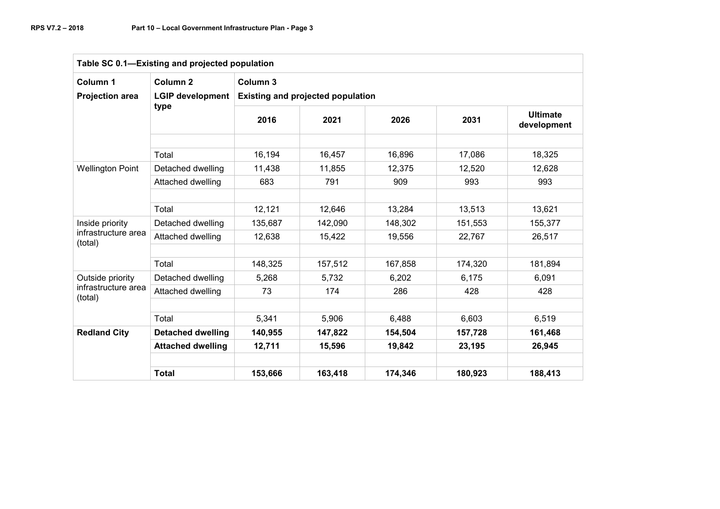| Table SC 0.1-Existing and projected population |                          |                                          |         |         |         |                                |  |  |  |  |  |
|------------------------------------------------|--------------------------|------------------------------------------|---------|---------|---------|--------------------------------|--|--|--|--|--|
| Column 1                                       | Column <sub>2</sub>      | Column 3                                 |         |         |         |                                |  |  |  |  |  |
| <b>Projection area</b>                         | <b>LGIP development</b>  | <b>Existing and projected population</b> |         |         |         |                                |  |  |  |  |  |
|                                                | type                     | 2016                                     | 2021    | 2026    | 2031    | <b>Ultimate</b><br>development |  |  |  |  |  |
|                                                | Total                    | 16,194                                   | 16,457  | 16,896  | 17,086  | 18,325                         |  |  |  |  |  |
| <b>Wellington Point</b>                        | Detached dwelling        | 11,438                                   | 11,855  | 12,375  | 12,520  | 12,628                         |  |  |  |  |  |
|                                                | Attached dwelling        | 683                                      | 791     | 909     | 993     | 993                            |  |  |  |  |  |
|                                                |                          |                                          |         |         |         |                                |  |  |  |  |  |
|                                                | Total                    | 12,121                                   | 12,646  | 13,284  | 13,513  | 13,621                         |  |  |  |  |  |
| Inside priority                                | Detached dwelling        | 135,687                                  | 142,090 | 148,302 | 151,553 | 155,377                        |  |  |  |  |  |
| infrastructure area<br>(total)                 | Attached dwelling        | 12,638                                   | 15,422  | 19,556  | 22,767  | 26,517                         |  |  |  |  |  |
|                                                |                          |                                          |         |         |         |                                |  |  |  |  |  |
|                                                | Total                    | 148,325                                  | 157,512 | 167,858 | 174,320 | 181,894                        |  |  |  |  |  |
| Outside priority                               | Detached dwelling        | 5,268                                    | 5,732   | 6,202   | 6,175   | 6,091                          |  |  |  |  |  |
| infrastructure area<br>(total)                 | Attached dwelling        | 73                                       | 174     | 286     | 428     | 428                            |  |  |  |  |  |
|                                                |                          |                                          |         |         |         |                                |  |  |  |  |  |
|                                                | Total                    | 5,341                                    | 5,906   | 6,488   | 6,603   | 6,519                          |  |  |  |  |  |
| <b>Redland City</b>                            | <b>Detached dwelling</b> | 140,955                                  | 147,822 | 154,504 | 157,728 | 161,468                        |  |  |  |  |  |
|                                                | <b>Attached dwelling</b> | 12,711                                   | 15,596  | 19,842  | 23,195  | 26,945                         |  |  |  |  |  |
|                                                |                          |                                          |         |         |         |                                |  |  |  |  |  |
|                                                | <b>Total</b>             | 153,666                                  | 163,418 | 174,346 | 180,923 | 188,413                        |  |  |  |  |  |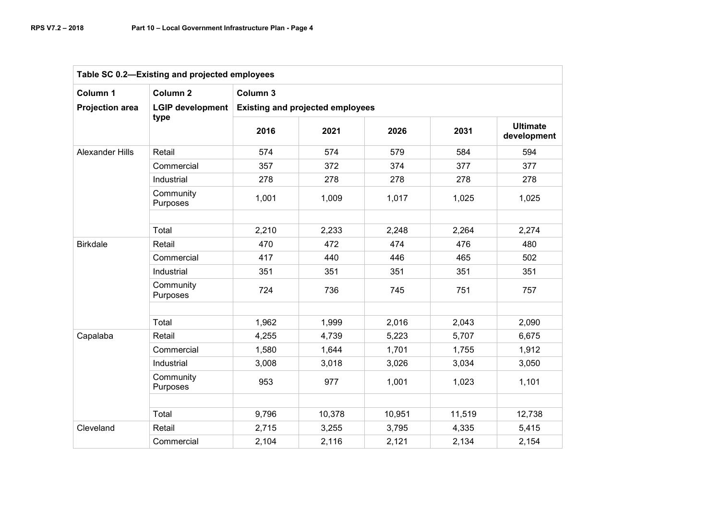| Table SC 0.2-Existing and projected employees |                         |          |                                         |        |        |                                |  |  |  |  |  |
|-----------------------------------------------|-------------------------|----------|-----------------------------------------|--------|--------|--------------------------------|--|--|--|--|--|
| Column 1                                      | Column <sub>2</sub>     | Column 3 |                                         |        |        |                                |  |  |  |  |  |
| <b>Projection area</b>                        | <b>LGIP development</b> |          | <b>Existing and projected employees</b> |        |        |                                |  |  |  |  |  |
|                                               | type                    | 2016     | 2021                                    | 2026   | 2031   | <b>Ultimate</b><br>development |  |  |  |  |  |
| <b>Alexander Hills</b>                        | Retail                  | 574      | 574                                     | 579    | 584    | 594                            |  |  |  |  |  |
|                                               | Commercial              | 357      | 372                                     | 374    | 377    | 377                            |  |  |  |  |  |
|                                               | Industrial              | 278      | 278                                     | 278    | 278    | 278                            |  |  |  |  |  |
|                                               | Community<br>Purposes   | 1,001    | 1,009                                   | 1,017  | 1,025  | 1,025                          |  |  |  |  |  |
|                                               | Total                   | 2,210    | 2,233                                   | 2,248  | 2,264  | 2,274                          |  |  |  |  |  |
| <b>Birkdale</b>                               | Retail                  | 470      | 472                                     | 474    | 476    | 480                            |  |  |  |  |  |
|                                               | Commercial              | 417      | 440                                     | 446    | 465    | 502                            |  |  |  |  |  |
|                                               | Industrial              | 351      | 351                                     | 351    | 351    | 351                            |  |  |  |  |  |
|                                               | Community<br>Purposes   | 724      | 736                                     | 745    | 751    | 757                            |  |  |  |  |  |
|                                               |                         |          |                                         |        |        |                                |  |  |  |  |  |
|                                               | Total                   | 1,962    | 1,999                                   | 2,016  | 2,043  | 2,090                          |  |  |  |  |  |
| Capalaba                                      | Retail                  | 4,255    | 4,739                                   | 5,223  | 5,707  | 6,675                          |  |  |  |  |  |
|                                               | Commercial              | 1,580    | 1,644                                   | 1,701  | 1,755  | 1,912                          |  |  |  |  |  |
|                                               | Industrial              | 3,008    | 3,018                                   | 3,026  | 3,034  | 3,050                          |  |  |  |  |  |
|                                               | Community<br>Purposes   | 953      | 977                                     | 1,001  | 1,023  | 1,101                          |  |  |  |  |  |
|                                               |                         |          |                                         |        |        |                                |  |  |  |  |  |
|                                               | Total                   | 9,796    | 10,378                                  | 10,951 | 11,519 | 12,738                         |  |  |  |  |  |
| Cleveland                                     | Retail                  | 2,715    | 3,255                                   | 3,795  | 4,335  | 5,415                          |  |  |  |  |  |
|                                               | Commercial              | 2,104    | 2,116                                   | 2,121  | 2,134  | 2,154                          |  |  |  |  |  |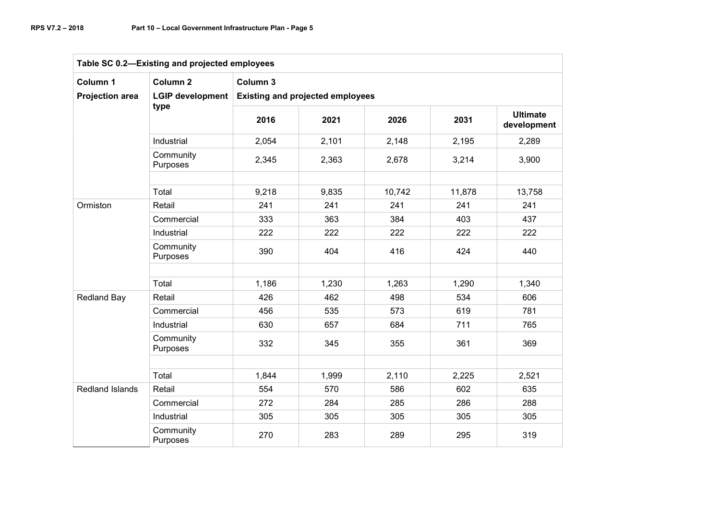| Table SC 0.2-Existing and projected employees |                         |          |                                         |        |        |                                |  |  |  |  |  |
|-----------------------------------------------|-------------------------|----------|-----------------------------------------|--------|--------|--------------------------------|--|--|--|--|--|
| Column 1                                      | Column <sub>2</sub>     | Column 3 |                                         |        |        |                                |  |  |  |  |  |
| <b>Projection area</b>                        | <b>LGIP development</b> |          | <b>Existing and projected employees</b> |        |        |                                |  |  |  |  |  |
|                                               | type                    | 2016     | 2021                                    | 2026   | 2031   | <b>Ultimate</b><br>development |  |  |  |  |  |
|                                               | Industrial              | 2,054    | 2,101                                   | 2,148  | 2,195  | 2,289                          |  |  |  |  |  |
|                                               | Community<br>Purposes   | 2,345    | 2,363                                   | 2,678  | 3,214  | 3,900                          |  |  |  |  |  |
|                                               | Total                   | 9,218    | 9,835                                   | 10,742 | 11,878 | 13,758                         |  |  |  |  |  |
| Ormiston                                      | Retail                  | 241      | 241                                     | 241    | 241    | 241                            |  |  |  |  |  |
|                                               | Commercial              | 333      | 363                                     | 384    | 403    | 437                            |  |  |  |  |  |
|                                               | Industrial              | 222      | 222                                     | 222    | 222    | 222                            |  |  |  |  |  |
|                                               | Community<br>Purposes   | 390      | 404                                     | 416    | 424    | 440                            |  |  |  |  |  |
|                                               | Total                   | 1,186    | 1,230                                   | 1,263  | 1,290  | 1,340                          |  |  |  |  |  |
| Redland Bay                                   | Retail                  | 426      | 462                                     | 498    | 534    | 606                            |  |  |  |  |  |
|                                               | Commercial              | 456      | 535                                     | 573    | 619    | 781                            |  |  |  |  |  |
|                                               | Industrial              | 630      | 657                                     | 684    | 711    | 765                            |  |  |  |  |  |
|                                               | Community<br>Purposes   | 332      | 345                                     | 355    | 361    | 369                            |  |  |  |  |  |
|                                               |                         |          |                                         |        |        |                                |  |  |  |  |  |
|                                               | Total                   | 1,844    | 1,999                                   | 2,110  | 2,225  | 2,521                          |  |  |  |  |  |
| Redland Islands                               | Retail                  | 554      | 570                                     | 586    | 602    | 635                            |  |  |  |  |  |
|                                               | Commercial              | 272      | 284                                     | 285    | 286    | 288                            |  |  |  |  |  |
|                                               | Industrial              | 305      | 305                                     | 305    | 305    | 305                            |  |  |  |  |  |
|                                               | Community<br>Purposes   | 270      | 283                                     | 289    | 295    | 319                            |  |  |  |  |  |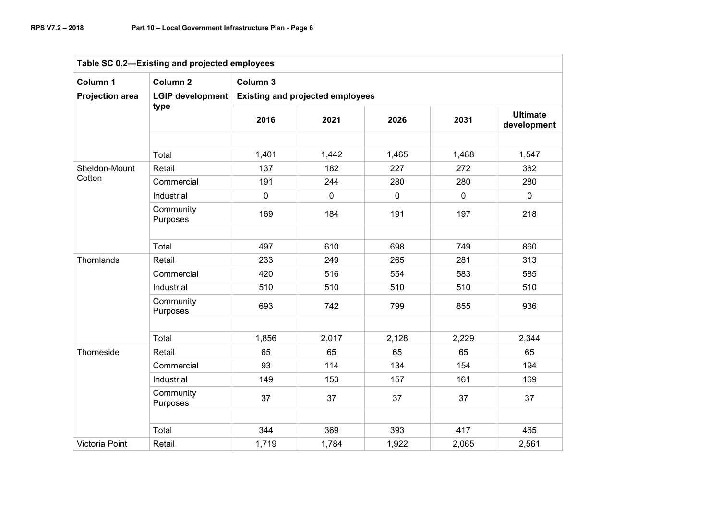| Table SC 0.2-Existing and projected employees |                         |                                         |             |             |             |                                |  |  |  |  |  |
|-----------------------------------------------|-------------------------|-----------------------------------------|-------------|-------------|-------------|--------------------------------|--|--|--|--|--|
| Column 1                                      | Column <sub>2</sub>     | Column <sub>3</sub>                     |             |             |             |                                |  |  |  |  |  |
| <b>Projection area</b>                        | <b>LGIP development</b> | <b>Existing and projected employees</b> |             |             |             |                                |  |  |  |  |  |
|                                               | type                    | 2016                                    | 2021        | 2026        | 2031        | <b>Ultimate</b><br>development |  |  |  |  |  |
|                                               |                         |                                         |             |             |             |                                |  |  |  |  |  |
|                                               | Total                   | 1,401                                   | 1,442       | 1,465       | 1,488       | 1,547                          |  |  |  |  |  |
| Sheldon-Mount                                 | Retail                  | 137                                     | 182         | 227         | 272         | 362                            |  |  |  |  |  |
| Cotton                                        | Commercial              | 191                                     | 244         | 280         | 280         | 280                            |  |  |  |  |  |
|                                               | Industrial              | $\mathbf 0$                             | $\mathbf 0$ | $\mathbf 0$ | $\mathbf 0$ | $\mathbf 0$                    |  |  |  |  |  |
|                                               | Community<br>Purposes   | 169                                     | 184         | 191         | 197         | 218                            |  |  |  |  |  |
|                                               |                         |                                         |             |             |             |                                |  |  |  |  |  |
|                                               | Total                   | 497                                     | 610         | 698         | 749         | 860                            |  |  |  |  |  |
| Thornlands                                    | Retail                  | 233                                     | 249         | 265         | 281         | 313                            |  |  |  |  |  |
|                                               | Commercial              | 420                                     | 516         | 554         | 583         | 585                            |  |  |  |  |  |
|                                               | Industrial              | 510                                     | 510         | 510         | 510         | 510                            |  |  |  |  |  |
|                                               | Community<br>Purposes   | 693                                     | 742         | 799         | 855         | 936                            |  |  |  |  |  |
|                                               |                         |                                         |             |             |             |                                |  |  |  |  |  |
|                                               | Total                   | 1,856                                   | 2,017       | 2,128       | 2,229       | 2,344                          |  |  |  |  |  |
| Thorneside                                    | Retail                  | 65                                      | 65          | 65          | 65          | 65                             |  |  |  |  |  |
|                                               | Commercial              | 93                                      | 114         | 134         | 154         | 194                            |  |  |  |  |  |
|                                               | Industrial              | 149                                     | 153         | 157         | 161         | 169                            |  |  |  |  |  |
|                                               | Community<br>Purposes   | 37                                      | 37          | 37          | 37          | 37                             |  |  |  |  |  |
|                                               |                         |                                         |             |             |             |                                |  |  |  |  |  |
|                                               | Total                   | 344                                     | 369         | 393         | 417         | 465                            |  |  |  |  |  |
| Victoria Point                                | Retail                  | 1,719                                   | 1,784       | 1,922       | 2,065       | 2,561                          |  |  |  |  |  |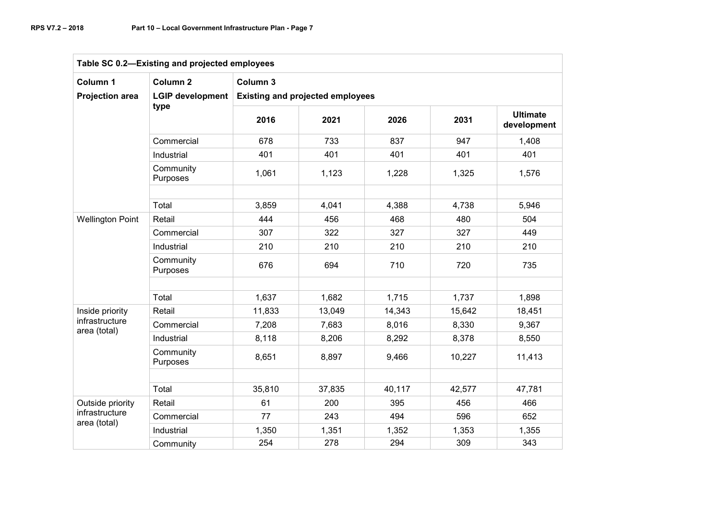| Table SC 0.2-Existing and projected employees |                         |          |                                         |        |        |                                |  |  |  |  |  |
|-----------------------------------------------|-------------------------|----------|-----------------------------------------|--------|--------|--------------------------------|--|--|--|--|--|
| Column 1                                      | Column <sub>2</sub>     | Column 3 |                                         |        |        |                                |  |  |  |  |  |
| <b>Projection area</b>                        | <b>LGIP development</b> |          | <b>Existing and projected employees</b> |        |        |                                |  |  |  |  |  |
|                                               | type                    | 2016     | 2021                                    | 2026   | 2031   | <b>Ultimate</b><br>development |  |  |  |  |  |
|                                               | Commercial              | 678      | 733                                     | 837    | 947    | 1,408                          |  |  |  |  |  |
|                                               | Industrial              | 401      | 401                                     | 401    | 401    | 401                            |  |  |  |  |  |
|                                               | Community<br>Purposes   | 1,061    | 1,123                                   | 1,228  | 1,325  | 1,576                          |  |  |  |  |  |
|                                               | Total                   | 3,859    | 4,041                                   | 4,388  | 4,738  | 5,946                          |  |  |  |  |  |
| <b>Wellington Point</b>                       | Retail                  | 444      | 456                                     | 468    | 480    | 504                            |  |  |  |  |  |
|                                               | Commercial              | 307      | 322                                     | 327    | 327    | 449                            |  |  |  |  |  |
|                                               | Industrial              | 210      | 210                                     | 210    | 210    | 210                            |  |  |  |  |  |
|                                               | Community<br>Purposes   | 676      | 694                                     | 710    | 720    | 735                            |  |  |  |  |  |
|                                               |                         |          |                                         |        |        |                                |  |  |  |  |  |
|                                               | Total                   | 1,637    | 1,682                                   | 1,715  | 1,737  | 1,898                          |  |  |  |  |  |
| Inside priority                               | Retail                  | 11,833   | 13,049                                  | 14,343 | 15,642 | 18,451                         |  |  |  |  |  |
| infrastructure<br>area (total)                | Commercial              | 7,208    | 7,683                                   | 8,016  | 8,330  | 9,367                          |  |  |  |  |  |
|                                               | Industrial              | 8,118    | 8,206                                   | 8,292  | 8,378  | 8,550                          |  |  |  |  |  |
|                                               | Community<br>Purposes   | 8,651    | 8,897                                   | 9,466  | 10,227 | 11,413                         |  |  |  |  |  |
|                                               |                         |          |                                         |        |        |                                |  |  |  |  |  |
|                                               | Total                   | 35,810   | 37,835                                  | 40,117 | 42,577 | 47,781                         |  |  |  |  |  |
| Outside priority                              | Retail                  | 61       | 200                                     | 395    | 456    | 466                            |  |  |  |  |  |
| infrastructure<br>area (total)                | Commercial              | 77       | 243                                     | 494    | 596    | 652                            |  |  |  |  |  |
|                                               | Industrial              | 1,350    | 1,351                                   | 1,352  | 1,353  | 1,355                          |  |  |  |  |  |
|                                               | Community               | 254      | 278                                     | 294    | 309    | 343                            |  |  |  |  |  |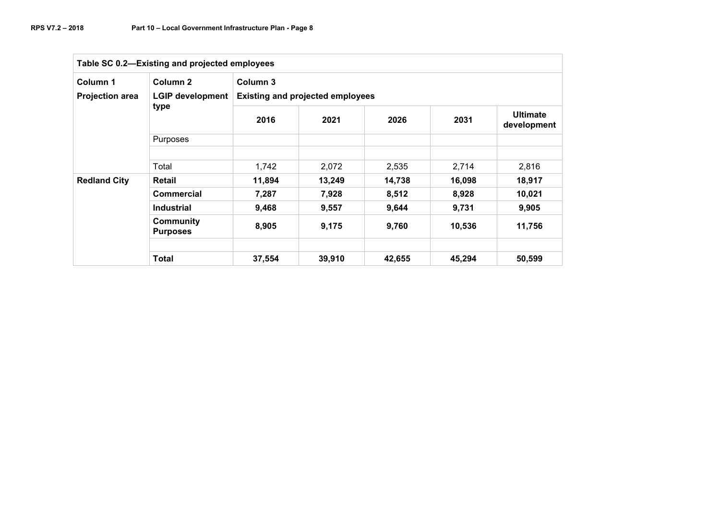| Table SC 0.2-Existing and projected employees |                                     |          |                                         |        |        |                                |  |  |  |  |  |
|-----------------------------------------------|-------------------------------------|----------|-----------------------------------------|--------|--------|--------------------------------|--|--|--|--|--|
| Column 1                                      | Column 2                            | Column 3 |                                         |        |        |                                |  |  |  |  |  |
| <b>Projection area</b>                        | <b>LGIP development</b>             |          | <b>Existing and projected employees</b> |        |        |                                |  |  |  |  |  |
|                                               | type                                | 2016     | 2021                                    | 2026   | 2031   | <b>Ultimate</b><br>development |  |  |  |  |  |
|                                               | <b>Purposes</b>                     |          |                                         |        |        |                                |  |  |  |  |  |
|                                               |                                     |          |                                         |        |        |                                |  |  |  |  |  |
|                                               | Total                               | 1.742    | 2,072                                   | 2,535  | 2,714  | 2,816                          |  |  |  |  |  |
| <b>Redland City</b>                           | Retail                              | 11,894   | 13,249                                  | 14,738 | 16,098 | 18,917                         |  |  |  |  |  |
|                                               | <b>Commercial</b>                   | 7,287    | 7,928                                   | 8,512  | 8,928  | 10,021                         |  |  |  |  |  |
|                                               | <b>Industrial</b>                   | 9,468    | 9,557                                   | 9,644  | 9,731  | 9,905                          |  |  |  |  |  |
|                                               | <b>Community</b><br><b>Purposes</b> | 8,905    | 9,175                                   | 9,760  | 10,536 | 11,756                         |  |  |  |  |  |
|                                               |                                     |          |                                         |        |        |                                |  |  |  |  |  |
|                                               | <b>Total</b>                        | 37,554   | 39,910                                  | 42,655 | 45,294 | 50,599                         |  |  |  |  |  |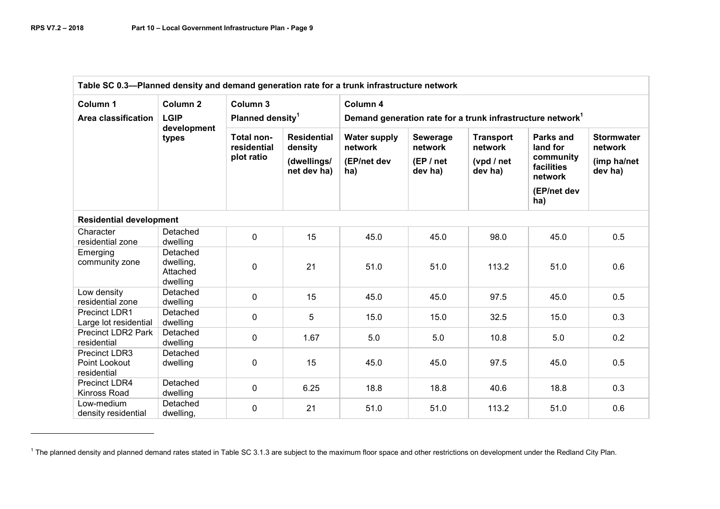| Table SC 0.3-Planned density and demand generation rate for a trunk infrastructure network |                                                            |                                                |                                                             |                                                                                    |                                              |                                                      |                                                                                   |                                                        |  |  |  |
|--------------------------------------------------------------------------------------------|------------------------------------------------------------|------------------------------------------------|-------------------------------------------------------------|------------------------------------------------------------------------------------|----------------------------------------------|------------------------------------------------------|-----------------------------------------------------------------------------------|--------------------------------------------------------|--|--|--|
| Column 1<br>Area classification                                                            | Column <sub>2</sub><br><b>LGIP</b><br>development<br>types | Column 3<br>Planned density <sup>1</sup>       |                                                             | Column 4<br>Demand generation rate for a trunk infrastructure network <sup>1</sup> |                                              |                                                      |                                                                                   |                                                        |  |  |  |
|                                                                                            |                                                            | <b>Total non-</b><br>residential<br>plot ratio | <b>Residential</b><br>density<br>(dwellings/<br>net dev ha) | <b>Water supply</b><br>network<br>(EP/net dev<br>ha)                               | Sewerage<br>network<br>(EP / net)<br>dev ha) | <b>Transport</b><br>network<br>(vpd / net<br>dev ha) | Parks and<br>land for<br>community<br>facilities<br>network<br>(EP/net dev<br>ha) | <b>Stormwater</b><br>network<br>(imp ha/net<br>dev ha) |  |  |  |
| <b>Residential development</b>                                                             |                                                            |                                                |                                                             |                                                                                    |                                              |                                                      |                                                                                   |                                                        |  |  |  |
| Character<br>residential zone                                                              | Detached<br>dwelling                                       | $\mathbf 0$                                    | 15                                                          | 45.0                                                                               | 45.0                                         | 98.0                                                 | 45.0                                                                              | 0.5                                                    |  |  |  |
| Emerging<br>community zone                                                                 | Detached<br>dwelling,<br>Attached<br>dwelling              | $\mathbf 0$                                    | 21                                                          | 51.0                                                                               | 51.0                                         | 113.2                                                | 51.0                                                                              | 0.6                                                    |  |  |  |
| Low density<br>residential zone                                                            | Detached<br>dwelling                                       | $\mathbf 0$                                    | 15                                                          | 45.0                                                                               | 45.0                                         | 97.5                                                 | 45.0                                                                              | 0.5                                                    |  |  |  |
| Precinct LDR1<br>Large lot residential                                                     | Detached<br>dwelling                                       | 0                                              | 5                                                           | 15.0                                                                               | 15.0                                         | 32.5                                                 | 15.0                                                                              | 0.3                                                    |  |  |  |
| Precinct LDR2 Park<br>residential                                                          | Detached<br>dwelling                                       | $\mathbf 0$                                    | 1.67                                                        | 5.0                                                                                | 5.0                                          | 10.8                                                 | 5.0                                                                               | 0.2                                                    |  |  |  |
| <b>Precinct LDR3</b><br>Point Lookout<br>residential                                       | Detached<br>dwelling                                       | $\mathbf 0$                                    | 15                                                          | 45.0                                                                               | 45.0                                         | 97.5                                                 | 45.0                                                                              | 0.5                                                    |  |  |  |
| Precinct LDR4<br>Kinross Road                                                              | Detached<br>dwelling                                       | $\mathbf 0$                                    | 6.25                                                        | 18.8                                                                               | 18.8                                         | 40.6                                                 | 18.8                                                                              | 0.3                                                    |  |  |  |
| Low-medium<br>density residential                                                          | Detached<br>dwelling,                                      | 0                                              | 21                                                          | 51.0                                                                               | 51.0                                         | 113.2                                                | 51.0                                                                              | 0.6                                                    |  |  |  |

 $1$  The planned density and planned demand rates stated in Table SC 3.1.3 are subject to the maximum floor space and other restrictions on development under the Redland City Plan.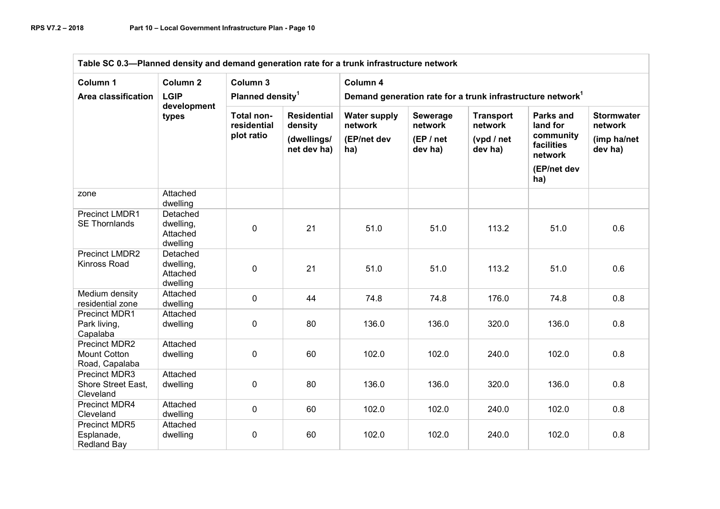| Table SC 0.3-Planned density and demand generation rate for a trunk infrastructure network |                                                   |                                                |                                                             |                                                                                    |                                             |                                                      |                                                                                   |                                                        |  |  |  |
|--------------------------------------------------------------------------------------------|---------------------------------------------------|------------------------------------------------|-------------------------------------------------------------|------------------------------------------------------------------------------------|---------------------------------------------|------------------------------------------------------|-----------------------------------------------------------------------------------|--------------------------------------------------------|--|--|--|
| Column 1<br><b>Area classification</b>                                                     | Column <sub>2</sub><br><b>LGIP</b><br>development | Column 3<br>Planned density <sup>1</sup>       |                                                             | Column 4<br>Demand generation rate for a trunk infrastructure network <sup>1</sup> |                                             |                                                      |                                                                                   |                                                        |  |  |  |
|                                                                                            | types                                             | <b>Total non-</b><br>residential<br>plot ratio | <b>Residential</b><br>density<br>(dwellings/<br>net dev ha) | <b>Water supply</b><br>network<br>(EP/net dev<br>ha)                               | Sewerage<br>network<br>(EP / net<br>dev ha) | <b>Transport</b><br>network<br>(vpd / net<br>dev ha) | Parks and<br>land for<br>community<br>facilities<br>network<br>(EP/net dev<br>ha) | <b>Stormwater</b><br>network<br>(imp ha/net<br>dev ha) |  |  |  |
| zone                                                                                       | Attached<br>dwelling                              |                                                |                                                             |                                                                                    |                                             |                                                      |                                                                                   |                                                        |  |  |  |
| Precinct LMDR1<br><b>SE Thornlands</b>                                                     | Detached<br>dwelling,<br>Attached<br>dwelling     | 0                                              | 21                                                          | 51.0                                                                               | 51.0                                        | 113.2                                                | 51.0                                                                              | 0.6                                                    |  |  |  |
| <b>Precinct LMDR2</b><br><b>Kinross Road</b>                                               | Detached<br>dwelling,<br>Attached<br>dwelling     | 0                                              | 21                                                          | 51.0                                                                               | 51.0                                        | 113.2                                                | 51.0                                                                              | 0.6                                                    |  |  |  |
| Medium density<br>residential zone                                                         | Attached<br>dwelling                              | 0                                              | 44                                                          | 74.8                                                                               | 74.8                                        | 176.0                                                | 74.8                                                                              | 0.8                                                    |  |  |  |
| Precinct MDR1<br>Park living,<br>Capalaba                                                  | Attached<br>dwelling                              | 0                                              | 80                                                          | 136.0                                                                              | 136.0                                       | 320.0                                                | 136.0                                                                             | 0.8                                                    |  |  |  |
| <b>Precinct MDR2</b><br><b>Mount Cotton</b><br>Road, Capalaba                              | Attached<br>dwelling                              | 0                                              | 60                                                          | 102.0                                                                              | 102.0                                       | 240.0                                                | 102.0                                                                             | 0.8                                                    |  |  |  |
| <b>Precinct MDR3</b><br>Shore Street East,<br>Cleveland                                    | Attached<br>dwelling                              | 0                                              | 80                                                          | 136.0                                                                              | 136.0                                       | 320.0                                                | 136.0                                                                             | 0.8                                                    |  |  |  |
| Precinct MDR4<br>Cleveland                                                                 | Attached<br>dwelling                              | 0                                              | 60                                                          | 102.0                                                                              | 102.0                                       | 240.0                                                | 102.0                                                                             | 0.8                                                    |  |  |  |
| Precinct MDR5<br>Esplanade,<br><b>Redland Bay</b>                                          | Attached<br>dwelling                              | 0                                              | 60                                                          | 102.0                                                                              | 102.0                                       | 240.0                                                | 102.0                                                                             | 0.8                                                    |  |  |  |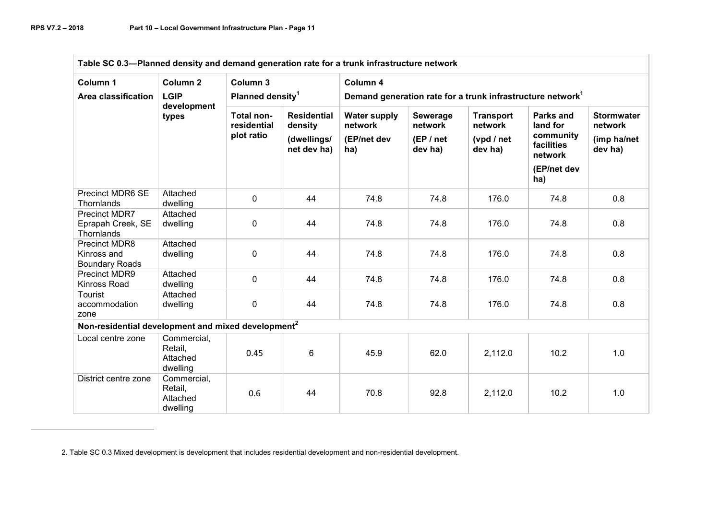| Table SC 0.3-Planned density and demand generation rate for a trunk infrastructure network |                                                            |                                          |                                                             |                                                                                    |                                             |                                                       |                                                                                   |                                                        |
|--------------------------------------------------------------------------------------------|------------------------------------------------------------|------------------------------------------|-------------------------------------------------------------|------------------------------------------------------------------------------------|---------------------------------------------|-------------------------------------------------------|-----------------------------------------------------------------------------------|--------------------------------------------------------|
| Column 1<br>Area classification                                                            | Column <sub>2</sub><br><b>LGIP</b><br>development<br>types | Column 3<br>Planned density <sup>1</sup> |                                                             | Column 4<br>Demand generation rate for a trunk infrastructure network <sup>1</sup> |                                             |                                                       |                                                                                   |                                                        |
|                                                                                            |                                                            | Total non-<br>residential<br>plot ratio  | <b>Residential</b><br>density<br>(dwellings/<br>net dev ha) | <b>Water supply</b><br>network<br>(EP/net dev<br>ha)                               | Sewerage<br>network<br>(EP / net<br>dev ha) | <b>Transport</b><br>network<br>(vpd / net)<br>dev ha) | Parks and<br>land for<br>community<br>facilities<br>network<br>(EP/net dev<br>ha) | <b>Stormwater</b><br>network<br>(imp ha/net<br>dev ha) |
| Precinct MDR6 SE<br>Thornlands                                                             | Attached<br>dwelling                                       | $\pmb{0}$                                | 44                                                          | 74.8                                                                               | 74.8                                        | 176.0                                                 | 74.8                                                                              | 0.8                                                    |
| <b>Precinct MDR7</b><br>Eprapah Creek, SE<br>Thornlands                                    | Attached<br>dwelling                                       | 0                                        | 44                                                          | 74.8                                                                               | 74.8                                        | 176.0                                                 | 74.8                                                                              | 0.8                                                    |
| <b>Precinct MDR8</b><br>Kinross and<br><b>Boundary Roads</b>                               | Attached<br>dwelling                                       | $\mathbf{0}$                             | 44                                                          | 74.8                                                                               | 74.8                                        | 176.0                                                 | 74.8                                                                              | 0.8                                                    |
| Precinct MDR9<br>Kinross Road                                                              | Attached<br>dwelling                                       | 0                                        | 44                                                          | 74.8                                                                               | 74.8                                        | 176.0                                                 | 74.8                                                                              | 0.8                                                    |
| Tourist<br>accommodation<br>zone                                                           | Attached<br>dwelling                                       | 0                                        | 44                                                          | 74.8                                                                               | 74.8                                        | 176.0                                                 | 74.8                                                                              | 0.8                                                    |
| Non-residential development and mixed development <sup>2</sup>                             |                                                            |                                          |                                                             |                                                                                    |                                             |                                                       |                                                                                   |                                                        |
| Local centre zone                                                                          | Commercial,<br>Retail,<br>Attached<br>dwelling             | 0.45                                     | 6                                                           | 45.9                                                                               | 62.0                                        | 2,112.0                                               | 10.2                                                                              | 1.0                                                    |
| District centre zone                                                                       | Commercial,<br>Retail,<br>Attached<br>dwelling             | 0.6                                      | 44                                                          | 70.8                                                                               | 92.8                                        | 2,112.0                                               | 10.2                                                                              | 1.0                                                    |

2. Table SC 0.3 Mixed development is development that includes residential development and non-residential development.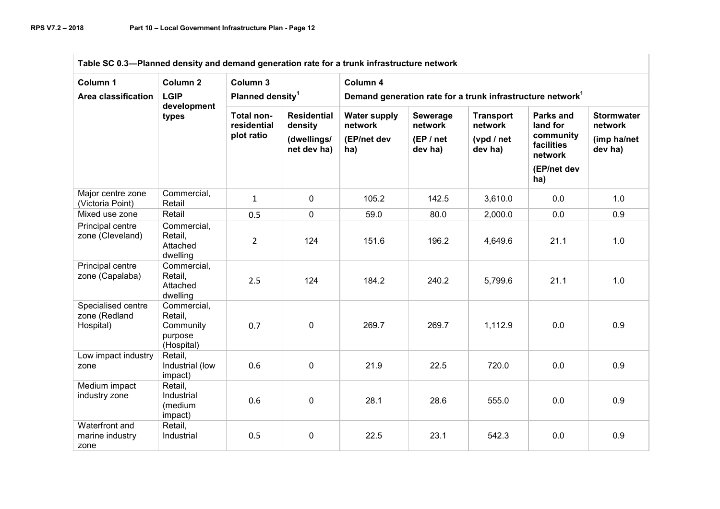| Table SC 0.3-Planned density and demand generation rate for a trunk infrastructure network |                                                              |                                          |                                                             |                                                                                    |                                             |                                                      |                                                                                   |                                                        |  |  |
|--------------------------------------------------------------------------------------------|--------------------------------------------------------------|------------------------------------------|-------------------------------------------------------------|------------------------------------------------------------------------------------|---------------------------------------------|------------------------------------------------------|-----------------------------------------------------------------------------------|--------------------------------------------------------|--|--|
| Column 1<br>Area classification                                                            | Column <sub>2</sub><br><b>LGIP</b><br>development<br>types   | Column 3<br>Planned density <sup>1</sup> |                                                             | Column 4<br>Demand generation rate for a trunk infrastructure network <sup>1</sup> |                                             |                                                      |                                                                                   |                                                        |  |  |
|                                                                                            |                                                              | Total non-<br>residential<br>plot ratio  | <b>Residential</b><br>density<br>(dwellings/<br>net dev ha) | <b>Water supply</b><br>network<br>(EP/net dev<br>ha)                               | Sewerage<br>network<br>(EP / net<br>dev ha) | <b>Transport</b><br>network<br>(vpd / net<br>dev ha) | Parks and<br>land for<br>community<br>facilities<br>network<br>(EP/net dev<br>ha) | <b>Stormwater</b><br>network<br>(imp ha/net<br>dev ha) |  |  |
| Major centre zone<br>(Victoria Point)                                                      | Commercial,<br>Retail                                        | $\mathbf{1}$                             | $\mathbf 0$                                                 | 105.2                                                                              | 142.5                                       | 3,610.0                                              | 0.0                                                                               | 1.0                                                    |  |  |
| Mixed use zone                                                                             | Retail                                                       | 0.5                                      | 0                                                           | 59.0                                                                               | 80.0                                        | 2,000.0                                              | 0.0                                                                               | 0.9                                                    |  |  |
| Principal centre<br>zone (Cleveland)                                                       | Commercial,<br>Retail,<br>Attached<br>dwelling               | $\overline{2}$                           | 124                                                         | 151.6                                                                              | 196.2                                       | 4,649.6                                              | 21.1                                                                              | 1.0                                                    |  |  |
| Principal centre<br>zone (Capalaba)                                                        | Commercial,<br>Retail,<br>Attached<br>dwelling               | 2.5                                      | 124                                                         | 184.2                                                                              | 240.2                                       | 5,799.6                                              | 21.1                                                                              | 1.0                                                    |  |  |
| Specialised centre<br>zone (Redland<br>Hospital)                                           | Commercial,<br>Retail,<br>Community<br>purpose<br>(Hospital) | 0.7                                      | $\mathbf 0$                                                 | 269.7                                                                              | 269.7                                       | 1,112.9                                              | 0.0                                                                               | 0.9                                                    |  |  |
| Low impact industry<br>zone                                                                | Retail,<br>Industrial (low<br>impact)                        | 0.6                                      | 0                                                           | 21.9                                                                               | 22.5                                        | 720.0                                                | 0.0                                                                               | 0.9                                                    |  |  |
| Medium impact<br>industry zone                                                             | Retail,<br>Industrial<br>(medium<br>impact)                  | 0.6                                      | 0                                                           | 28.1                                                                               | 28.6                                        | 555.0                                                | 0.0                                                                               | 0.9                                                    |  |  |
| Waterfront and<br>marine industry<br>zone                                                  | Retail,<br>Industrial                                        | 0.5                                      | 0                                                           | 22.5                                                                               | 23.1                                        | 542.3                                                | 0.0                                                                               | 0.9                                                    |  |  |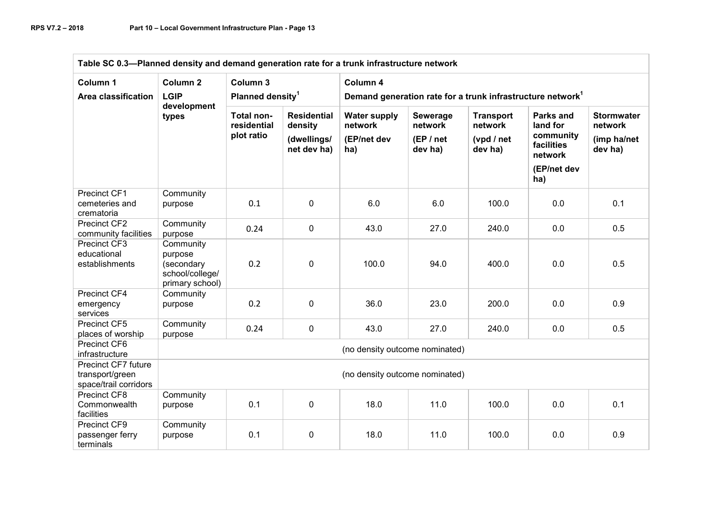| Table SC 0.3-Planned density and demand generation rate for a trunk infrastructure network |                                                                          |                                                |                                                             |                                                                                    |                                             |                                                      |                                                                                          |                                                        |
|--------------------------------------------------------------------------------------------|--------------------------------------------------------------------------|------------------------------------------------|-------------------------------------------------------------|------------------------------------------------------------------------------------|---------------------------------------------|------------------------------------------------------|------------------------------------------------------------------------------------------|--------------------------------------------------------|
| Column 1<br>Area classification                                                            | Column <sub>2</sub><br><b>LGIP</b>                                       | Column 3<br>Planned density <sup>1</sup>       |                                                             | Column 4<br>Demand generation rate for a trunk infrastructure network <sup>1</sup> |                                             |                                                      |                                                                                          |                                                        |
|                                                                                            | development<br>types                                                     | <b>Total non-</b><br>residential<br>plot ratio | <b>Residential</b><br>density<br>(dwellings/<br>net dev ha) | <b>Water supply</b><br>network<br>(EP/net dev<br>ha)                               | Sewerage<br>network<br>(EP / net<br>dev ha) | <b>Transport</b><br>network<br>(vpd / net<br>dev ha) | <b>Parks and</b><br>land for<br>community<br>facilities<br>network<br>(EP/net dev<br>ha) | <b>Stormwater</b><br>network<br>(imp ha/net<br>dev ha) |
| Precinct CF1<br>cemeteries and<br>crematoria                                               | Community<br>purpose                                                     | 0.1                                            | $\mathbf{0}$                                                | 6.0                                                                                | 6.0                                         | 100.0                                                | 0.0                                                                                      | 0.1                                                    |
| Precinct CF2<br>community facilities                                                       | Community<br>purpose                                                     | 0.24                                           | 0                                                           | 43.0                                                                               | 27.0                                        | 240.0                                                | 0.0                                                                                      | 0.5                                                    |
| Precinct CF3<br>educational<br>establishments                                              | Community<br>purpose<br>(secondary<br>school/college/<br>primary school) | 0.2                                            | 0                                                           | 100.0                                                                              | 94.0                                        | 400.0                                                | 0.0                                                                                      | 0.5                                                    |
| Precinct CF4<br>emergency<br>services                                                      | Community<br>purpose                                                     | 0.2                                            | 0                                                           | 36.0                                                                               | 23.0                                        | 200.0                                                | 0.0                                                                                      | 0.9                                                    |
| Precinct CF5<br>places of worship                                                          | Community<br>purpose                                                     | 0.24                                           | 0                                                           | 43.0                                                                               | 27.0                                        | 240.0                                                | 0.0                                                                                      | 0.5                                                    |
| Precinct CF6<br>infrastructure                                                             |                                                                          |                                                |                                                             | (no density outcome nominated)                                                     |                                             |                                                      |                                                                                          |                                                        |
| Precinct CF7 future<br>transport/green<br>space/trail corridors                            |                                                                          | (no density outcome nominated)                 |                                                             |                                                                                    |                                             |                                                      |                                                                                          |                                                        |
| <b>Precinct CF8</b><br>Commonwealth<br>facilities                                          | Community<br>purpose                                                     | 0.1                                            | 0                                                           | 18.0                                                                               | 11.0                                        | 100.0                                                | 0.0                                                                                      | 0.1                                                    |
| <b>Precinct CF9</b><br>passenger ferry<br>terminals                                        | Community<br>purpose                                                     | 0.1                                            | 0                                                           | 18.0                                                                               | 11.0                                        | 100.0                                                | 0.0                                                                                      | 0.9                                                    |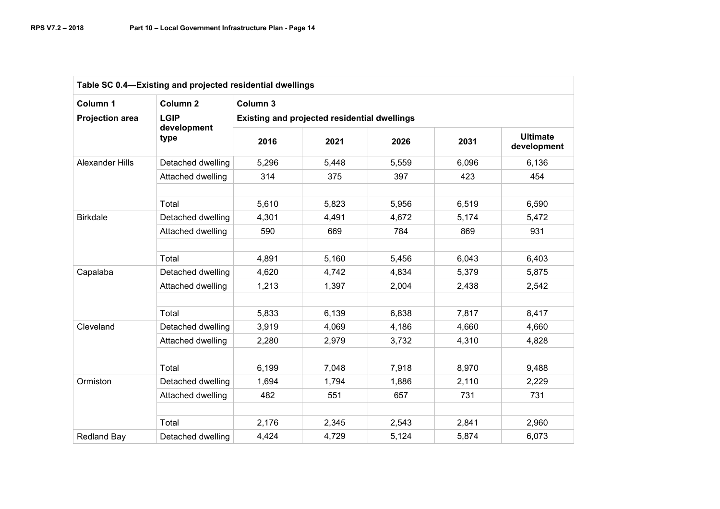| Table SC 0.4-Existing and projected residential dwellings |                     |          |                                              |       |       |                                |  |  |  |  |
|-----------------------------------------------------------|---------------------|----------|----------------------------------------------|-------|-------|--------------------------------|--|--|--|--|
| Column 1                                                  | Column <sub>2</sub> | Column 3 |                                              |       |       |                                |  |  |  |  |
| <b>Projection area</b>                                    | <b>LGIP</b>         |          | Existing and projected residential dwellings |       |       |                                |  |  |  |  |
|                                                           | development<br>type | 2016     | 2021                                         | 2026  | 2031  | <b>Ultimate</b><br>development |  |  |  |  |
| <b>Alexander Hills</b>                                    | Detached dwelling   | 5,296    | 5,448                                        | 5,559 | 6,096 | 6,136                          |  |  |  |  |
|                                                           | Attached dwelling   | 314      | 375                                          | 397   | 423   | 454                            |  |  |  |  |
|                                                           | Total               | 5,610    | 5,823                                        | 5,956 | 6,519 | 6,590                          |  |  |  |  |
| <b>Birkdale</b>                                           | Detached dwelling   | 4,301    | 4,491                                        | 4,672 | 5,174 | 5,472                          |  |  |  |  |
|                                                           | Attached dwelling   | 590      | 669                                          | 784   | 869   | 931                            |  |  |  |  |
|                                                           | Total               | 4,891    | 5,160                                        | 5,456 | 6,043 | 6,403                          |  |  |  |  |
| Capalaba                                                  | Detached dwelling   | 4,620    | 4,742                                        | 4,834 | 5,379 | 5,875                          |  |  |  |  |
|                                                           | Attached dwelling   | 1,213    | 1,397                                        | 2,004 | 2,438 | 2,542                          |  |  |  |  |
|                                                           |                     |          |                                              |       |       |                                |  |  |  |  |
|                                                           | Total               | 5,833    | 6,139                                        | 6,838 | 7,817 | 8,417                          |  |  |  |  |
| Cleveland                                                 | Detached dwelling   | 3,919    | 4,069                                        | 4,186 | 4,660 | 4,660                          |  |  |  |  |
|                                                           | Attached dwelling   | 2,280    | 2,979                                        | 3,732 | 4,310 | 4,828                          |  |  |  |  |
|                                                           |                     |          |                                              |       |       |                                |  |  |  |  |
|                                                           | Total               | 6,199    | 7,048                                        | 7,918 | 8,970 | 9,488                          |  |  |  |  |
| Ormiston                                                  | Detached dwelling   | 1,694    | 1,794                                        | 1,886 | 2,110 | 2,229                          |  |  |  |  |
|                                                           | Attached dwelling   | 482      | 551                                          | 657   | 731   | 731                            |  |  |  |  |
|                                                           |                     |          |                                              |       |       |                                |  |  |  |  |
|                                                           | Total               | 2,176    | 2,345                                        | 2,543 | 2,841 | 2,960                          |  |  |  |  |
| <b>Redland Bay</b>                                        | Detached dwelling   | 4,424    | 4,729                                        | 5,124 | 5,874 | 6,073                          |  |  |  |  |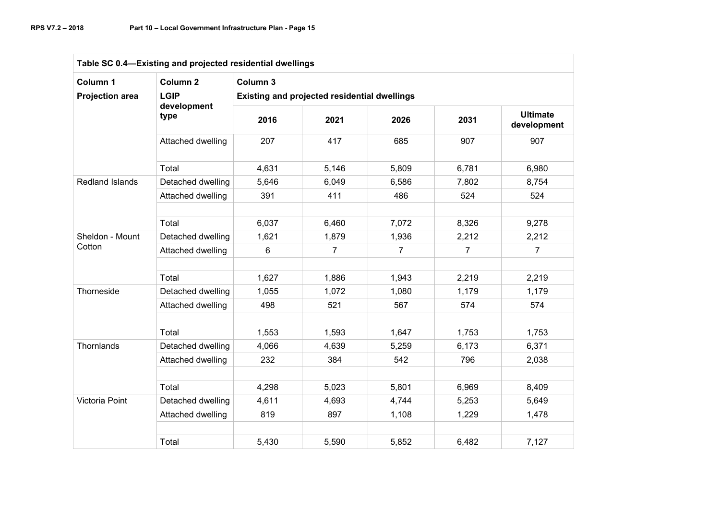| Table SC 0.4-Existing and projected residential dwellings |                     |          |                                              |                |                |                                |
|-----------------------------------------------------------|---------------------|----------|----------------------------------------------|----------------|----------------|--------------------------------|
| Column 1                                                  | Column <sub>2</sub> | Column 3 |                                              |                |                |                                |
| <b>Projection area</b>                                    | <b>LGIP</b>         |          | Existing and projected residential dwellings |                |                |                                |
|                                                           | development<br>type | 2016     | 2021                                         | 2026           | 2031           | <b>Ultimate</b><br>development |
|                                                           | Attached dwelling   | 207      | 417                                          | 685            | 907            | 907                            |
|                                                           | Total               | 4,631    | 5,146                                        | 5,809          | 6,781          | 6,980                          |
| <b>Redland Islands</b>                                    | Detached dwelling   | 5,646    | 6,049                                        | 6,586          | 7,802          | 8,754                          |
|                                                           | Attached dwelling   | 391      | 411                                          | 486            | 524            | 524                            |
|                                                           | Total               | 6,037    | 6,460                                        | 7,072          | 8,326          | 9,278                          |
| Sheldon - Mount<br>Cotton                                 | Detached dwelling   | 1,621    | 1,879                                        | 1,936          | 2,212          | 2,212                          |
|                                                           | Attached dwelling   | 6        | 7                                            | $\overline{7}$ | $\overline{7}$ | $\overline{7}$                 |
|                                                           | Total               | 1,627    | 1,886                                        | 1,943          | 2,219          | 2,219                          |
| Thorneside                                                | Detached dwelling   | 1,055    | 1,072                                        | 1,080          | 1,179          | 1,179                          |
|                                                           | Attached dwelling   | 498      | 521                                          | 567            | 574            | 574                            |
|                                                           | Total               | 1,553    | 1,593                                        | 1,647          | 1,753          | 1,753                          |
| Thornlands                                                | Detached dwelling   | 4,066    | 4,639                                        | 5,259          | 6,173          | 6,371                          |
|                                                           | Attached dwelling   | 232      | 384                                          | 542            | 796            | 2,038                          |
|                                                           | Total               | 4,298    | 5,023                                        | 5,801          | 6,969          | 8,409                          |
| Victoria Point                                            | Detached dwelling   | 4,611    | 4,693                                        | 4,744          | 5,253          | 5,649                          |
|                                                           | Attached dwelling   | 819      | 897                                          | 1,108          | 1,229          | 1,478                          |
|                                                           | Total               | 5,430    | 5,590                                        | 5,852          | 6,482          | 7,127                          |
|                                                           |                     |          |                                              |                |                |                                |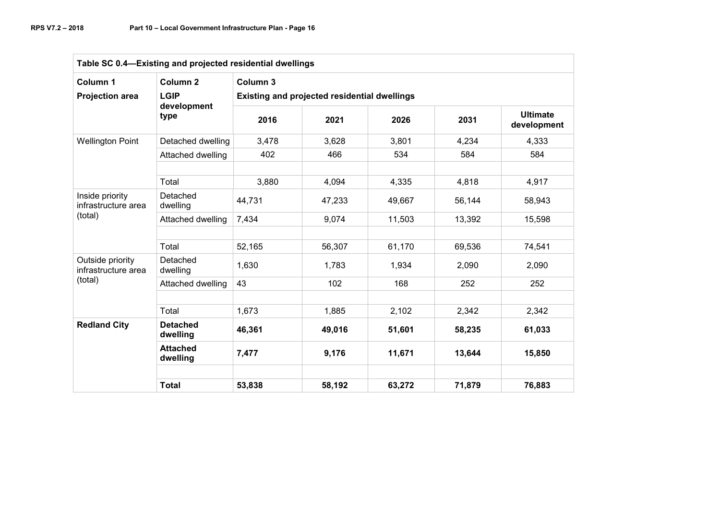| Table SC 0.4-Existing and projected residential dwellings |                             |                                              |        |        |        |                                |  |  |
|-----------------------------------------------------------|-----------------------------|----------------------------------------------|--------|--------|--------|--------------------------------|--|--|
| Column 1                                                  | Column <sub>2</sub>         | Column <sub>3</sub>                          |        |        |        |                                |  |  |
| <b>Projection area</b>                                    | <b>LGIP</b>                 | Existing and projected residential dwellings |        |        |        |                                |  |  |
|                                                           | development<br>type         | 2016                                         | 2021   | 2026   | 2031   | <b>Ultimate</b><br>development |  |  |
| <b>Wellington Point</b>                                   | Detached dwelling           | 3,478                                        | 3,628  | 3,801  | 4,234  | 4,333                          |  |  |
|                                                           | Attached dwelling           | 402                                          | 466    | 534    | 584    | 584                            |  |  |
|                                                           | Total                       | 3,880                                        | 4,094  | 4,335  | 4,818  | 4,917                          |  |  |
| Inside priority<br>infrastructure area<br>(total)         | Detached<br>dwelling        | 44,731                                       | 47,233 | 49,667 | 56,144 | 58,943                         |  |  |
|                                                           | Attached dwelling           | 7,434                                        | 9,074  | 11,503 | 13,392 | 15,598                         |  |  |
|                                                           | Total                       | 52,165                                       | 56,307 | 61,170 | 69,536 | 74,541                         |  |  |
| Outside priority<br>infrastructure area                   | Detached<br>dwelling        | 1,630                                        | 1,783  | 1,934  | 2,090  | 2,090                          |  |  |
| (total)                                                   | Attached dwelling           | 43                                           | 102    | 168    | 252    | 252                            |  |  |
|                                                           | Total                       | 1,673                                        | 1,885  | 2,102  | 2,342  | 2,342                          |  |  |
| <b>Redland City</b>                                       | <b>Detached</b><br>dwelling | 46,361                                       | 49,016 | 51,601 | 58,235 | 61,033                         |  |  |
|                                                           | <b>Attached</b><br>dwelling | 7,477                                        | 9,176  | 11,671 | 13,644 | 15,850                         |  |  |
|                                                           | <b>Total</b>                | 53,838                                       | 58,192 | 63,272 | 71,879 | 76,883                         |  |  |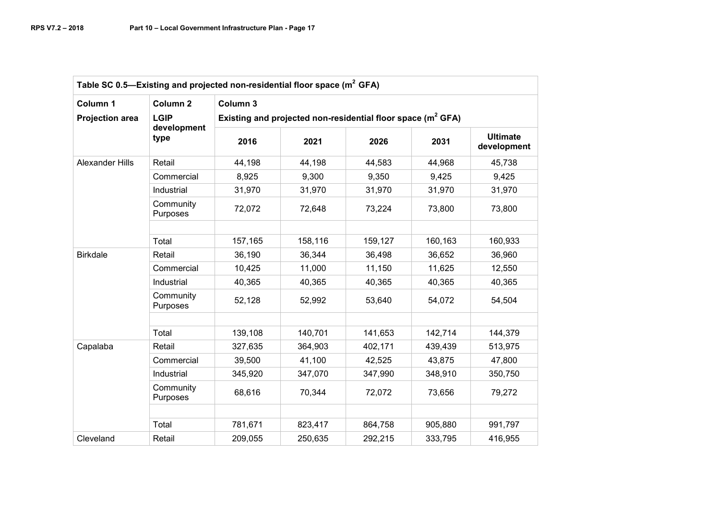| Column 1               | Column <sub>2</sub>   | Column 3                                                       |         |         |         |                                |  |  |
|------------------------|-----------------------|----------------------------------------------------------------|---------|---------|---------|--------------------------------|--|--|
| <b>Projection area</b> | <b>LGIP</b>           | Existing and projected non-residential floor space $(m^2 GFA)$ |         |         |         |                                |  |  |
|                        | development<br>type   | 2016                                                           | 2021    | 2026    | 2031    | <b>Ultimate</b><br>development |  |  |
| <b>Alexander Hills</b> | Retail                | 44,198                                                         | 44,198  | 44,583  | 44,968  | 45,738                         |  |  |
|                        | Commercial            | 8,925                                                          | 9,300   | 9,350   | 9,425   | 9,425                          |  |  |
|                        | Industrial            | 31,970                                                         | 31,970  | 31,970  | 31,970  | 31,970                         |  |  |
|                        | Community<br>Purposes | 72,072                                                         | 72,648  | 73,224  | 73,800  | 73,800                         |  |  |
|                        | Total                 | 157,165                                                        | 158,116 | 159,127 | 160,163 | 160,933                        |  |  |
| <b>Birkdale</b>        | Retail                | 36,190                                                         | 36,344  | 36,498  | 36,652  | 36,960                         |  |  |
|                        | Commercial            | 10,425                                                         | 11,000  | 11,150  | 11,625  | 12,550                         |  |  |
|                        | Industrial            | 40,365                                                         | 40,365  | 40,365  | 40,365  | 40,365                         |  |  |
|                        | Community<br>Purposes | 52,128                                                         | 52,992  | 53,640  | 54,072  | 54,504                         |  |  |
|                        | Total                 | 139,108                                                        | 140,701 | 141,653 | 142,714 | 144,379                        |  |  |
| Capalaba               | Retail                | 327,635                                                        | 364,903 | 402,171 | 439,439 | 513,975                        |  |  |
|                        | Commercial            | 39,500                                                         | 41,100  | 42,525  | 43,875  | 47,800                         |  |  |
|                        | Industrial            | 345,920                                                        | 347,070 | 347,990 | 348,910 | 350,750                        |  |  |
|                        | Community<br>Purposes | 68,616                                                         | 70,344  | 72,072  | 73,656  | 79,272                         |  |  |
|                        |                       |                                                                |         |         |         |                                |  |  |
|                        | Total                 | 781,671                                                        | 823,417 | 864,758 | 905,880 | 991,797                        |  |  |
| Cleveland              | Retail                | 209,055                                                        | 250,635 | 292,215 | 333,795 | 416,955                        |  |  |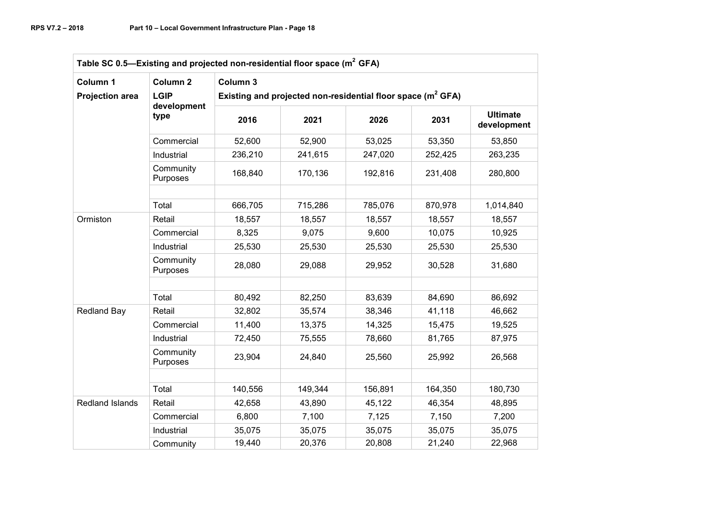| Column 1               | Column <sub>2</sub>   | Column 3 |                                                                 |         |         |                                                                                                                                         |  |  |
|------------------------|-----------------------|----------|-----------------------------------------------------------------|---------|---------|-----------------------------------------------------------------------------------------------------------------------------------------|--|--|
| <b>Projection area</b> | <b>LGIP</b>           |          | Existing and projected non-residential floor space ( $m^2$ GFA) |         |         |                                                                                                                                         |  |  |
|                        | development<br>type   | 2016     | 2021                                                            | 2026    | 2031    | <b>Ultimate</b><br>development<br>53,850<br>263,235<br>280,800<br>1,014,840<br>18,557<br>10,925<br>25,530<br>31,680<br>86,692<br>46,662 |  |  |
|                        | Commercial            | 52,600   | 52,900                                                          | 53,025  | 53,350  |                                                                                                                                         |  |  |
|                        | Industrial            | 236,210  | 241,615                                                         | 247,020 | 252,425 |                                                                                                                                         |  |  |
|                        | Community<br>Purposes | 168,840  | 170,136                                                         | 192,816 | 231,408 |                                                                                                                                         |  |  |
|                        | Total                 | 666,705  | 715,286                                                         | 785,076 | 870,978 |                                                                                                                                         |  |  |
| Ormiston               | Retail                | 18,557   | 18,557                                                          | 18,557  | 18,557  |                                                                                                                                         |  |  |
|                        | Commercial            | 8,325    | 9,075                                                           | 9,600   | 10,075  |                                                                                                                                         |  |  |
|                        | Industrial            | 25,530   | 25,530                                                          | 25,530  | 25,530  |                                                                                                                                         |  |  |
|                        | Community<br>Purposes | 28,080   | 29,088                                                          | 29,952  | 30,528  |                                                                                                                                         |  |  |
|                        |                       |          |                                                                 |         |         |                                                                                                                                         |  |  |
|                        | Total                 | 80,492   | 82,250                                                          | 83,639  | 84,690  |                                                                                                                                         |  |  |
| <b>Redland Bay</b>     | Retail                | 32,802   | 35,574                                                          | 38,346  | 41,118  |                                                                                                                                         |  |  |
|                        | Commercial            | 11,400   | 13,375                                                          | 14,325  | 15,475  | 19,525                                                                                                                                  |  |  |
|                        | Industrial            | 72,450   | 75,555                                                          | 78,660  | 81,765  | 87,975                                                                                                                                  |  |  |
|                        | Community<br>Purposes | 23,904   | 24,840                                                          | 25,560  | 25,992  | 26,568                                                                                                                                  |  |  |
|                        |                       |          |                                                                 |         |         |                                                                                                                                         |  |  |
|                        | Total                 | 140,556  | 149,344                                                         | 156,891 | 164,350 | 180,730                                                                                                                                 |  |  |
| Redland Islands        | Retail                | 42,658   | 43,890                                                          | 45,122  | 46,354  | 48,895                                                                                                                                  |  |  |
|                        | Commercial            | 6,800    | 7,100                                                           | 7,125   | 7,150   | 7,200                                                                                                                                   |  |  |
|                        | Industrial            | 35,075   | 35,075                                                          | 35,075  | 35,075  | 35,075                                                                                                                                  |  |  |
|                        | Community             | 19,440   | 20,376                                                          | 20,808  | 21,240  | 22,968                                                                                                                                  |  |  |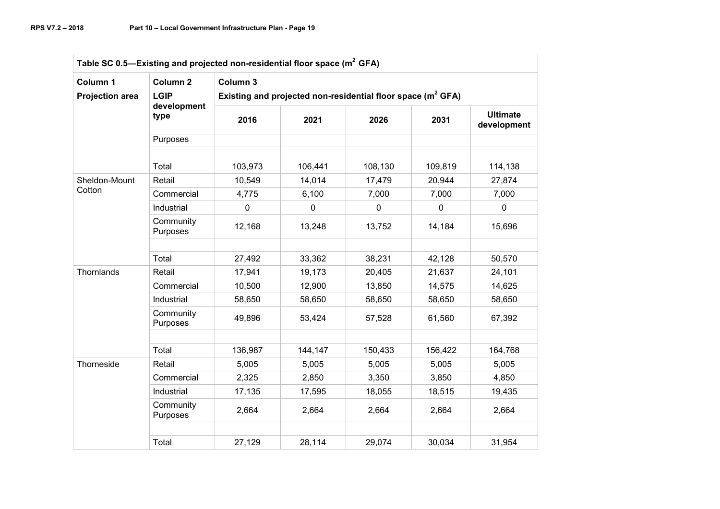| Column 1               | Column <sub>2</sub>   | Column 3                                                       |             |             |          |                                |  |  |
|------------------------|-----------------------|----------------------------------------------------------------|-------------|-------------|----------|--------------------------------|--|--|
| <b>Projection area</b> | <b>LGIP</b>           | Existing and projected non-residential floor space $(m^2 GFA)$ |             |             |          |                                |  |  |
|                        | development<br>type   | 2016                                                           | 2021        | 2026        | 2031     | <b>Ultimate</b><br>development |  |  |
|                        | Purposes              |                                                                |             |             |          |                                |  |  |
|                        | Total                 | 103,973                                                        | 106,441     | 108,130     | 109,819  | 114,138                        |  |  |
| Sheldon-Mount          | Retail                | 10,549                                                         | 14,014      | 17,479      | 20,944   | 27,874                         |  |  |
| Cotton                 | Commercial            | 4,775                                                          | 6,100       | 7,000       | 7,000    | 7,000                          |  |  |
|                        | Industrial            | $\mathbf 0$                                                    | $\mathbf 0$ | $\mathbf 0$ | $\Omega$ | $\mathbf 0$                    |  |  |
|                        | Community<br>Purposes | 12,168                                                         | 13,248      | 13,752      | 14,184   | 15,696                         |  |  |
|                        | Total                 | 27,492                                                         | 33,362      | 38,231      | 42,128   | 50,570                         |  |  |
| Thornlands             | Retail                | 17,941                                                         | 19,173      | 20,405      | 21,637   | 24,101                         |  |  |
|                        | Commercial            | 10,500                                                         | 12,900      | 13,850      | 14,575   | 14,625                         |  |  |
|                        | Industrial            | 58,650                                                         | 58,650      | 58,650      | 58,650   | 58,650                         |  |  |
|                        | Community<br>Purposes | 49,896                                                         | 53,424      | 57,528      | 61,560   | 67,392                         |  |  |
|                        | Total                 | 136,987                                                        | 144,147     | 150,433     | 156,422  | 164,768                        |  |  |
| Thorneside             | Retail                | 5,005                                                          | 5,005       | 5,005       | 5,005    | 5,005                          |  |  |
|                        | Commercial            | 2,325                                                          | 2,850       | 3,350       | 3,850    | 4,850                          |  |  |
|                        | Industrial            | 17,135                                                         | 17,595      | 18,055      | 18,515   | 19,435                         |  |  |
|                        | Community<br>Purposes | 2,664                                                          | 2,664       | 2,664       | 2,664    | 2,664                          |  |  |
|                        |                       |                                                                |             |             |          |                                |  |  |
|                        | Total                 | 27,129                                                         | 28,114      | 29,074      | 30,034   | 31,954                         |  |  |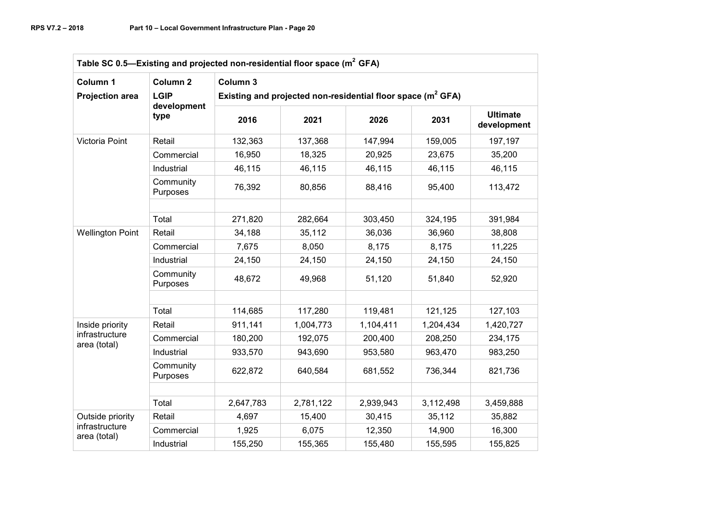| Column 1                       | Column <sub>2</sub>   | Column 3                                                       |           |           |           |                                |  |  |
|--------------------------------|-----------------------|----------------------------------------------------------------|-----------|-----------|-----------|--------------------------------|--|--|
| <b>Projection area</b>         | <b>LGIP</b>           | Existing and projected non-residential floor space $(m^2 GFA)$ |           |           |           |                                |  |  |
|                                | development<br>type   | 2016                                                           | 2021      | 2026      | 2031      | <b>Ultimate</b><br>development |  |  |
| Victoria Point                 | Retail                | 132,363                                                        | 137,368   | 147,994   | 159,005   | 197,197                        |  |  |
|                                | Commercial            | 16,950                                                         | 18,325    | 20,925    | 23,675    | 35,200                         |  |  |
|                                | Industrial            | 46,115                                                         | 46,115    | 46,115    | 46,115    | 46,115                         |  |  |
|                                | Community<br>Purposes | 76,392                                                         | 80,856    | 88,416    | 95,400    | 113,472                        |  |  |
|                                | Total                 | 271,820                                                        | 282,664   | 303,450   | 324,195   | 391,984                        |  |  |
| <b>Wellington Point</b>        | Retail                | 34,188                                                         | 35,112    | 36,036    | 36,960    | 38,808                         |  |  |
|                                | Commercial            | 7,675                                                          | 8,050     | 8,175     | 8,175     | 11,225                         |  |  |
|                                | Industrial            | 24,150                                                         | 24,150    | 24,150    | 24,150    | 24,150                         |  |  |
|                                | Community<br>Purposes | 48,672                                                         | 49,968    | 51,120    | 51,840    | 52,920                         |  |  |
|                                | Total                 | 114,685                                                        | 117,280   | 119,481   | 121,125   | 127,103                        |  |  |
| Inside priority                | Retail                | 911,141                                                        | 1,004,773 | 1,104,411 | 1,204,434 | 1,420,727                      |  |  |
| infrastructure<br>area (total) | Commercial            | 180,200                                                        | 192,075   | 200,400   | 208,250   | 234,175                        |  |  |
|                                | Industrial            | 933,570                                                        | 943,690   | 953,580   | 963,470   | 983,250                        |  |  |
|                                | Community<br>Purposes | 622,872                                                        | 640,584   | 681,552   | 736,344   | 821,736                        |  |  |
|                                |                       |                                                                |           |           |           |                                |  |  |
|                                | Total                 | 2,647,783                                                      | 2,781,122 | 2,939,943 | 3,112,498 | 3,459,888                      |  |  |
| Outside priority               | Retail                | 4,697                                                          | 15,400    | 30,415    | 35,112    | 35,882                         |  |  |
| infrastructure<br>area (total) | Commercial            | 1,925                                                          | 6,075     | 12,350    | 14,900    | 16,300                         |  |  |
|                                | Industrial            | 155,250                                                        | 155,365   | 155,480   | 155,595   | 155,825                        |  |  |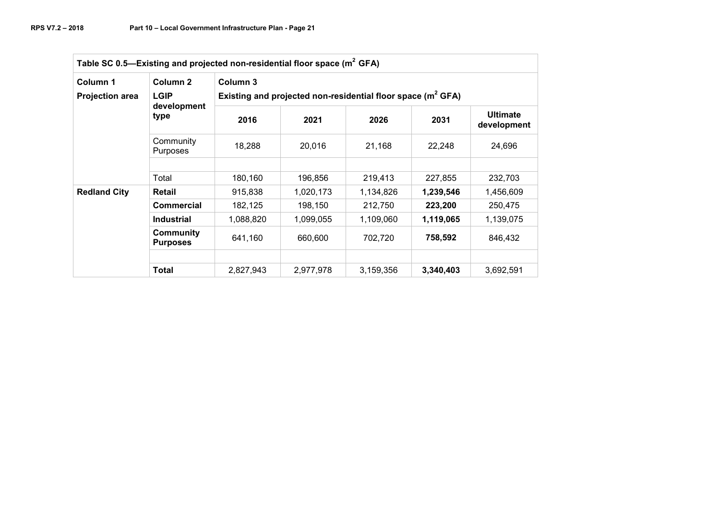| Table SC 0.5-Existing and projected non-residential floor space (m <sup>2</sup> GFA) |                                     |                                                                            |           |           |           |                                |  |  |
|--------------------------------------------------------------------------------------|-------------------------------------|----------------------------------------------------------------------------|-----------|-----------|-----------|--------------------------------|--|--|
| Column 1<br><b>Projection area</b>                                                   | Column 2<br><b>LGIP</b>             | Column 3<br>Existing and projected non-residential floor space $(m^2 GFA)$ |           |           |           |                                |  |  |
|                                                                                      | development<br>type                 | 2016                                                                       | 2021      | 2026      | 2031      | <b>Ultimate</b><br>development |  |  |
|                                                                                      | Community<br><b>Purposes</b>        | 18,288                                                                     | 20,016    | 21,168    | 22,248    | 24,696                         |  |  |
|                                                                                      |                                     |                                                                            |           |           |           |                                |  |  |
|                                                                                      | Total                               | 180,160                                                                    | 196,856   | 219,413   | 227,855   | 232,703                        |  |  |
| <b>Redland City</b>                                                                  | Retail                              | 915,838                                                                    | 1,020,173 | 1,134,826 | 1,239,546 | 1,456,609                      |  |  |
|                                                                                      | <b>Commercial</b>                   | 182,125                                                                    | 198,150   | 212,750   | 223,200   | 250,475                        |  |  |
|                                                                                      | <b>Industrial</b>                   | 1,088,820                                                                  | 1,099,055 | 1,109,060 | 1,119,065 | 1,139,075                      |  |  |
|                                                                                      | <b>Community</b><br><b>Purposes</b> | 641,160                                                                    | 660,600   | 702,720   | 758,592   | 846,432                        |  |  |
|                                                                                      |                                     |                                                                            |           |           |           |                                |  |  |
|                                                                                      | Total                               | 2,827,943                                                                  | 2,977,978 | 3,159,356 | 3,340,403 | 3,692,591                      |  |  |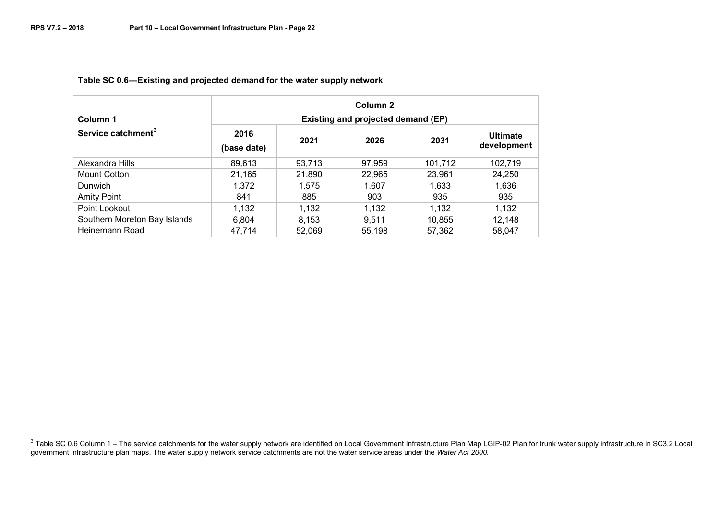| Column 1                       | Column <sub>2</sub><br><b>Existing and projected demand (EP)</b> |        |        |         |                                |  |  |
|--------------------------------|------------------------------------------------------------------|--------|--------|---------|--------------------------------|--|--|
| Service catchment <sup>3</sup> | 2016<br>(base date)                                              | 2021   | 2026   | 2031    | <b>Ultimate</b><br>development |  |  |
| Alexandra Hills                | 89,613                                                           | 93,713 | 97,959 | 101,712 | 102,719                        |  |  |
| Mount Cotton                   | 21,165                                                           | 21,890 | 22,965 | 23,961  | 24,250                         |  |  |
| <b>Dunwich</b>                 | 1.372                                                            | 1,575  | 1,607  | 1,633   | 1,636                          |  |  |
| <b>Amity Point</b>             | 841                                                              | 885    | 903    | 935     | 935                            |  |  |
| Point Lookout                  | 1,132                                                            | 1,132  | 1,132  | 1,132   | 1,132                          |  |  |
| Southern Moreton Bay Islands   | 6,804                                                            | 8,153  | 9,511  | 10,855  | 12,148                         |  |  |
| Heinemann Road                 | 47,714                                                           | 52,069 | 55,198 | 57,362  | 58,047                         |  |  |

## **Table SC 0.6—Existing and projected demand for the water supply network**

<sup>&</sup>lt;sup>3</sup> Table SC 0.6 Column 1 – The service catchments for the water supply network are identified on Local Government Infrastructure Plan Map LGIP-02 Plan for trunk water supply infrastructure in SC3.2 Local<br>government infras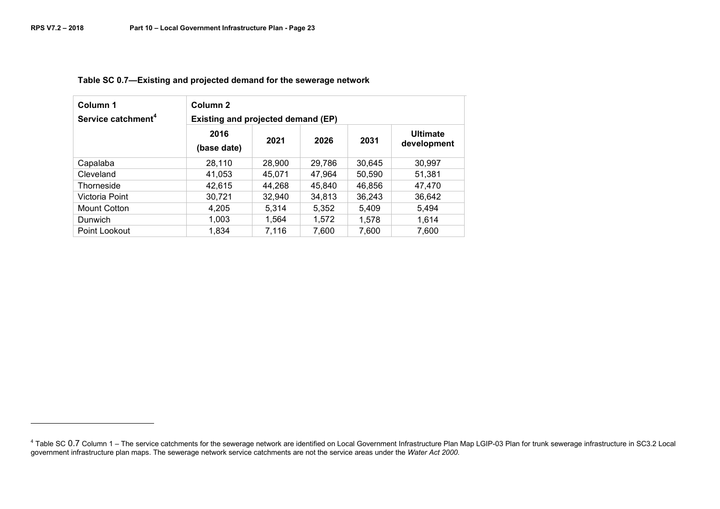| Column 1<br>Service catchment <sup>4</sup> | Column <sub>2</sub><br><b>Existing and projected demand (EP)</b> |        |        |        |                                |  |  |
|--------------------------------------------|------------------------------------------------------------------|--------|--------|--------|--------------------------------|--|--|
|                                            | 2016<br>(base date)                                              | 2021   | 2026   | 2031   | <b>Ultimate</b><br>development |  |  |
| Capalaba                                   | 28.110                                                           | 28,900 | 29,786 | 30.645 | 30,997                         |  |  |
| Cleveland                                  | 41,053                                                           | 45,071 | 47,964 | 50,590 | 51,381                         |  |  |
| Thorneside                                 | 42.615                                                           | 44.268 | 45.840 | 46.856 | 47.470                         |  |  |
| Victoria Point                             | 30,721                                                           | 32,940 | 34.813 | 36.243 | 36.642                         |  |  |
| Mount Cotton                               | 4.205                                                            | 5,314  | 5.352  | 5.409  | 5.494                          |  |  |
| Dunwich                                    | 1,003                                                            | 1.564  | 1,572  | 1.578  | 1,614                          |  |  |
| Point Lookout                              | 1.834                                                            | 7,116  | 7.600  | 7,600  | 7,600                          |  |  |

## **Table SC 0.7—Existing and projected demand for the sewerage network**

<sup>&</sup>lt;sup>4</sup> Table SC 0.7 Column 1 – The service catchments for the sewerage network are identified on Local Government Infrastructure Plan Map LGIP-03 Plan for trunk sewerage infrastructure in SC3.2 Local<br>government infrastructure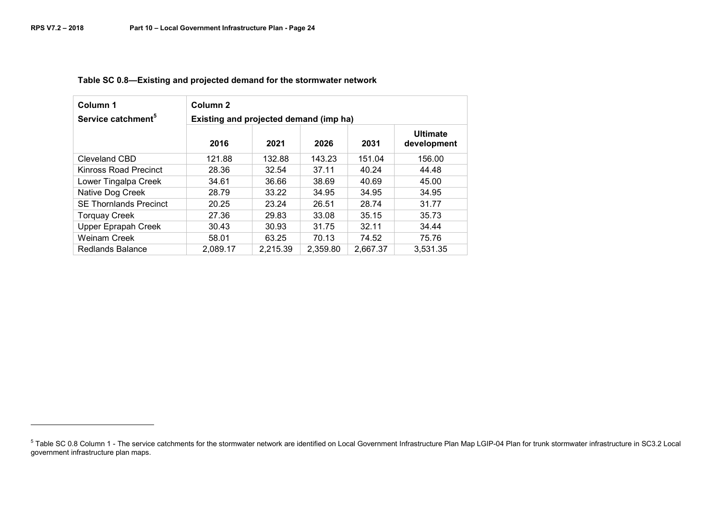| Column 1                       | Column <sub>2</sub>                    |          |          |          |                                |  |  |
|--------------------------------|----------------------------------------|----------|----------|----------|--------------------------------|--|--|
| Service catchment <sup>5</sup> | Existing and projected demand (imp ha) |          |          |          |                                |  |  |
|                                | 2016                                   | 2021     | 2026     | 2031     | <b>Ultimate</b><br>development |  |  |
| Cleveland CBD                  | 121.88                                 | 132.88   | 143.23   | 151.04   | 156.00                         |  |  |
| Kinross Road Precinct          | 28.36                                  | 32.54    | 37.11    | 40.24    | 44.48                          |  |  |
| Lower Tingalpa Creek           | 34.61                                  | 36.66    | 38.69    | 40.69    | 45.00                          |  |  |
| Native Dog Creek               | 28.79                                  | 33.22    | 34.95    | 34.95    | 34.95                          |  |  |
| <b>SE Thornlands Precinct</b>  | 20.25                                  | 23.24    | 26.51    | 28.74    | 31.77                          |  |  |
| <b>Torquay Creek</b>           | 27.36                                  | 29.83    | 33.08    | 35.15    | 35.73                          |  |  |
| <b>Upper Eprapah Creek</b>     | 30.43                                  | 30.93    | 31.75    | 32.11    | 34.44                          |  |  |
| <b>Weinam Creek</b>            | 58.01                                  | 63.25    | 70.13    | 74.52    | 75.76                          |  |  |
| Redlands Balance               | 2,089.17                               | 2,215.39 | 2,359.80 | 2,667.37 | 3,531.35                       |  |  |

#### **Table SC 0.8—Existing and projected demand for the stormwater network**

<sup>&</sup>lt;sup>5</sup> Table SC 0.8 Column 1 - The service catchments for the stormwater network are identified on Local Government Infrastructure Plan Map LGIP-04 Plan for trunk stormwater infrastructure in SC3.2 Local government infrastructure plan maps.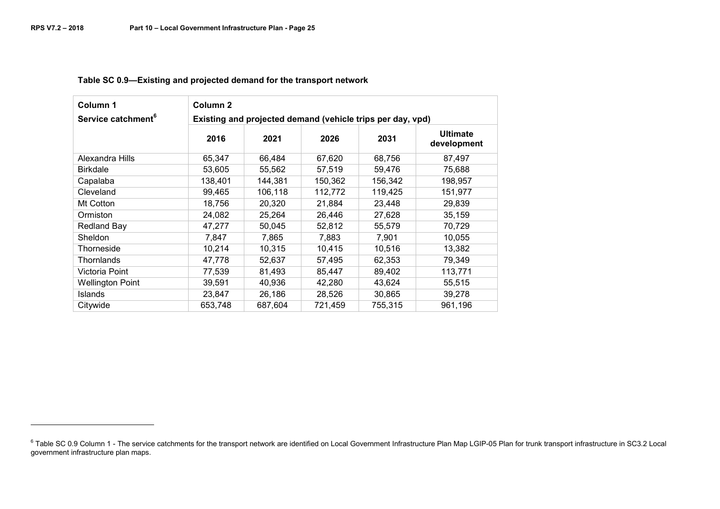| Column 1                       | Column <sub>2</sub> |                                                            |         |         |                                |  |
|--------------------------------|---------------------|------------------------------------------------------------|---------|---------|--------------------------------|--|
| Service catchment <sup>6</sup> |                     | Existing and projected demand (vehicle trips per day, vpd) |         |         |                                |  |
|                                | 2016                | 2021                                                       | 2026    | 2031    | <b>Ultimate</b><br>development |  |
| Alexandra Hills                | 65,347              | 66,484                                                     | 67,620  | 68,756  | 87,497                         |  |
| <b>Birkdale</b>                | 53,605              | 55,562                                                     | 57,519  | 59,476  | 75,688                         |  |
| Capalaba                       | 138,401             | 144,381                                                    | 150,362 | 156,342 | 198,957                        |  |
| Cleveland                      | 99,465              | 106,118                                                    | 112,772 | 119,425 | 151,977                        |  |
| Mt Cotton                      | 18.756              | 20.320                                                     | 21,884  | 23,448  | 29,839                         |  |
| Ormiston                       | 24,082              | 25,264                                                     | 26,446  | 27,628  | 35,159                         |  |
| <b>Redland Bay</b>             | 47,277              | 50,045                                                     | 52,812  | 55,579  | 70,729                         |  |
| Sheldon                        | 7,847               | 7,865                                                      | 7,883   | 7,901   | 10,055                         |  |
| Thorneside                     | 10,214              | 10,315                                                     | 10,415  | 10,516  | 13,382                         |  |
| Thornlands                     | 47,778              | 52,637                                                     | 57,495  | 62,353  | 79,349                         |  |
| Victoria Point                 | 77,539              | 81,493                                                     | 85,447  | 89,402  | 113,771                        |  |
| <b>Wellington Point</b>        | 39,591              | 40,936                                                     | 42,280  | 43,624  | 55,515                         |  |
| <b>Islands</b>                 | 23,847              | 26,186                                                     | 28,526  | 30,865  | 39,278                         |  |
| Citywide                       | 653,748             | 687,604                                                    | 721,459 | 755,315 | 961,196                        |  |

**Table SC 0.9—Existing and projected demand for the transport network**

 $^6$  Table SC 0.9 Column 1 - The service catchments for the transport network are identified on Local Government Infrastructure Plan Map LGIP-05 Plan for trunk transport infrastructure in SC3.2 Local government infrastructure plan maps.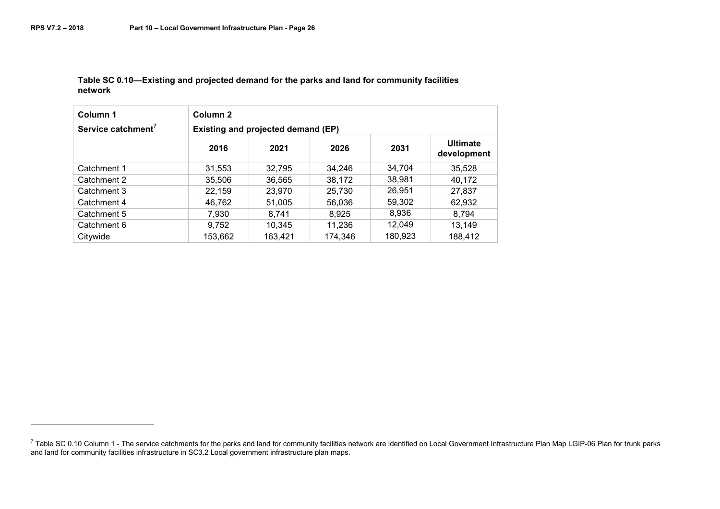#### **Table SC 0.10—Existing and projected demand for the parks and land for community facilities network**

| Column 1<br>Service catchment <sup>7</sup> | Column <sub>2</sub><br>Existing and projected demand (EP) |         |         |         |                                |
|--------------------------------------------|-----------------------------------------------------------|---------|---------|---------|--------------------------------|
|                                            | 2016                                                      | 2021    | 2026    | 2031    | <b>Ultimate</b><br>development |
| Catchment 1                                | 31,553                                                    | 32,795  | 34,246  | 34,704  | 35,528                         |
| Catchment 2                                | 35,506                                                    | 36,565  | 38,172  | 38,981  | 40,172                         |
| Catchment 3                                | 22,159                                                    | 23,970  | 25,730  | 26,951  | 27,837                         |
| Catchment 4                                | 46,762                                                    | 51,005  | 56.036  | 59,302  | 62,932                         |
| Catchment 5                                | 7,930                                                     | 8,741   | 8,925   | 8,936   | 8.794                          |
| Catchment 6                                | 9,752                                                     | 10,345  | 11,236  | 12,049  | 13,149                         |
| Citywide                                   | 153,662                                                   | 163,421 | 174,346 | 180,923 | 188,412                        |

<sup>7</sup> Table SC 0.10 Column 1 - The service catchments for the parks and land for community facilities network are identified on Local Government Infrastructure Plan Map LGIP-06 Plan for trunk parks<br>and land for community facil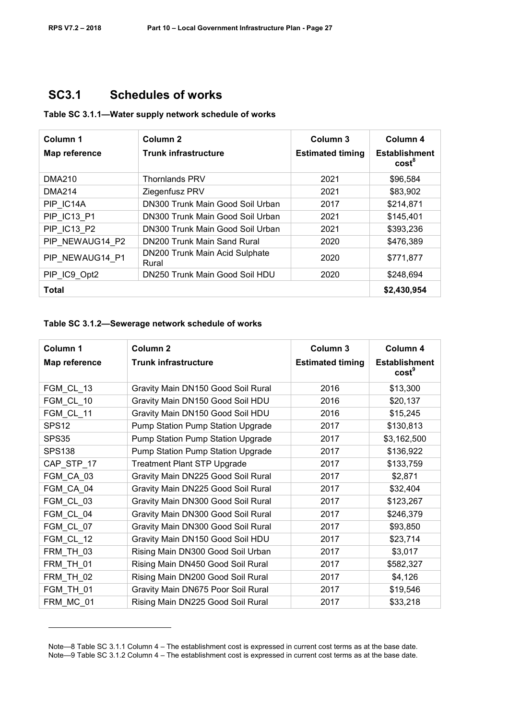-

# **SC3.1 Schedules of works**

| Table SC 3.1.1-Water supply network schedule of works |  |  |
|-------------------------------------------------------|--|--|
|-------------------------------------------------------|--|--|

| Column 1           | Column <sub>2</sub>                     | Column <sub>3</sub>     | Column 4                                  |
|--------------------|-----------------------------------------|-------------------------|-------------------------------------------|
| Map reference      | <b>Trunk infrastructure</b>             | <b>Estimated timing</b> | <b>Establishment</b><br>cost <sup>8</sup> |
| <b>DMA210</b>      | <b>Thornlands PRV</b>                   | 2021                    | \$96,584                                  |
| <b>DMA214</b>      | Ziegenfusz PRV                          | 2021                    | \$83,902                                  |
| PIP IC14A          | DN300 Trunk Main Good Soil Urban        | 2017                    | \$214,871                                 |
| <b>PIP IC13 P1</b> | DN300 Trunk Main Good Soil Urban        | 2021                    | \$145,401                                 |
| <b>PIP IC13 P2</b> | DN300 Trunk Main Good Soil Urban        | 2021                    | \$393,236                                 |
| PIP NEWAUG14 P2    | DN200 Trunk Main Sand Rural             | 2020                    | \$476,389                                 |
| PIP NEWAUG14 P1    | DN200 Trunk Main Acid Sulphate<br>Rural | 2020                    | \$771,877                                 |
| PIP_IC9_Opt2       | DN250 Trunk Main Good Soil HDU          | 2020                    | \$248,694                                 |
| <b>Total</b>       |                                         |                         | \$2,430,954                               |

#### **Table SC 3.1.2—Sewerage network schedule of works**

| Column 1          | Column <sub>2</sub>                | Column 3                | Column 4                                  |
|-------------------|------------------------------------|-------------------------|-------------------------------------------|
| Map reference     | <b>Trunk infrastructure</b>        | <b>Estimated timing</b> | <b>Establishment</b><br>cost <sup>9</sup> |
| FGM CL 13         | Gravity Main DN150 Good Soil Rural | 2016                    | \$13,300                                  |
| FGM CL 10         | Gravity Main DN150 Good Soil HDU   | 2016                    | \$20,137                                  |
| FGM_CL_11         | Gravity Main DN150 Good Soil HDU   | 2016                    | \$15,245                                  |
| SPS <sub>12</sub> | Pump Station Pump Station Upgrade  | 2017                    | \$130,813                                 |
| SPS35             | Pump Station Pump Station Upgrade  | 2017                    | \$3,162,500                               |
| <b>SPS138</b>     | Pump Station Pump Station Upgrade  | 2017                    | \$136,922                                 |
| CAP_STP_17        | <b>Treatment Plant STP Upgrade</b> | 2017                    | \$133,759                                 |
| FGM CA 03         | Gravity Main DN225 Good Soil Rural | 2017                    | \$2,871                                   |
| FGM CA 04         | Gravity Main DN225 Good Soil Rural | 2017                    | \$32,404                                  |
| FGM CL 03         | Gravity Main DN300 Good Soil Rural | 2017                    | \$123,267                                 |
| FGM CL 04         | Gravity Main DN300 Good Soil Rural | 2017                    | \$246,379                                 |
| FGM CL 07         | Gravity Main DN300 Good Soil Rural | 2017                    | \$93,850                                  |
| FGM_CL_12         | Gravity Main DN150 Good Soil HDU   | 2017                    | \$23,714                                  |
| FRM_TH_03         | Rising Main DN300 Good Soil Urban  | 2017                    | \$3,017                                   |
| FRM TH 01         | Rising Main DN450 Good Soil Rural  | 2017                    | \$582,327                                 |
| FRM TH 02         | Rising Main DN200 Good Soil Rural  | 2017                    | \$4,126                                   |
| FGM_TH_01         | Gravity Main DN675 Poor Soil Rural | 2017                    | \$19,546                                  |
| FRM_MC_01         | Rising Main DN225 Good Soil Rural  | 2017                    | \$33,218                                  |

Note—8 Table SC 3.1.1 Column 4 – The establishment cost is expressed in current cost terms as at the base date. Note—9 Table SC 3.1.2 Column 4 – The establishment cost is expressed in current cost terms as at the base date.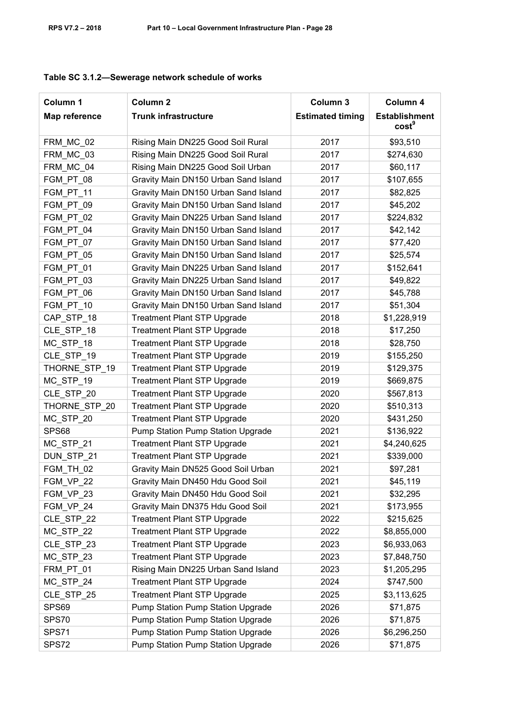| Table SC 3.1.2-Sewerage network schedule of works |  |  |  |
|---------------------------------------------------|--|--|--|
|---------------------------------------------------|--|--|--|

| Column 1      | Column <sub>2</sub>                  | Column 3                | Column 4                                  |
|---------------|--------------------------------------|-------------------------|-------------------------------------------|
| Map reference | <b>Trunk infrastructure</b>          | <b>Estimated timing</b> | <b>Establishment</b><br>cost <sup>9</sup> |
| FRM_MC_02     | Rising Main DN225 Good Soil Rural    | 2017                    | \$93,510                                  |
| FRM MC 03     | Rising Main DN225 Good Soil Rural    | 2017                    | \$274,630                                 |
| FRM MC 04     | Rising Main DN225 Good Soil Urban    | 2017                    | \$60,117                                  |
| FGM_PT_08     | Gravity Main DN150 Urban Sand Island | 2017                    | \$107,655                                 |
| FGM_PT_11     | Gravity Main DN150 Urban Sand Island | 2017                    | \$82,825                                  |
| FGM PT 09     | Gravity Main DN150 Urban Sand Island | 2017                    | \$45,202                                  |
| FGM_PT_02     | Gravity Main DN225 Urban Sand Island | 2017                    | \$224,832                                 |
| FGM_PT_04     | Gravity Main DN150 Urban Sand Island | 2017                    | \$42,142                                  |
| FGM_PT_07     | Gravity Main DN150 Urban Sand Island | 2017                    | \$77,420                                  |
| FGM_PT_05     | Gravity Main DN150 Urban Sand Island | 2017                    | \$25,574                                  |
| FGM PT 01     | Gravity Main DN225 Urban Sand Island | 2017                    | \$152,641                                 |
| FGM PT 03     | Gravity Main DN225 Urban Sand Island | 2017                    | \$49,822                                  |
| FGM PT 06     | Gravity Main DN150 Urban Sand Island | 2017                    | \$45,788                                  |
| FGM_PT_10     | Gravity Main DN150 Urban Sand Island | 2017                    | \$51,304                                  |
| CAP STP 18    | <b>Treatment Plant STP Upgrade</b>   | 2018                    | \$1,228,919                               |
| CLE_STP_18    | <b>Treatment Plant STP Upgrade</b>   | 2018                    | \$17,250                                  |
| MC_STP_18     | <b>Treatment Plant STP Upgrade</b>   | 2018                    | \$28,750                                  |
| CLE_STP_19    | <b>Treatment Plant STP Upgrade</b>   | 2019                    | \$155,250                                 |
| THORNE STP 19 | <b>Treatment Plant STP Upgrade</b>   | 2019                    | \$129,375                                 |
| MC_STP_19     | <b>Treatment Plant STP Upgrade</b>   | 2019                    | \$669,875                                 |
| CLE STP 20    | <b>Treatment Plant STP Upgrade</b>   | 2020                    | \$567,813                                 |
| THORNE_STP_20 | <b>Treatment Plant STP Upgrade</b>   | 2020                    | \$510,313                                 |
| MC_STP_20     | <b>Treatment Plant STP Upgrade</b>   | 2020                    | \$431,250                                 |
| SPS68         | Pump Station Pump Station Upgrade    | 2021                    | \$136,922                                 |
| MC_STP_21     | <b>Treatment Plant STP Upgrade</b>   | 2021                    | \$4,240,625                               |
| DUN STP 21    | <b>Treatment Plant STP Upgrade</b>   | 2021                    | \$339,000                                 |
| FGM_TH_02     | Gravity Main DN525 Good Soil Urban   | 2021                    | \$97,281                                  |
| FGM VP 22     | Gravity Main DN450 Hdu Good Soil     | 2021                    | \$45,119                                  |
| FGM_VP_23     | Gravity Main DN450 Hdu Good Soil     | 2021                    | \$32,295                                  |
| FGM VP 24     | Gravity Main DN375 Hdu Good Soil     | 2021                    | \$173,955                                 |
| CLE_STP_22    | <b>Treatment Plant STP Upgrade</b>   | 2022                    | \$215,625                                 |
| MC_STP_22     | <b>Treatment Plant STP Upgrade</b>   | 2022                    | \$8,855,000                               |
| CLE_STP_23    | <b>Treatment Plant STP Upgrade</b>   | 2023                    | \$6,933,063                               |
| MC_STP_23     | <b>Treatment Plant STP Upgrade</b>   | 2023                    | \$7,848,750                               |
| FRM PT 01     | Rising Main DN225 Urban Sand Island  | 2023                    | \$1,205,295                               |
| MC_STP_24     | <b>Treatment Plant STP Upgrade</b>   | 2024                    | \$747,500                                 |
| CLE_STP_25    | <b>Treatment Plant STP Upgrade</b>   | 2025                    | \$3,113,625                               |
| SPS69         | Pump Station Pump Station Upgrade    | 2026                    | \$71,875                                  |
| SPS70         | Pump Station Pump Station Upgrade    | 2026                    | \$71,875                                  |
| SPS71         | Pump Station Pump Station Upgrade    | 2026                    | \$6,296,250                               |
| SPS72         | Pump Station Pump Station Upgrade    | 2026                    | \$71,875                                  |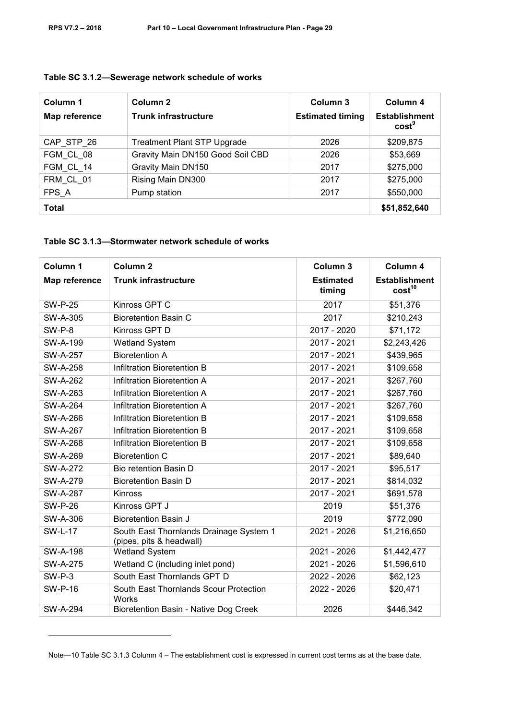-

| Column 1<br>Map reference | Column 2<br><b>Trunk infrastructure</b> | Column 3<br><b>Estimated timing</b> | Column 4<br><b>Establishment</b><br>cost <sup>9</sup> |
|---------------------------|-----------------------------------------|-------------------------------------|-------------------------------------------------------|
| CAP STP 26                | <b>Treatment Plant STP Upgrade</b>      | 2026                                | \$209,875                                             |
| FGM CL 08                 | Gravity Main DN150 Good Soil CBD        | 2026                                | \$53,669                                              |
| FGM CL 14                 | Gravity Main DN150                      | 2017                                | \$275,000                                             |
| FRM CL 01                 | Rising Main DN300                       | 2017                                | \$275,000                                             |
| FPS A                     | Pump station                            | 2017                                | \$550,000                                             |
| Total                     |                                         |                                     | \$51,852,640                                          |

#### **Table SC 3.1.2—Sewerage network schedule of works**

#### **Table SC 3.1.3—Stormwater network schedule of works**

| Column 1        | Column <sub>2</sub>                                                 | Column <sub>3</sub>        | Column 4                                   |
|-----------------|---------------------------------------------------------------------|----------------------------|--------------------------------------------|
| Map reference   | <b>Trunk infrastructure</b>                                         | <b>Estimated</b><br>timing | <b>Establishment</b><br>cost <sup>10</sup> |
| <b>SW-P-25</b>  | Kinross GPT C                                                       | 2017                       | \$51,376                                   |
| SW-A-305        | <b>Bioretention Basin C</b>                                         | 2017                       | \$210,243                                  |
| SW-P-8          | Kinross GPT D                                                       | 2017 - 2020                | \$71,172                                   |
| SW-A-199        | Wetland System                                                      | 2017 - 2021                | \$2,243,426                                |
| <b>SW-A-257</b> | <b>Bioretention A</b>                                               | 2017 - 2021                | \$439,965                                  |
| <b>SW-A-258</b> | Infiltration Bioretention B                                         | 2017 - 2021                | \$109,658                                  |
| <b>SW-A-262</b> | Infiltration Bioretention A                                         | 2017 - 2021                | \$267,760                                  |
| <b>SW-A-263</b> | Infiltration Bioretention A                                         | 2017 - 2021                | \$267,760                                  |
| <b>SW-A-264</b> | Infiltration Bioretention A                                         | 2017 - 2021                | \$267,760                                  |
| SW-A-266        | Infiltration Bioretention B                                         | 2017 - 2021                | \$109,658                                  |
| <b>SW-A-267</b> | Infiltration Bioretention B                                         | 2017 - 2021                | \$109,658                                  |
| <b>SW-A-268</b> | Infiltration Bioretention B                                         | 2017 - 2021                | \$109,658                                  |
| SW-A-269        | <b>Bioretention C</b>                                               | 2017 - 2021                | \$89,640                                   |
| <b>SW-A-272</b> | Bio retention Basin D                                               | 2017 - 2021                | \$95,517                                   |
| <b>SW-A-279</b> | <b>Bioretention Basin D</b>                                         | 2017 - 2021                | \$814,032                                  |
| <b>SW-A-287</b> | Kinross                                                             | 2017 - 2021                | \$691,578                                  |
| <b>SW-P-26</b>  | Kinross GPT J                                                       | 2019                       | \$51,376                                   |
| SW-A-306        | <b>Bioretention Basin J</b>                                         | 2019                       | \$772,090                                  |
| <b>SW-L-17</b>  | South East Thornlands Drainage System 1<br>(pipes, pits & headwall) | 2021 - 2026                | \$1,216,650                                |
| <b>SW-A-198</b> | <b>Wetland System</b>                                               | 2021 - 2026                | \$1,442,477                                |
| <b>SW-A-275</b> | Wetland C (including inlet pond)                                    | 2021 - 2026                | \$1,596,610                                |
| $SW-P-3$        | South East Thornlands GPT D                                         | 2022 - 2026                | \$62,123                                   |
| <b>SW-P-16</b>  | South East Thornlands Scour Protection<br>Works                     | 2022 - 2026                | \$20,471                                   |
| <b>SW-A-294</b> | Bioretention Basin - Native Dog Creek                               | 2026                       | \$446,342                                  |

Note—10 Table SC 3.1.3 Column 4 – The establishment cost is expressed in current cost terms as at the base date.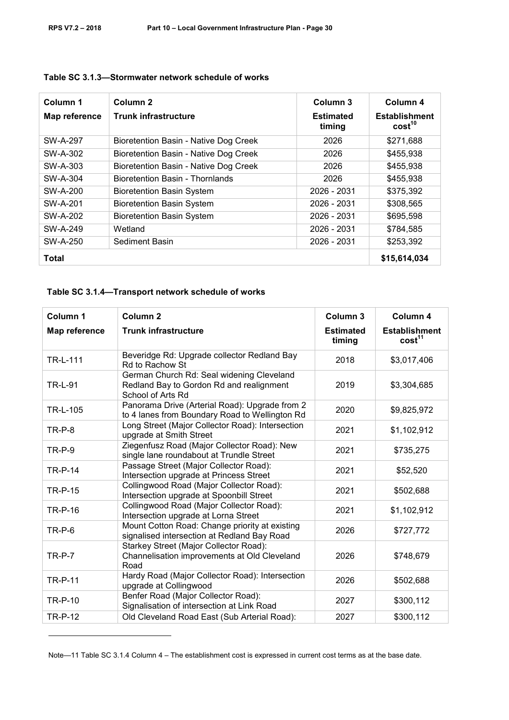| Column 1      | Column <sub>2</sub>                   | Column 3                   | Column 4                                   |
|---------------|---------------------------------------|----------------------------|--------------------------------------------|
| Map reference | <b>Trunk infrastructure</b>           | <b>Estimated</b><br>timing | <b>Establishment</b><br>cost <sup>10</sup> |
| SW-A-297      | Bioretention Basin - Native Dog Creek | 2026                       | \$271,688                                  |
| SW-A-302      | Bioretention Basin - Native Dog Creek | 2026                       | \$455,938                                  |
| SW-A-303      | Bioretention Basin - Native Dog Creek | 2026                       | \$455,938                                  |
| SW-A-304      | Bioretention Basin - Thornlands       | 2026                       | \$455,938                                  |
| SW-A-200      | <b>Bioretention Basin System</b>      | 2026 - 2031                | \$375,392                                  |
| SW-A-201      | <b>Bioretention Basin System</b>      | 2026 - 2031                | \$308,565                                  |
| SW-A-202      | <b>Bioretention Basin System</b>      | 2026 - 2031                | \$695,598                                  |
| SW-A-249      | Wetland                               | 2026 - 2031                | \$784,585                                  |
| SW-A-250      | Sediment Basin                        | 2026 - 2031                | \$253,392                                  |
| <b>Total</b>  |                                       |                            | \$15,614,034                               |

#### **Table SC 3.1.3—Stormwater network schedule of works**

#### **Table SC 3.1.4—Transport network schedule of works**

-

| Column <sub>1</sub> | Column <sub>2</sub>                                                                                        | Column <sub>3</sub>        | Column 4                                   |
|---------------------|------------------------------------------------------------------------------------------------------------|----------------------------|--------------------------------------------|
| Map reference       | <b>Trunk infrastructure</b>                                                                                | <b>Estimated</b><br>timing | <b>Establishment</b><br>cost <sup>11</sup> |
| TR-L-111            | Beveridge Rd: Upgrade collector Redland Bay<br>Rd to Rachow St                                             | 2018                       | \$3,017,406                                |
| <b>TR-L-91</b>      | German Church Rd: Seal widening Cleveland<br>Redland Bay to Gordon Rd and realignment<br>School of Arts Rd | 2019                       | \$3,304,685                                |
| TR-L-105            | Panorama Drive (Arterial Road): Upgrade from 2<br>to 4 lanes from Boundary Road to Wellington Rd           | 2020                       | \$9,825,972                                |
| <b>TR-P-8</b>       | Long Street (Major Collector Road): Intersection<br>upgrade at Smith Street                                | 2021                       | \$1,102,912                                |
| $TR-P-9$            | Ziegenfusz Road (Major Collector Road): New<br>single lane roundabout at Trundle Street                    | 2021                       | \$735,275                                  |
| <b>TR-P-14</b>      | Passage Street (Major Collector Road):<br>Intersection upgrade at Princess Street                          | 2021                       | \$52,520                                   |
| <b>TR-P-15</b>      | Collingwood Road (Major Collector Road):<br>Intersection upgrade at Spoonbill Street                       | 2021                       | \$502,688                                  |
| TR-P-16             | Collingwood Road (Major Collector Road):<br>Intersection upgrade at Lorna Street                           | 2021                       | \$1,102,912                                |
| $TR-P-6$            | Mount Cotton Road: Change priority at existing<br>signalised intersection at Redland Bay Road              | 2026                       | \$727,772                                  |
| $TR-P-7$            | Starkey Street (Major Collector Road):<br>Channelisation improvements at Old Cleveland<br>Road             | 2026                       | \$748,679                                  |
| <b>TR-P-11</b>      | Hardy Road (Major Collector Road): Intersection<br>upgrade at Collingwood                                  | 2026                       | \$502,688                                  |
| <b>TR-P-10</b>      | Benfer Road (Major Collector Road):<br>Signalisation of intersection at Link Road                          | 2027                       | \$300,112                                  |
| <b>TR-P-12</b>      | Old Cleveland Road East (Sub Arterial Road):                                                               | 2027                       | \$300,112                                  |

Note—11 Table SC 3.1.4 Column 4 – The establishment cost is expressed in current cost terms as at the base date.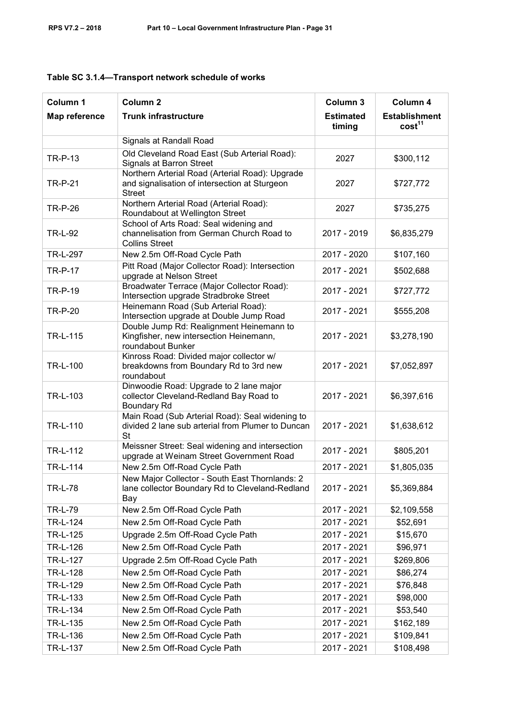| Column 1        | Column <sub>2</sub>                                                                                               | Column 3                   | Column 4                                   |
|-----------------|-------------------------------------------------------------------------------------------------------------------|----------------------------|--------------------------------------------|
| Map reference   | <b>Trunk infrastructure</b>                                                                                       | <b>Estimated</b><br>timing | <b>Establishment</b><br>cost <sup>11</sup> |
|                 | Signals at Randall Road                                                                                           |                            |                                            |
| <b>TR-P-13</b>  | Old Cleveland Road East (Sub Arterial Road):<br>Signals at Barron Street                                          | 2027                       | \$300,112                                  |
| <b>TR-P-21</b>  | Northern Arterial Road (Arterial Road): Upgrade<br>and signalisation of intersection at Sturgeon<br><b>Street</b> | 2027                       | \$727,772                                  |
| <b>TR-P-26</b>  | Northern Arterial Road (Arterial Road):<br>Roundabout at Wellington Street                                        | 2027                       | \$735,275                                  |
| <b>TR-L-92</b>  | School of Arts Road: Seal widening and<br>channelisation from German Church Road to<br><b>Collins Street</b>      | 2017 - 2019                | \$6,835,279                                |
| <b>TR-L-297</b> | New 2.5m Off-Road Cycle Path                                                                                      | 2017 - 2020                | \$107,160                                  |
| <b>TR-P-17</b>  | Pitt Road (Major Collector Road): Intersection<br>upgrade at Nelson Street                                        | 2017 - 2021                | \$502,688                                  |
| <b>TR-P-19</b>  | Broadwater Terrace (Major Collector Road):<br>Intersection upgrade Stradbroke Street                              | 2017 - 2021                | \$727,772                                  |
| <b>TR-P-20</b>  | Heinemann Road (Sub Arterial Road):<br>Intersection upgrade at Double Jump Road                                   | 2017 - 2021                | \$555,208                                  |
| TR-L-115        | Double Jump Rd: Realignment Heinemann to<br>Kingfisher, new intersection Heinemann,<br>roundabout Bunker          | 2017 - 2021                | \$3,278,190                                |
| TR-L-100        | Kinross Road: Divided major collector w/<br>breakdowns from Boundary Rd to 3rd new<br>roundabout                  | 2017 - 2021                | \$7,052,897                                |
| TR-L-103        | Dinwoodie Road: Upgrade to 2 lane major<br>collector Cleveland-Redland Bay Road to<br><b>Boundary Rd</b>          | 2017 - 2021                | \$6,397,616                                |
| TR-L-110        | Main Road (Sub Arterial Road): Seal widening to<br>divided 2 lane sub arterial from Plumer to Duncan<br><b>St</b> | 2017 - 2021                | \$1,638,612                                |
| TR-L-112        | Meissner Street: Seal widening and intersection<br>upgrade at Weinam Street Government Road                       | 2017 - 2021                | \$805,201                                  |
| TR-L-114        | New 2.5m Off-Road Cycle Path                                                                                      | 2017 - 2021                | \$1,805,035                                |
| <b>TR-L-78</b>  | New Major Collector - South East Thornlands: 2<br>lane collector Boundary Rd to Cleveland-Redland<br>Bay          | 2017 - 2021                | \$5,369,884                                |
| <b>TR-L-79</b>  | New 2.5m Off-Road Cycle Path                                                                                      | 2017 - 2021                | \$2,109,558                                |
| TR-L-124        | New 2.5m Off-Road Cycle Path                                                                                      | 2017 - 2021                | \$52,691                                   |
| TR-L-125        | Upgrade 2.5m Off-Road Cycle Path                                                                                  | 2017 - 2021                | \$15,670                                   |
| TR-L-126        | New 2.5m Off-Road Cycle Path                                                                                      | 2017 - 2021                | \$96,971                                   |
| TR-L-127        | Upgrade 2.5m Off-Road Cycle Path                                                                                  | 2017 - 2021                | \$269,806                                  |
| TR-L-128        | New 2.5m Off-Road Cycle Path                                                                                      | 2017 - 2021                | \$86,274                                   |
| TR-L-129        | New 2.5m Off-Road Cycle Path                                                                                      | 2017 - 2021                | \$76,848                                   |
| TR-L-133        | New 2.5m Off-Road Cycle Path                                                                                      | 2017 - 2021                | \$98,000                                   |
| TR-L-134        | New 2.5m Off-Road Cycle Path                                                                                      | 2017 - 2021                | \$53,540                                   |
| TR-L-135        | New 2.5m Off-Road Cycle Path                                                                                      | 2017 - 2021                | \$162,189                                  |
| TR-L-136        | New 2.5m Off-Road Cycle Path                                                                                      | 2017 - 2021                | \$109,841                                  |
| TR-L-137        | New 2.5m Off-Road Cycle Path                                                                                      | 2017 - 2021                | \$108,498                                  |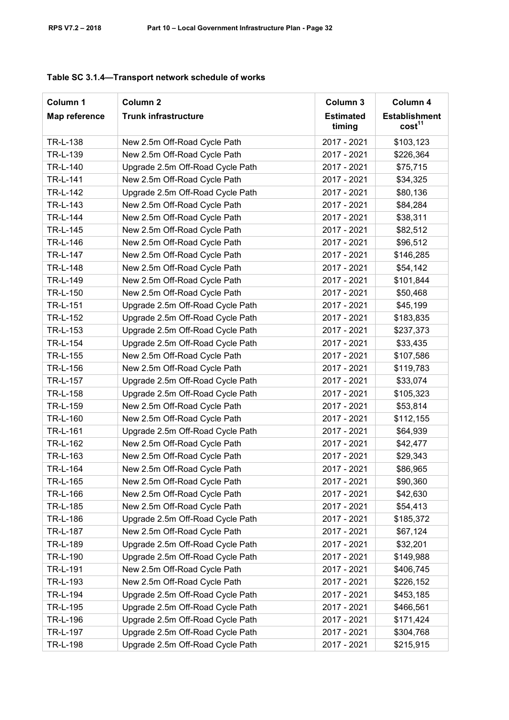| Column 1      | Column <sub>2</sub>              | Column 3                   | Column 4                                   |
|---------------|----------------------------------|----------------------------|--------------------------------------------|
| Map reference | <b>Trunk infrastructure</b>      | <b>Estimated</b><br>timing | <b>Establishment</b><br>cost <sup>11</sup> |
| TR-L-138      | New 2.5m Off-Road Cycle Path     | 2017 - 2021                | \$103,123                                  |
| TR-L-139      | New 2.5m Off-Road Cycle Path     | 2017 - 2021                | \$226,364                                  |
| TR-L-140      | Upgrade 2.5m Off-Road Cycle Path | 2017 - 2021                | \$75,715                                   |
| TR-L-141      | New 2.5m Off-Road Cycle Path     | 2017 - 2021                | \$34,325                                   |
| TR-L-142      | Upgrade 2.5m Off-Road Cycle Path | 2017 - 2021                | \$80,136                                   |
| TR-L-143      | New 2.5m Off-Road Cycle Path     | 2017 - 2021                | \$84,284                                   |
| TR-L-144      | New 2.5m Off-Road Cycle Path     | 2017 - 2021                | \$38,311                                   |
| TR-L-145      | New 2.5m Off-Road Cycle Path     | 2017 - 2021                | \$82,512                                   |
| TR-L-146      | New 2.5m Off-Road Cycle Path     | 2017 - 2021                | \$96,512                                   |
| TR-L-147      | New 2.5m Off-Road Cycle Path     | 2017 - 2021                | \$146,285                                  |
| TR-L-148      | New 2.5m Off-Road Cycle Path     | 2017 - 2021                | \$54,142                                   |
| TR-L-149      | New 2.5m Off-Road Cycle Path     | 2017 - 2021                | \$101,844                                  |
| TR-L-150      | New 2.5m Off-Road Cycle Path     | 2017 - 2021                | \$50,468                                   |
| TR-L-151      | Upgrade 2.5m Off-Road Cycle Path | 2017 - 2021                | \$45,199                                   |
| TR-L-152      | Upgrade 2.5m Off-Road Cycle Path | 2017 - 2021                | \$183,835                                  |
| TR-L-153      | Upgrade 2.5m Off-Road Cycle Path | 2017 - 2021                | \$237,373                                  |
| TR-L-154      | Upgrade 2.5m Off-Road Cycle Path | 2017 - 2021                | \$33,435                                   |
| TR-L-155      | New 2.5m Off-Road Cycle Path     | 2017 - 2021                | \$107,586                                  |
| TR-L-156      | New 2.5m Off-Road Cycle Path     | 2017 - 2021                | \$119,783                                  |
| TR-L-157      | Upgrade 2.5m Off-Road Cycle Path | 2017 - 2021                | \$33,074                                   |
| TR-L-158      | Upgrade 2.5m Off-Road Cycle Path | 2017 - 2021                | \$105,323                                  |
| TR-L-159      | New 2.5m Off-Road Cycle Path     | 2017 - 2021                | \$53,814                                   |
| TR-L-160      | New 2.5m Off-Road Cycle Path     | 2017 - 2021                | \$112,155                                  |
| TR-L-161      | Upgrade 2.5m Off-Road Cycle Path | 2017 - 2021                | \$64,939                                   |
| TR-L-162      | New 2.5m Off-Road Cycle Path     | 2017 - 2021                | \$42,477                                   |
| TR-L-163      | New 2.5m Off-Road Cycle Path     | 2017 - 2021                | \$29,343                                   |
| TR-L-164      | New 2.5m Off-Road Cycle Path     | 2017 - 2021                | \$86,965                                   |
| TR-L-165      | New 2.5m Off-Road Cycle Path     | 2017 - 2021                | \$90,360                                   |
| TR-L-166      | New 2.5m Off-Road Cycle Path     | 2017 - 2021                | \$42,630                                   |
| TR-L-185      | New 2.5m Off-Road Cycle Path     | 2017 - 2021                | \$54,413                                   |
| TR-L-186      | Upgrade 2.5m Off-Road Cycle Path | 2017 - 2021                | \$185,372                                  |
| TR-L-187      | New 2.5m Off-Road Cycle Path     | 2017 - 2021                | \$67,124                                   |
| TR-L-189      | Upgrade 2.5m Off-Road Cycle Path | 2017 - 2021                | \$32,201                                   |
| TR-L-190      | Upgrade 2.5m Off-Road Cycle Path | 2017 - 2021                | \$149,988                                  |
| TR-L-191      | New 2.5m Off-Road Cycle Path     | 2017 - 2021                | \$406,745                                  |
| TR-L-193      | New 2.5m Off-Road Cycle Path     | 2017 - 2021                | \$226,152                                  |
| TR-L-194      | Upgrade 2.5m Off-Road Cycle Path | 2017 - 2021                | \$453,185                                  |
| TR-L-195      | Upgrade 2.5m Off-Road Cycle Path | 2017 - 2021                | \$466,561                                  |
| TR-L-196      | Upgrade 2.5m Off-Road Cycle Path | 2017 - 2021                | \$171,424                                  |
| TR-L-197      | Upgrade 2.5m Off-Road Cycle Path | 2017 - 2021                | \$304,768                                  |
| TR-L-198      | Upgrade 2.5m Off-Road Cycle Path | 2017 - 2021                | \$215,915                                  |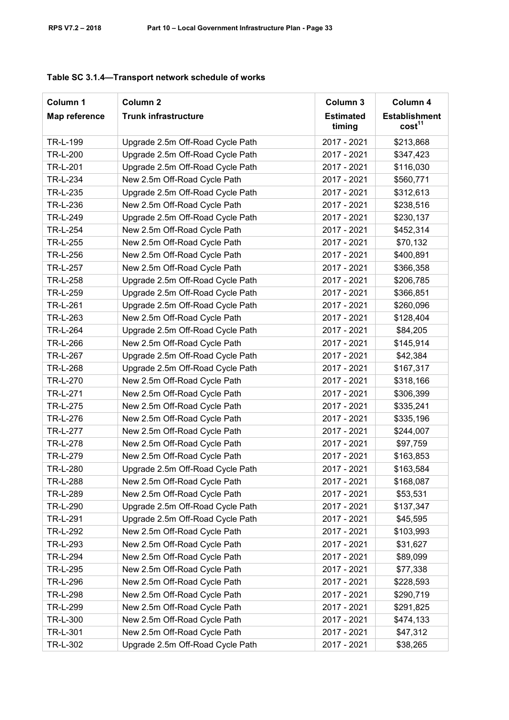| Column 1        | Column <sub>2</sub>              | Column 3                   | Column 4                                   |
|-----------------|----------------------------------|----------------------------|--------------------------------------------|
| Map reference   | <b>Trunk infrastructure</b>      | <b>Estimated</b><br>timing | <b>Establishment</b><br>cost <sup>11</sup> |
| TR-L-199        | Upgrade 2.5m Off-Road Cycle Path | 2017 - 2021                | \$213,868                                  |
| TR-L-200        | Upgrade 2.5m Off-Road Cycle Path | 2017 - 2021                | \$347,423                                  |
| TR-L-201        | Upgrade 2.5m Off-Road Cycle Path | 2017 - 2021                | \$116,030                                  |
| TR-L-234        | New 2.5m Off-Road Cycle Path     | 2017 - 2021                | \$560,771                                  |
| TR-L-235        | Upgrade 2.5m Off-Road Cycle Path | 2017 - 2021                | \$312,613                                  |
| TR-L-236        | New 2.5m Off-Road Cycle Path     | 2017 - 2021                | \$238,516                                  |
| TR-L-249        | Upgrade 2.5m Off-Road Cycle Path | 2017 - 2021                | \$230,137                                  |
| TR-L-254        | New 2.5m Off-Road Cycle Path     | 2017 - 2021                | \$452,314                                  |
| TR-L-255        | New 2.5m Off-Road Cycle Path     | 2017 - 2021                | \$70,132                                   |
| TR-L-256        | New 2.5m Off-Road Cycle Path     | 2017 - 2021                | \$400,891                                  |
| TR-L-257        | New 2.5m Off-Road Cycle Path     | 2017 - 2021                | \$366,358                                  |
| TR-L-258        | Upgrade 2.5m Off-Road Cycle Path | 2017 - 2021                | \$206,785                                  |
| TR-L-259        | Upgrade 2.5m Off-Road Cycle Path | 2017 - 2021                | \$366,851                                  |
| TR-L-261        | Upgrade 2.5m Off-Road Cycle Path | 2017 - 2021                | \$260,096                                  |
| TR-L-263        | New 2.5m Off-Road Cycle Path     | 2017 - 2021                | \$128,404                                  |
| TR-L-264        | Upgrade 2.5m Off-Road Cycle Path | 2017 - 2021                | \$84,205                                   |
| TR-L-266        | New 2.5m Off-Road Cycle Path     | 2017 - 2021                | \$145,914                                  |
| TR-L-267        | Upgrade 2.5m Off-Road Cycle Path | 2017 - 2021                | \$42,384                                   |
| TR-L-268        | Upgrade 2.5m Off-Road Cycle Path | 2017 - 2021                | \$167,317                                  |
| TR-L-270        | New 2.5m Off-Road Cycle Path     | 2017 - 2021                | \$318,166                                  |
| TR-L-271        | New 2.5m Off-Road Cycle Path     | 2017 - 2021                | \$306,399                                  |
| TR-L-275        | New 2.5m Off-Road Cycle Path     | 2017 - 2021                | \$335,241                                  |
| TR-L-276        | New 2.5m Off-Road Cycle Path     | 2017 - 2021                | \$335,196                                  |
| <b>TR-L-277</b> | New 2.5m Off-Road Cycle Path     | 2017 - 2021                | \$244,007                                  |
| TR-L-278        | New 2.5m Off-Road Cycle Path     | 2017 - 2021                | \$97,759                                   |
| TR-L-279        | New 2.5m Off-Road Cycle Path     | 2017 - 2021                | \$163,853                                  |
| TR-L-280        | Upgrade 2.5m Off-Road Cycle Path | 2017 - 2021                | \$163,584                                  |
| TR-L-288        | New 2.5m Off-Road Cycle Path     | 2017 - 2021                | \$168,087                                  |
| TR-L-289        | New 2.5m Off-Road Cycle Path     | 2017 - 2021                | \$53,531                                   |
| TR-L-290        | Upgrade 2.5m Off-Road Cycle Path | 2017 - 2021                | \$137,347                                  |
| TR-L-291        | Upgrade 2.5m Off-Road Cycle Path | 2017 - 2021                | \$45,595                                   |
| TR-L-292        | New 2.5m Off-Road Cycle Path     | 2017 - 2021                | \$103,993                                  |
| TR-L-293        | New 2.5m Off-Road Cycle Path     | 2017 - 2021                | \$31,627                                   |
| <b>TR-L-294</b> | New 2.5m Off-Road Cycle Path     | 2017 - 2021                | \$89,099                                   |
| TR-L-295        | New 2.5m Off-Road Cycle Path     | 2017 - 2021                | \$77,338                                   |
| TR-L-296        | New 2.5m Off-Road Cycle Path     | 2017 - 2021                | \$228,593                                  |
| TR-L-298        | New 2.5m Off-Road Cycle Path     | 2017 - 2021                | \$290,719                                  |
| TR-L-299        | New 2.5m Off-Road Cycle Path     | 2017 - 2021                | \$291,825                                  |
| TR-L-300        | New 2.5m Off-Road Cycle Path     | 2017 - 2021                | \$474,133                                  |
| TR-L-301        | New 2.5m Off-Road Cycle Path     | 2017 - 2021                | \$47,312                                   |
| TR-L-302        | Upgrade 2.5m Off-Road Cycle Path | 2017 - 2021                | \$38,265                                   |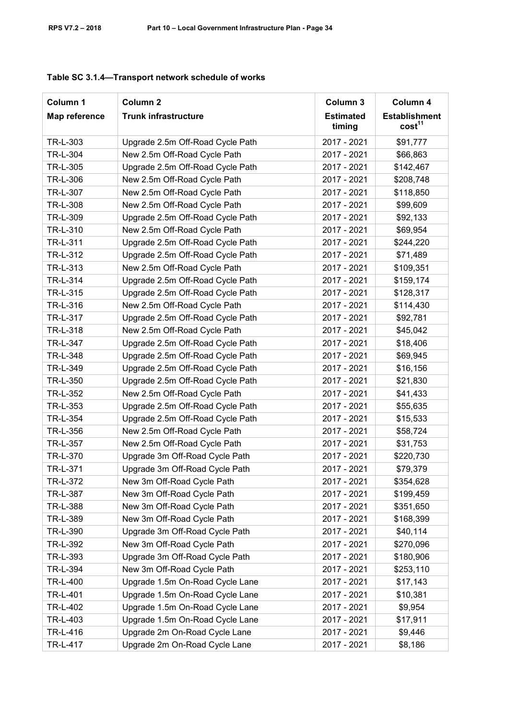| Column 1      | Column <sub>2</sub>              | Column 3                   | Column 4                                   |
|---------------|----------------------------------|----------------------------|--------------------------------------------|
| Map reference | <b>Trunk infrastructure</b>      | <b>Estimated</b><br>timing | <b>Establishment</b><br>cost <sup>11</sup> |
| TR-L-303      | Upgrade 2.5m Off-Road Cycle Path | 2017 - 2021                | \$91,777                                   |
| TR-L-304      | New 2.5m Off-Road Cycle Path     | 2017 - 2021                | \$66,863                                   |
| TR-L-305      | Upgrade 2.5m Off-Road Cycle Path | 2017 - 2021                | \$142,467                                  |
| TR-L-306      | New 2.5m Off-Road Cycle Path     | 2017 - 2021                | \$208,748                                  |
| TR-L-307      | New 2.5m Off-Road Cycle Path     | 2017 - 2021                | \$118,850                                  |
| TR-L-308      | New 2.5m Off-Road Cycle Path     | 2017 - 2021                | \$99,609                                   |
| TR-L-309      | Upgrade 2.5m Off-Road Cycle Path | 2017 - 2021                | \$92,133                                   |
| TR-L-310      | New 2.5m Off-Road Cycle Path     | 2017 - 2021                | \$69,954                                   |
| TR-L-311      | Upgrade 2.5m Off-Road Cycle Path | 2017 - 2021                | \$244,220                                  |
| TR-L-312      | Upgrade 2.5m Off-Road Cycle Path | 2017 - 2021                | \$71,489                                   |
| TR-L-313      | New 2.5m Off-Road Cycle Path     | 2017 - 2021                | \$109,351                                  |
| TR-L-314      | Upgrade 2.5m Off-Road Cycle Path | 2017 - 2021                | \$159,174                                  |
| TR-L-315      | Upgrade 2.5m Off-Road Cycle Path | 2017 - 2021                | \$128,317                                  |
| TR-L-316      | New 2.5m Off-Road Cycle Path     | 2017 - 2021                | \$114,430                                  |
| TR-L-317      | Upgrade 2.5m Off-Road Cycle Path | 2017 - 2021                | \$92,781                                   |
| TR-L-318      | New 2.5m Off-Road Cycle Path     | 2017 - 2021                | \$45,042                                   |
| TR-L-347      | Upgrade 2.5m Off-Road Cycle Path | 2017 - 2021                | \$18,406                                   |
| TR-L-348      | Upgrade 2.5m Off-Road Cycle Path | 2017 - 2021                | \$69,945                                   |
| TR-L-349      | Upgrade 2.5m Off-Road Cycle Path | 2017 - 2021                | \$16,156                                   |
| TR-L-350      | Upgrade 2.5m Off-Road Cycle Path | 2017 - 2021                | \$21,830                                   |
| TR-L-352      | New 2.5m Off-Road Cycle Path     | 2017 - 2021                | \$41,433                                   |
| TR-L-353      | Upgrade 2.5m Off-Road Cycle Path | 2017 - 2021                | \$55,635                                   |
| TR-L-354      | Upgrade 2.5m Off-Road Cycle Path | 2017 - 2021                | \$15,533                                   |
| TR-L-356      | New 2.5m Off-Road Cycle Path     | 2017 - 2021                | \$58,724                                   |
| TR-L-357      | New 2.5m Off-Road Cycle Path     | 2017 - 2021                | \$31,753                                   |
| TR-L-370      | Upgrade 3m Off-Road Cycle Path   | 2017 - 2021                | \$220,730                                  |
| TR-L-371      | Upgrade 3m Off-Road Cycle Path   | 2017 - 2021                | \$79,379                                   |
| TR-L-372      | New 3m Off-Road Cycle Path       | 2017 - 2021                | \$354,628                                  |
| TR-L-387      | New 3m Off-Road Cycle Path       | 2017 - 2021                | \$199,459                                  |
| TR-L-388      | New 3m Off-Road Cycle Path       | 2017 - 2021                | \$351,650                                  |
| TR-L-389      | New 3m Off-Road Cycle Path       | 2017 - 2021                | \$168,399                                  |
| TR-L-390      | Upgrade 3m Off-Road Cycle Path   | 2017 - 2021                | \$40,114                                   |
| TR-L-392      | New 3m Off-Road Cycle Path       | 2017 - 2021                | \$270,096                                  |
| TR-L-393      | Upgrade 3m Off-Road Cycle Path   | 2017 - 2021                | \$180,906                                  |
| TR-L-394      | New 3m Off-Road Cycle Path       | 2017 - 2021                | \$253,110                                  |
| TR-L-400      | Upgrade 1.5m On-Road Cycle Lane  | 2017 - 2021                | \$17,143                                   |
| TR-L-401      | Upgrade 1.5m On-Road Cycle Lane  | 2017 - 2021                | \$10,381                                   |
| TR-L-402      | Upgrade 1.5m On-Road Cycle Lane  | 2017 - 2021                | \$9,954                                    |
| TR-L-403      | Upgrade 1.5m On-Road Cycle Lane  | 2017 - 2021                | \$17,911                                   |
| TR-L-416      | Upgrade 2m On-Road Cycle Lane    | 2017 - 2021                | \$9,446                                    |
| TR-L-417      | Upgrade 2m On-Road Cycle Lane    | 2017 - 2021                | \$8,186                                    |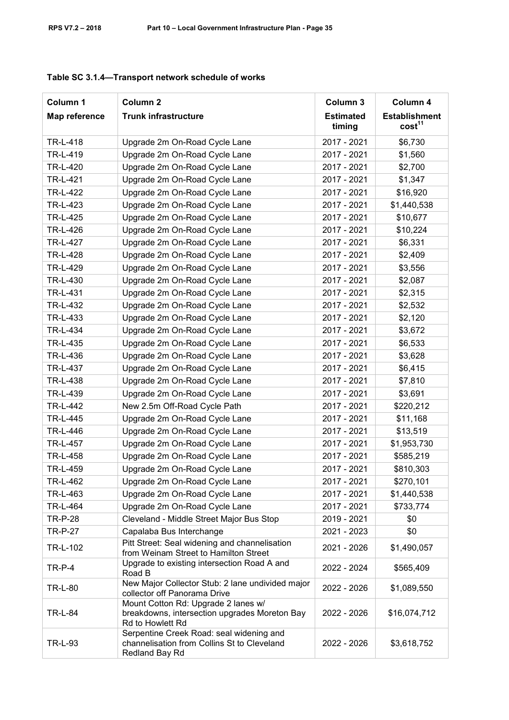| Column 1       | Column <sub>2</sub>                                                                                       | Column 3                   | Column 4                                   |
|----------------|-----------------------------------------------------------------------------------------------------------|----------------------------|--------------------------------------------|
| Map reference  | <b>Trunk infrastructure</b>                                                                               | <b>Estimated</b><br>timing | <b>Establishment</b><br>cost <sup>11</sup> |
| TR-L-418       | Upgrade 2m On-Road Cycle Lane                                                                             | 2017 - 2021                | \$6,730                                    |
| TR-L-419       | Upgrade 2m On-Road Cycle Lane                                                                             | 2017 - 2021                | \$1,560                                    |
| TR-L-420       | Upgrade 2m On-Road Cycle Lane                                                                             | 2017 - 2021                | \$2,700                                    |
| TR-L-421       | Upgrade 2m On-Road Cycle Lane                                                                             | 2017 - 2021                | \$1,347                                    |
| TR-L-422       | Upgrade 2m On-Road Cycle Lane                                                                             | 2017 - 2021                | \$16,920                                   |
| TR-L-423       | Upgrade 2m On-Road Cycle Lane                                                                             | 2017 - 2021                | \$1,440,538                                |
| TR-L-425       | Upgrade 2m On-Road Cycle Lane                                                                             | 2017 - 2021                | \$10,677                                   |
| TR-L-426       | Upgrade 2m On-Road Cycle Lane                                                                             | 2017 - 2021                | \$10,224                                   |
| TR-L-427       | Upgrade 2m On-Road Cycle Lane                                                                             | 2017 - 2021                | \$6,331                                    |
| TR-L-428       | Upgrade 2m On-Road Cycle Lane                                                                             | 2017 - 2021                | \$2,409                                    |
| TR-L-429       | Upgrade 2m On-Road Cycle Lane                                                                             | 2017 - 2021                | \$3,556                                    |
| TR-L-430       | Upgrade 2m On-Road Cycle Lane                                                                             | 2017 - 2021                | \$2,087                                    |
| TR-L-431       | Upgrade 2m On-Road Cycle Lane                                                                             | 2017 - 2021                | \$2,315                                    |
| TR-L-432       | Upgrade 2m On-Road Cycle Lane                                                                             | 2017 - 2021                | \$2,532                                    |
| TR-L-433       | Upgrade 2m On-Road Cycle Lane                                                                             | 2017 - 2021                | \$2,120                                    |
| TR-L-434       | Upgrade 2m On-Road Cycle Lane                                                                             | 2017 - 2021                | \$3,672                                    |
| TR-L-435       | Upgrade 2m On-Road Cycle Lane                                                                             | 2017 - 2021                | \$6,533                                    |
| TR-L-436       | Upgrade 2m On-Road Cycle Lane                                                                             | 2017 - 2021                | \$3,628                                    |
| TR-L-437       | Upgrade 2m On-Road Cycle Lane                                                                             | 2017 - 2021                | \$6,415                                    |
| TR-L-438       | Upgrade 2m On-Road Cycle Lane                                                                             | 2017 - 2021                | \$7,810                                    |
| TR-L-439       | Upgrade 2m On-Road Cycle Lane                                                                             | 2017 - 2021                | \$3,691                                    |
| TR-L-442       | New 2.5m Off-Road Cycle Path                                                                              | 2017 - 2021                | \$220,212                                  |
| TR-L-445       | Upgrade 2m On-Road Cycle Lane                                                                             | 2017 - 2021                | \$11,168                                   |
| TR-L-446       | Upgrade 2m On-Road Cycle Lane                                                                             | 2017 - 2021                | \$13,519                                   |
| TR-L-457       | Upgrade 2m On-Road Cycle Lane                                                                             | 2017 - 2021                | \$1,953,730                                |
| TR-L-458       | Upgrade 2m On-Road Cycle Lane                                                                             | 2017 - 2021                | \$585,219                                  |
| TR-L-459       | Upgrade 2m On-Road Cycle Lane                                                                             | 2017 - 2021                | \$810,303                                  |
| TR-L-462       | Upgrade 2m On-Road Cycle Lane                                                                             | 2017 - 2021                | \$270,101                                  |
| TR-L-463       | Upgrade 2m On-Road Cycle Lane                                                                             | 2017 - 2021                | \$1,440,538                                |
| TR-L-464       | Upgrade 2m On-Road Cycle Lane                                                                             | 2017 - 2021                | \$733,774                                  |
| TR-P-28        | Cleveland - Middle Street Major Bus Stop                                                                  | 2019 - 2021                | \$0                                        |
| <b>TR-P-27</b> | Capalaba Bus Interchange                                                                                  | 2021 - 2023                | \$0                                        |
| TR-L-102       | Pitt Street: Seal widening and channelisation<br>from Weinam Street to Hamilton Street                    | 2021 - 2026                | \$1,490,057                                |
| <b>TR-P-4</b>  | Upgrade to existing intersection Road A and<br>Road B                                                     | 2022 - 2024                | \$565,409                                  |
| <b>TR-L-80</b> | New Major Collector Stub: 2 lane undivided major<br>collector off Panorama Drive                          | 2022 - 2026                | \$1,089,550                                |
| <b>TR-L-84</b> | Mount Cotton Rd: Upgrade 2 lanes w/<br>breakdowns, intersection upgrades Moreton Bay<br>Rd to Howlett Rd  | 2022 - 2026                | \$16,074,712                               |
| <b>TR-L-93</b> | Serpentine Creek Road: seal widening and<br>channelisation from Collins St to Cleveland<br>Redland Bay Rd | 2022 - 2026                | \$3,618,752                                |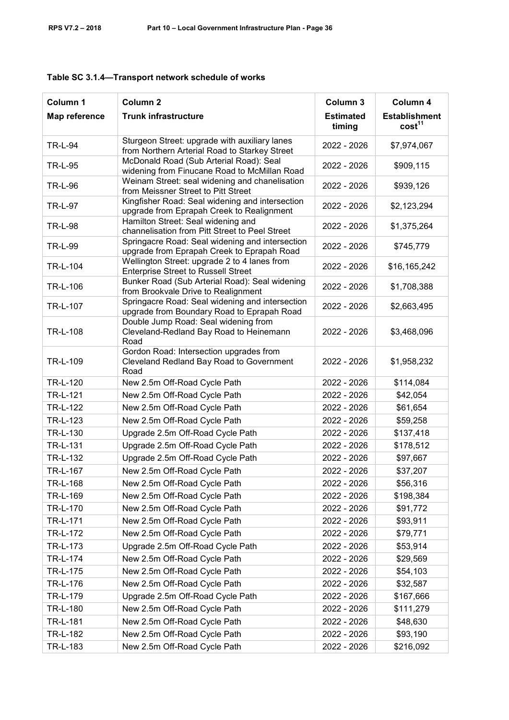| Column 1       | Column <sub>2</sub>                                                                            | Column 3                   | Column 4                                   |
|----------------|------------------------------------------------------------------------------------------------|----------------------------|--------------------------------------------|
| Map reference  | <b>Trunk infrastructure</b>                                                                    | <b>Estimated</b><br>timing | <b>Establishment</b><br>cost <sup>11</sup> |
| <b>TR-L-94</b> | Sturgeon Street: upgrade with auxiliary lanes<br>from Northern Arterial Road to Starkey Street | 2022 - 2026                | \$7,974,067                                |
| <b>TR-L-95</b> | McDonald Road (Sub Arterial Road): Seal<br>widening from Finucane Road to McMillan Road        | 2022 - 2026                | \$909,115                                  |
| <b>TR-L-96</b> | Weinam Street: seal widening and chanelisation<br>from Meissner Street to Pitt Street          | 2022 - 2026                | \$939,126                                  |
| <b>TR-L-97</b> | Kingfisher Road: Seal widening and intersection<br>upgrade from Eprapah Creek to Realignment   | 2022 - 2026                | \$2,123,294                                |
| <b>TR-L-98</b> | Hamilton Street: Seal widening and<br>channelisation from Pitt Street to Peel Street           | 2022 - 2026                | \$1,375,264                                |
| <b>TR-L-99</b> | Springacre Road: Seal widening and intersection<br>upgrade from Eprapah Creek to Eprapah Road  | 2022 - 2026                | \$745,779                                  |
| TR-L-104       | Wellington Street: upgrade 2 to 4 lanes from<br><b>Enterprise Street to Russell Street</b>     | 2022 - 2026                | \$16,165,242                               |
| TR-L-106       | Bunker Road (Sub Arterial Road): Seal widening<br>from Brookvale Drive to Realignment          | 2022 - 2026                | \$1,708,388                                |
| TR-L-107       | Springacre Road: Seal widening and intersection<br>upgrade from Boundary Road to Eprapah Road  | 2022 - 2026                | \$2,663,495                                |
| TR-L-108       | Double Jump Road: Seal widening from<br>Cleveland-Redland Bay Road to Heinemann<br>Road        | 2022 - 2026                | \$3,468,096                                |
| TR-L-109       | Gordon Road: Intersection upgrades from<br>Cleveland Redland Bay Road to Government<br>Road    | 2022 - 2026                | \$1,958,232                                |
| TR-L-120       | New 2.5m Off-Road Cycle Path                                                                   | 2022 - 2026                | \$114,084                                  |
| TR-L-121       | New 2.5m Off-Road Cycle Path                                                                   | 2022 - 2026                | \$42,054                                   |
| TR-L-122       | New 2.5m Off-Road Cycle Path                                                                   | 2022 - 2026                | \$61,654                                   |
| TR-L-123       | New 2.5m Off-Road Cycle Path                                                                   | 2022 - 2026                | \$59,258                                   |
| TR-L-130       | Upgrade 2.5m Off-Road Cycle Path                                                               | 2022 - 2026                | \$137,418                                  |
| TR-L-131       | Upgrade 2.5m Off-Road Cycle Path                                                               | 2022 - 2026                | \$178,512                                  |
| TR-L-132       | Upgrade 2.5m Off-Road Cycle Path                                                               | 2022 - 2026                | \$97,667                                   |
| TR-L-167       | New 2.5m Off-Road Cycle Path                                                                   | 2022 - 2026                | \$37,207                                   |
| TR-L-168       | New 2.5m Off-Road Cycle Path                                                                   | 2022 - 2026                | \$56,316                                   |
| TR-L-169       | New 2.5m Off-Road Cycle Path                                                                   | 2022 - 2026                | \$198,384                                  |
| TR-L-170       | New 2.5m Off-Road Cycle Path                                                                   | 2022 - 2026                | \$91,772                                   |
| TR-L-171       | New 2.5m Off-Road Cycle Path                                                                   | 2022 - 2026                | \$93,911                                   |
| TR-L-172       | New 2.5m Off-Road Cycle Path                                                                   | 2022 - 2026                | \$79,771                                   |
| TR-L-173       | Upgrade 2.5m Off-Road Cycle Path                                                               | 2022 - 2026                | \$53,914                                   |
| TR-L-174       | New 2.5m Off-Road Cycle Path                                                                   | 2022 - 2026                | \$29,569                                   |
| TR-L-175       | New 2.5m Off-Road Cycle Path                                                                   | 2022 - 2026                | \$54,103                                   |
| TR-L-176       | New 2.5m Off-Road Cycle Path                                                                   | 2022 - 2026                | \$32,587                                   |
| TR-L-179       | Upgrade 2.5m Off-Road Cycle Path                                                               | 2022 - 2026                | \$167,666                                  |
| TR-L-180       | New 2.5m Off-Road Cycle Path                                                                   | 2022 - 2026                | \$111,279                                  |
| TR-L-181       | New 2.5m Off-Road Cycle Path                                                                   | 2022 - 2026                | \$48,630                                   |
| TR-L-182       | New 2.5m Off-Road Cycle Path                                                                   | 2022 - 2026                | \$93,190                                   |
| TR-L-183       | New 2.5m Off-Road Cycle Path                                                                   | 2022 - 2026                | \$216,092                                  |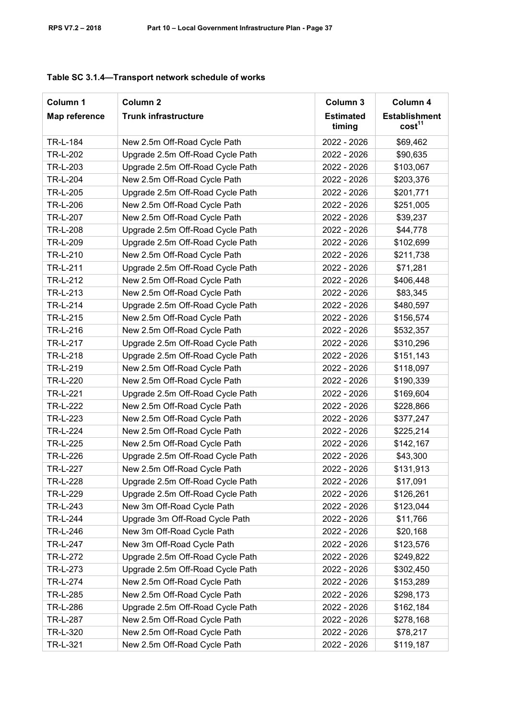| Column 1        | Column <sub>2</sub>              | Column 3                   | Column 4                                   |
|-----------------|----------------------------------|----------------------------|--------------------------------------------|
| Map reference   | <b>Trunk infrastructure</b>      | <b>Estimated</b><br>timing | <b>Establishment</b><br>cost <sup>11</sup> |
| TR-L-184        | New 2.5m Off-Road Cycle Path     | 2022 - 2026                | \$69,462                                   |
| TR-L-202        | Upgrade 2.5m Off-Road Cycle Path | 2022 - 2026                | \$90,635                                   |
| TR-L-203        | Upgrade 2.5m Off-Road Cycle Path | 2022 - 2026                | \$103,067                                  |
| <b>TR-L-204</b> | New 2.5m Off-Road Cycle Path     | 2022 - 2026                | \$203,376                                  |
| TR-L-205        | Upgrade 2.5m Off-Road Cycle Path | 2022 - 2026                | \$201,771                                  |
| TR-L-206        | New 2.5m Off-Road Cycle Path     | 2022 - 2026                | \$251,005                                  |
| TR-L-207        | New 2.5m Off-Road Cycle Path     | 2022 - 2026                | \$39,237                                   |
| TR-L-208        | Upgrade 2.5m Off-Road Cycle Path | 2022 - 2026                | \$44,778                                   |
| TR-L-209        | Upgrade 2.5m Off-Road Cycle Path | 2022 - 2026                | \$102,699                                  |
| TR-L-210        | New 2.5m Off-Road Cycle Path     | 2022 - 2026                | \$211,738                                  |
| TR-L-211        | Upgrade 2.5m Off-Road Cycle Path | 2022 - 2026                | \$71,281                                   |
| TR-L-212        | New 2.5m Off-Road Cycle Path     | 2022 - 2026                | \$406,448                                  |
| TR-L-213        | New 2.5m Off-Road Cycle Path     | 2022 - 2026                | \$83,345                                   |
| TR-L-214        | Upgrade 2.5m Off-Road Cycle Path | 2022 - 2026                | \$480,597                                  |
| TR-L-215        | New 2.5m Off-Road Cycle Path     | 2022 - 2026                | \$156,574                                  |
| TR-L-216        | New 2.5m Off-Road Cycle Path     | 2022 - 2026                | \$532,357                                  |
| TR-L-217        | Upgrade 2.5m Off-Road Cycle Path | 2022 - 2026                | \$310,296                                  |
| TR-L-218        | Upgrade 2.5m Off-Road Cycle Path | 2022 - 2026                | \$151,143                                  |
| TR-L-219        | New 2.5m Off-Road Cycle Path     | 2022 - 2026                | \$118,097                                  |
| TR-L-220        | New 2.5m Off-Road Cycle Path     | 2022 - 2026                | \$190,339                                  |
| TR-L-221        | Upgrade 2.5m Off-Road Cycle Path | 2022 - 2026                | \$169,604                                  |
| TR-L-222        | New 2.5m Off-Road Cycle Path     | 2022 - 2026                | \$228,866                                  |
| TR-L-223        | New 2.5m Off-Road Cycle Path     | 2022 - 2026                | \$377,247                                  |
| TR-L-224        | New 2.5m Off-Road Cycle Path     | 2022 - 2026                | \$225,214                                  |
| TR-L-225        | New 2.5m Off-Road Cycle Path     | 2022 - 2026                | \$142,167                                  |
| TR-L-226        | Upgrade 2.5m Off-Road Cycle Path | 2022 - 2026                | \$43,300                                   |
| TR-L-227        | New 2.5m Off-Road Cycle Path     | 2022 - 2026                | \$131,913                                  |
| TR-L-228        | Upgrade 2.5m Off-Road Cycle Path | 2022 - 2026                | \$17,091                                   |
| TR-L-229        | Upgrade 2.5m Off-Road Cycle Path | 2022 - 2026                | \$126,261                                  |
| TR-L-243        | New 3m Off-Road Cycle Path       | 2022 - 2026                | \$123,044                                  |
| TR-L-244        | Upgrade 3m Off-Road Cycle Path   | 2022 - 2026                | \$11,766                                   |
| TR-L-246        | New 3m Off-Road Cycle Path       | 2022 - 2026                | \$20,168                                   |
| TR-L-247        | New 3m Off-Road Cycle Path       | 2022 - 2026                | \$123,576                                  |
| TR-L-272        | Upgrade 2.5m Off-Road Cycle Path | 2022 - 2026                | \$249,822                                  |
| TR-L-273        | Upgrade 2.5m Off-Road Cycle Path | 2022 - 2026                | \$302,450                                  |
| TR-L-274        | New 2.5m Off-Road Cycle Path     | 2022 - 2026                | \$153,289                                  |
| TR-L-285        | New 2.5m Off-Road Cycle Path     | 2022 - 2026                | \$298,173                                  |
| TR-L-286        | Upgrade 2.5m Off-Road Cycle Path | 2022 - 2026                | \$162,184                                  |
| TR-L-287        | New 2.5m Off-Road Cycle Path     | 2022 - 2026                | \$278,168                                  |
| TR-L-320        | New 2.5m Off-Road Cycle Path     | 2022 - 2026                | \$78,217                                   |
| TR-L-321        | New 2.5m Off-Road Cycle Path     | 2022 - 2026                | \$119,187                                  |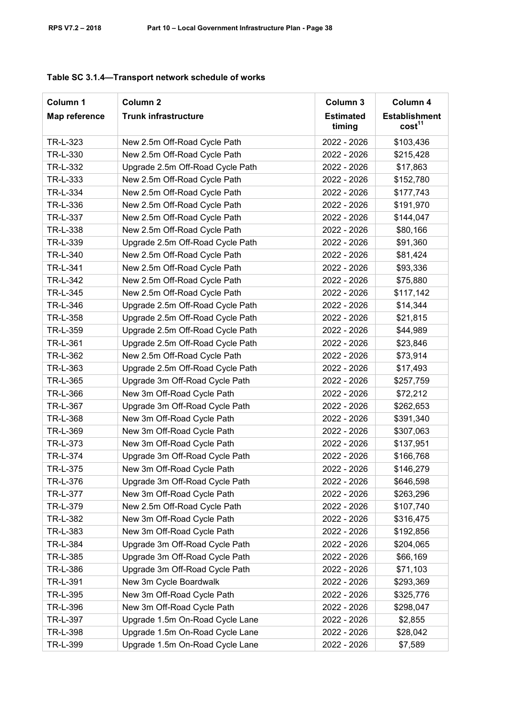| Column 1      | Column <sub>2</sub>              | Column 3                   | Column 4                                   |
|---------------|----------------------------------|----------------------------|--------------------------------------------|
| Map reference | <b>Trunk infrastructure</b>      | <b>Estimated</b><br>timing | <b>Establishment</b><br>cost <sup>11</sup> |
| TR-L-323      | New 2.5m Off-Road Cycle Path     | 2022 - 2026                | \$103,436                                  |
| TR-L-330      | New 2.5m Off-Road Cycle Path     | 2022 - 2026                | \$215,428                                  |
| TR-L-332      | Upgrade 2.5m Off-Road Cycle Path | 2022 - 2026                | \$17,863                                   |
| TR-L-333      | New 2.5m Off-Road Cycle Path     | 2022 - 2026                | \$152,780                                  |
| TR-L-334      | New 2.5m Off-Road Cycle Path     | 2022 - 2026                | \$177,743                                  |
| TR-L-336      | New 2.5m Off-Road Cycle Path     | 2022 - 2026                | \$191,970                                  |
| TR-L-337      | New 2.5m Off-Road Cycle Path     | 2022 - 2026                | \$144,047                                  |
| TR-L-338      | New 2.5m Off-Road Cycle Path     | 2022 - 2026                | \$80,166                                   |
| TR-L-339      | Upgrade 2.5m Off-Road Cycle Path | 2022 - 2026                | \$91,360                                   |
| TR-L-340      | New 2.5m Off-Road Cycle Path     | 2022 - 2026                | \$81,424                                   |
| TR-L-341      | New 2.5m Off-Road Cycle Path     | 2022 - 2026                | \$93,336                                   |
| TR-L-342      | New 2.5m Off-Road Cycle Path     | 2022 - 2026                | \$75,880                                   |
| TR-L-345      | New 2.5m Off-Road Cycle Path     | 2022 - 2026                | \$117,142                                  |
| TR-L-346      | Upgrade 2.5m Off-Road Cycle Path | 2022 - 2026                | \$14,344                                   |
| TR-L-358      | Upgrade 2.5m Off-Road Cycle Path | 2022 - 2026                | \$21,815                                   |
| TR-L-359      | Upgrade 2.5m Off-Road Cycle Path | 2022 - 2026                | \$44,989                                   |
| TR-L-361      | Upgrade 2.5m Off-Road Cycle Path | 2022 - 2026                | \$23,846                                   |
| TR-L-362      | New 2.5m Off-Road Cycle Path     | 2022 - 2026                | \$73,914                                   |
| TR-L-363      | Upgrade 2.5m Off-Road Cycle Path | 2022 - 2026                | \$17,493                                   |
| TR-L-365      | Upgrade 3m Off-Road Cycle Path   | 2022 - 2026                | \$257,759                                  |
| TR-L-366      | New 3m Off-Road Cycle Path       | 2022 - 2026                | \$72,212                                   |
| TR-L-367      | Upgrade 3m Off-Road Cycle Path   | 2022 - 2026                | \$262,653                                  |
| TR-L-368      | New 3m Off-Road Cycle Path       | 2022 - 2026                | \$391,340                                  |
| TR-L-369      | New 3m Off-Road Cycle Path       | 2022 - 2026                | \$307,063                                  |
| TR-L-373      | New 3m Off-Road Cycle Path       | 2022 - 2026                | \$137,951                                  |
| TR-L-374      | Upgrade 3m Off-Road Cycle Path   | 2022 - 2026                | \$166,768                                  |
| TR-L-375      | New 3m Off-Road Cycle Path       | 2022 - 2026                | \$146,279                                  |
| TR-L-376      | Upgrade 3m Off-Road Cycle Path   | 2022 - 2026                | \$646,598                                  |
| TR-L-377      | New 3m Off-Road Cycle Path       | 2022 - 2026                | \$263,296                                  |
| TR-L-379      | New 2.5m Off-Road Cycle Path     | 2022 - 2026                | \$107,740                                  |
| TR-L-382      | New 3m Off-Road Cycle Path       | 2022 - 2026                | \$316,475                                  |
| TR-L-383      | New 3m Off-Road Cycle Path       | 2022 - 2026                | \$192,856                                  |
| TR-L-384      | Upgrade 3m Off-Road Cycle Path   | 2022 - 2026                | \$204,065                                  |
| TR-L-385      | Upgrade 3m Off-Road Cycle Path   | 2022 - 2026                | \$66,169                                   |
| TR-L-386      | Upgrade 3m Off-Road Cycle Path   | 2022 - 2026                | \$71,103                                   |
| TR-L-391      | New 3m Cycle Boardwalk           | 2022 - 2026                | \$293,369                                  |
| TR-L-395      | New 3m Off-Road Cycle Path       | 2022 - 2026                | \$325,776                                  |
| TR-L-396      | New 3m Off-Road Cycle Path       | 2022 - 2026                | \$298,047                                  |
| TR-L-397      | Upgrade 1.5m On-Road Cycle Lane  | 2022 - 2026                | \$2,855                                    |
| TR-L-398      | Upgrade 1.5m On-Road Cycle Lane  | 2022 - 2026                | \$28,042                                   |
| TR-L-399      | Upgrade 1.5m On-Road Cycle Lane  | 2022 - 2026                | \$7,589                                    |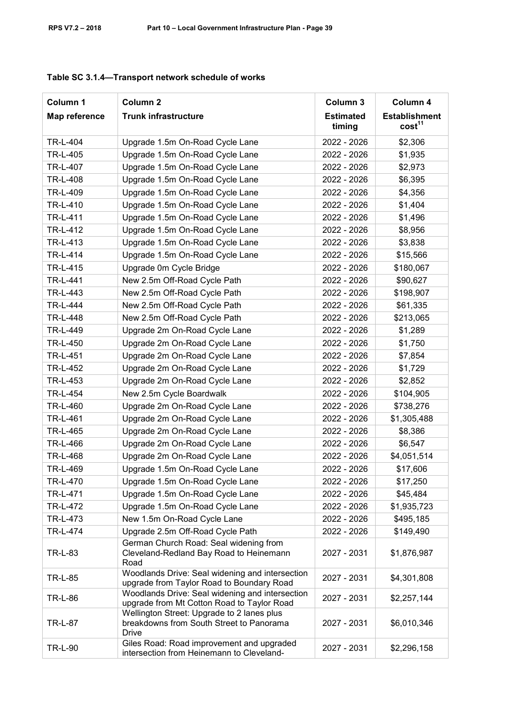| Column 1       | Column <sub>2</sub>                                                                                    | Column 3                   | Column 4                                   |
|----------------|--------------------------------------------------------------------------------------------------------|----------------------------|--------------------------------------------|
| Map reference  | <b>Trunk infrastructure</b>                                                                            | <b>Estimated</b><br>timing | <b>Establishment</b><br>cost <sup>11</sup> |
| TR-L-404       | Upgrade 1.5m On-Road Cycle Lane                                                                        | 2022 - 2026                | \$2,306                                    |
| TR-L-405       | Upgrade 1.5m On-Road Cycle Lane                                                                        | 2022 - 2026                | \$1,935                                    |
| TR-L-407       | Upgrade 1.5m On-Road Cycle Lane                                                                        | 2022 - 2026                | \$2,973                                    |
| TR-L-408       | Upgrade 1.5m On-Road Cycle Lane                                                                        | 2022 - 2026                | \$6,395                                    |
| TR-L-409       | Upgrade 1.5m On-Road Cycle Lane                                                                        | 2022 - 2026                | \$4,356                                    |
| TR-L-410       | Upgrade 1.5m On-Road Cycle Lane                                                                        | 2022 - 2026                | \$1,404                                    |
| TR-L-411       | Upgrade 1.5m On-Road Cycle Lane                                                                        | 2022 - 2026                | \$1,496                                    |
| TR-L-412       | Upgrade 1.5m On-Road Cycle Lane                                                                        | 2022 - 2026                | \$8,956                                    |
| TR-L-413       | Upgrade 1.5m On-Road Cycle Lane                                                                        | 2022 - 2026                | \$3,838                                    |
| TR-L-414       | Upgrade 1.5m On-Road Cycle Lane                                                                        | 2022 - 2026                | \$15,566                                   |
| TR-L-415       | Upgrade 0m Cycle Bridge                                                                                | 2022 - 2026                | \$180,067                                  |
| TR-L-441       | New 2.5m Off-Road Cycle Path                                                                           | 2022 - 2026                | \$90,627                                   |
| TR-L-443       | New 2.5m Off-Road Cycle Path                                                                           | 2022 - 2026                | \$198,907                                  |
| TR-L-444       | New 2.5m Off-Road Cycle Path                                                                           | 2022 - 2026                | \$61,335                                   |
| TR-L-448       | New 2.5m Off-Road Cycle Path                                                                           | 2022 - 2026                | \$213,065                                  |
| TR-L-449       | Upgrade 2m On-Road Cycle Lane                                                                          | 2022 - 2026                | \$1,289                                    |
| TR-L-450       | Upgrade 2m On-Road Cycle Lane                                                                          | 2022 - 2026                | \$1,750                                    |
| TR-L-451       | Upgrade 2m On-Road Cycle Lane                                                                          | 2022 - 2026                | \$7,854                                    |
| TR-L-452       | Upgrade 2m On-Road Cycle Lane                                                                          | 2022 - 2026                | \$1,729                                    |
| TR-L-453       | Upgrade 2m On-Road Cycle Lane                                                                          | 2022 - 2026                | \$2,852                                    |
| TR-L-454       | New 2.5m Cycle Boardwalk                                                                               | 2022 - 2026                | \$104,905                                  |
| TR-L-460       | Upgrade 2m On-Road Cycle Lane                                                                          | 2022 - 2026                | \$738,276                                  |
| TR-L-461       | Upgrade 2m On-Road Cycle Lane                                                                          | 2022 - 2026                | \$1,305,488                                |
| TR-L-465       | Upgrade 2m On-Road Cycle Lane                                                                          | 2022 - 2026                | \$8,386                                    |
| TR-L-466       | Upgrade 2m On-Road Cycle Lane                                                                          | 2022 - 2026                | \$6,547                                    |
| TR-L-468       | Upgrade 2m On-Road Cycle Lane                                                                          | 2022 - 2026                | \$4,051,514                                |
| TR-L-469       | Upgrade 1.5m On-Road Cycle Lane                                                                        | 2022 - 2026                | \$17,606                                   |
| TR-L-470       | Upgrade 1.5m On-Road Cycle Lane                                                                        | 2022 - 2026                | \$17,250                                   |
| TR-L-471       | Upgrade 1.5m On-Road Cycle Lane                                                                        | 2022 - 2026                | \$45,484                                   |
| TR-L-472       | Upgrade 1.5m On-Road Cycle Lane                                                                        | 2022 - 2026                | \$1,935,723                                |
| TR-L-473       | New 1.5m On-Road Cycle Lane                                                                            | 2022 - 2026                | \$495,185                                  |
| TR-L-474       | Upgrade 2.5m Off-Road Cycle Path                                                                       | 2022 - 2026                | \$149,490                                  |
| TR-L-83        | German Church Road: Seal widening from<br>Cleveland-Redland Bay Road to Heinemann<br>Road              | 2027 - 2031                | \$1,876,987                                |
| <b>TR-L-85</b> | Woodlands Drive: Seal widening and intersection<br>upgrade from Taylor Road to Boundary Road           | 2027 - 2031                | \$4,301,808                                |
| TR-L-86        | Woodlands Drive: Seal widening and intersection<br>upgrade from Mt Cotton Road to Taylor Road          | 2027 - 2031                | \$2,257,144                                |
| TR-L-87        | Wellington Street: Upgrade to 2 lanes plus<br>breakdowns from South Street to Panorama<br><b>Drive</b> | 2027 - 2031                | \$6,010,346                                |
| <b>TR-L-90</b> | Giles Road: Road improvement and upgraded<br>intersection from Heinemann to Cleveland-                 | 2027 - 2031                | \$2,296,158                                |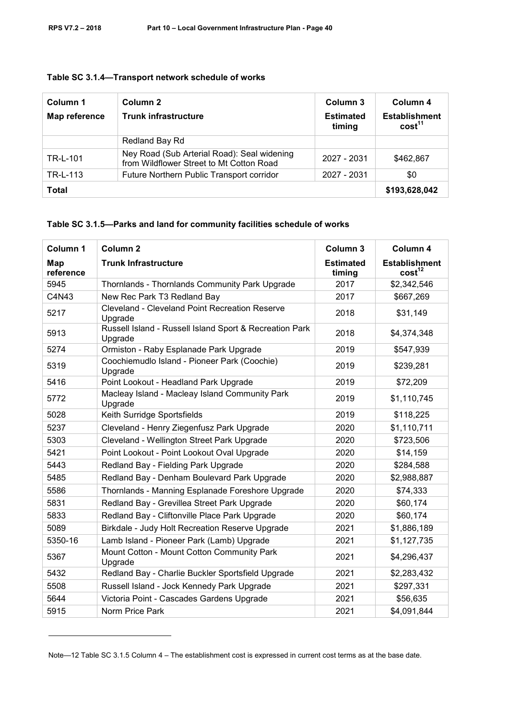| Column 1<br>Map reference | Column 2<br><b>Trunk infrastructure</b>                                                 | Column 3<br><b>Estimated</b><br>timing | Column 4<br><b>Establishment</b><br>cost <sup>11</sup> |
|---------------------------|-----------------------------------------------------------------------------------------|----------------------------------------|--------------------------------------------------------|
|                           | Redland Bay Rd                                                                          |                                        |                                                        |
| TR-L-101                  | Ney Road (Sub Arterial Road): Seal widening<br>from Wildflower Street to Mt Cotton Road | 2027 - 2031                            | \$462,867                                              |
| TR-L-113                  | Future Northern Public Transport corridor                                               | 2027 - 2031                            | \$0                                                    |
| <b>Total</b>              |                                                                                         |                                        | \$193,628,042                                          |

#### **Table SC 3.1.5—Parks and land for community facilities schedule of works**

| Column 1         | Column <sub>2</sub>                                                | Column 3                   | Column 4                                   |
|------------------|--------------------------------------------------------------------|----------------------------|--------------------------------------------|
| Map<br>reference | <b>Trunk Infrastructure</b>                                        | <b>Estimated</b><br>timing | <b>Establishment</b><br>cost <sup>12</sup> |
| 5945             | Thornlands - Thornlands Community Park Upgrade                     | 2017                       | \$2,342,546                                |
| C4N43            | New Rec Park T3 Redland Bay                                        | 2017                       | \$667,269                                  |
| 5217             | <b>Cleveland - Cleveland Point Recreation Reserve</b><br>Upgrade   | 2018                       | \$31,149                                   |
| 5913             | Russell Island - Russell Island Sport & Recreation Park<br>Upgrade | 2018                       | \$4,374,348                                |
| 5274             | Ormiston - Raby Esplanade Park Upgrade                             | 2019                       | \$547,939                                  |
| 5319             | Coochiemudlo Island - Pioneer Park (Coochie)<br>Upgrade            | 2019                       | \$239,281                                  |
| 5416             | Point Lookout - Headland Park Upgrade                              | 2019                       | \$72,209                                   |
| 5772             | Macleay Island - Macleay Island Community Park<br>Upgrade          | 2019                       | \$1,110,745                                |
| 5028             | Keith Surridge Sportsfields                                        | 2019                       | \$118,225                                  |
| 5237             | Cleveland - Henry Ziegenfusz Park Upgrade                          | 2020                       | \$1,110,711                                |
| 5303             | Cleveland - Wellington Street Park Upgrade                         | 2020                       | \$723,506                                  |
| 5421             | Point Lookout - Point Lookout Oval Upgrade                         | 2020                       | \$14,159                                   |
| 5443             | Redland Bay - Fielding Park Upgrade                                | 2020                       | \$284,588                                  |
| 5485             | Redland Bay - Denham Boulevard Park Upgrade                        | 2020                       | \$2,988,887                                |
| 5586             | Thornlands - Manning Esplanade Foreshore Upgrade                   | 2020                       | \$74,333                                   |
| 5831             | Redland Bay - Grevillea Street Park Upgrade                        | 2020                       | \$60,174                                   |
| 5833             | Redland Bay - Cliftonville Place Park Upgrade                      | 2020                       | \$60,174                                   |
| 5089             | Birkdale - Judy Holt Recreation Reserve Upgrade                    | 2021                       | \$1,886,189                                |
| 5350-16          | Lamb Island - Pioneer Park (Lamb) Upgrade                          | 2021                       | \$1,127,735                                |
| 5367             | Mount Cotton - Mount Cotton Community Park<br>Upgrade              | 2021                       | \$4,296,437                                |
| 5432             | Redland Bay - Charlie Buckler Sportsfield Upgrade                  | 2021                       | \$2,283,432                                |
| 5508             | Russell Island - Jock Kennedy Park Upgrade                         | 2021                       | \$297,331                                  |
| 5644             | Victoria Point - Cascades Gardens Upgrade                          | 2021                       | \$56,635                                   |
| 5915             | Norm Price Park                                                    | 2021                       | \$4,091,844                                |

Note—12 Table SC 3.1.5 Column 4 – The establishment cost is expressed in current cost terms as at the base date.

-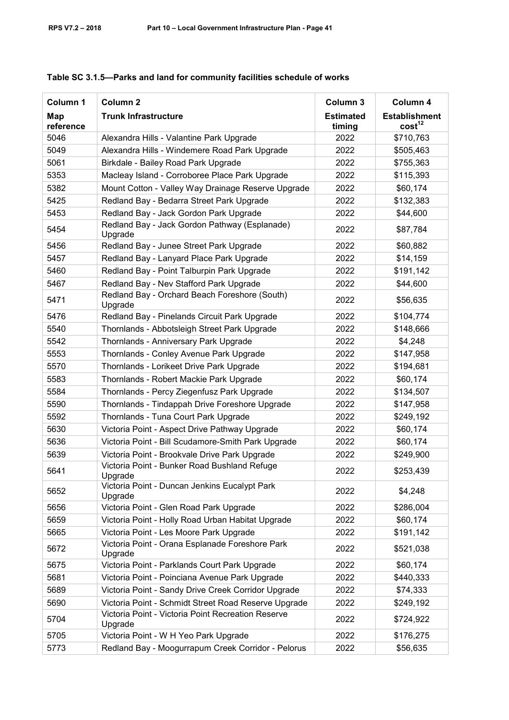| Column 1         | Column <sub>2</sub>                                           | Column 3                   | Column 4                                   |
|------------------|---------------------------------------------------------------|----------------------------|--------------------------------------------|
| Map<br>reference | <b>Trunk Infrastructure</b>                                   | <b>Estimated</b><br>timing | <b>Establishment</b><br>cost <sup>12</sup> |
| 5046             | Alexandra Hills - Valantine Park Upgrade                      | 2022                       | \$710,763                                  |
| 5049             | Alexandra Hills - Windemere Road Park Upgrade                 | 2022                       | \$505,463                                  |
| 5061             | Birkdale - Bailey Road Park Upgrade                           | 2022                       | \$755,363                                  |
| 5353             | Macleay Island - Corroboree Place Park Upgrade                | 2022                       | \$115,393                                  |
| 5382             | Mount Cotton - Valley Way Drainage Reserve Upgrade            | 2022                       | \$60,174                                   |
| 5425             | Redland Bay - Bedarra Street Park Upgrade                     | 2022                       | \$132,383                                  |
| 5453             | Redland Bay - Jack Gordon Park Upgrade                        | 2022                       | \$44,600                                   |
| 5454             | Redland Bay - Jack Gordon Pathway (Esplanade)<br>Upgrade      | 2022                       | \$87,784                                   |
| 5456             | Redland Bay - Junee Street Park Upgrade                       | 2022                       | \$60,882                                   |
| 5457             | Redland Bay - Lanyard Place Park Upgrade                      | 2022                       | \$14,159                                   |
| 5460             | Redland Bay - Point Talburpin Park Upgrade                    | 2022                       | \$191,142                                  |
| 5467             | Redland Bay - Nev Stafford Park Upgrade                       | 2022                       | \$44,600                                   |
| 5471             | Redland Bay - Orchard Beach Foreshore (South)<br>Upgrade      | 2022                       | \$56,635                                   |
| 5476             | Redland Bay - Pinelands Circuit Park Upgrade                  | 2022                       | \$104,774                                  |
| 5540             | Thornlands - Abbotsleigh Street Park Upgrade                  | 2022                       | \$148,666                                  |
| 5542             | Thornlands - Anniversary Park Upgrade                         | 2022                       | \$4,248                                    |
| 5553             | Thornlands - Conley Avenue Park Upgrade                       | 2022                       | \$147,958                                  |
| 5570             | Thornlands - Lorikeet Drive Park Upgrade                      | 2022                       | \$194,681                                  |
| 5583             | Thornlands - Robert Mackie Park Upgrade                       | 2022                       | \$60,174                                   |
| 5584             | Thornlands - Percy Ziegenfusz Park Upgrade                    | 2022                       | \$134,507                                  |
| 5590             | Thornlands - Tindappah Drive Foreshore Upgrade                | 2022                       | \$147,958                                  |
| 5592             | Thornlands - Tuna Court Park Upgrade                          | 2022                       | \$249,192                                  |
| 5630             | Victoria Point - Aspect Drive Pathway Upgrade                 | 2022                       | \$60,174                                   |
| 5636             | Victoria Point - Bill Scudamore-Smith Park Upgrade            | 2022                       | \$60,174                                   |
| 5639             | Victoria Point - Brookvale Drive Park Upgrade                 | 2022                       | \$249,900                                  |
| 5641             | Victoria Point - Bunker Road Bushland Refuge<br>Upgrade       | 2022                       | \$253,439                                  |
| 5652             | Victoria Point - Duncan Jenkins Eucalypt Park<br>Upgrade      | 2022                       | \$4,248                                    |
| 5656             | Victoria Point - Glen Road Park Upgrade                       | 2022                       | \$286,004                                  |
| 5659             | Victoria Point - Holly Road Urban Habitat Upgrade             | 2022                       | \$60,174                                   |
| 5665             | Victoria Point - Les Moore Park Upgrade                       | 2022                       | \$191,142                                  |
| 5672             | Victoria Point - Orana Esplanade Foreshore Park<br>Upgrade    | 2022                       | \$521,038                                  |
| 5675             | Victoria Point - Parklands Court Park Upgrade                 | 2022                       | \$60,174                                   |
| 5681             | Victoria Point - Poinciana Avenue Park Upgrade                | 2022                       | \$440,333                                  |
| 5689             | Victoria Point - Sandy Drive Creek Corridor Upgrade           | 2022                       | \$74,333                                   |
| 5690             | Victoria Point - Schmidt Street Road Reserve Upgrade          | 2022                       | \$249,192                                  |
| 5704             | Victoria Point - Victoria Point Recreation Reserve<br>Upgrade | 2022                       | \$724,922                                  |
| 5705             | Victoria Point - W H Yeo Park Upgrade                         | 2022                       | \$176,275                                  |
| 5773             | Redland Bay - Moogurrapum Creek Corridor - Pelorus            | 2022                       | \$56,635                                   |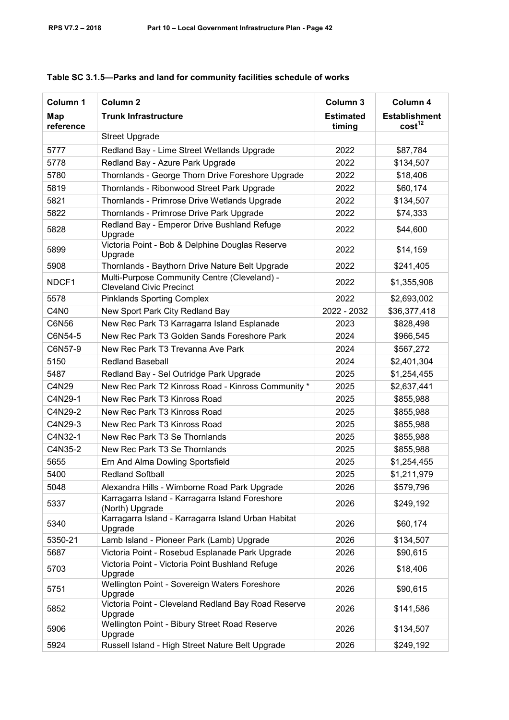| Column 1         | Column <sub>2</sub>                                                             | Column 3                   | Column 4                                   |
|------------------|---------------------------------------------------------------------------------|----------------------------|--------------------------------------------|
| Map<br>reference | <b>Trunk Infrastructure</b>                                                     | <b>Estimated</b><br>timing | <b>Establishment</b><br>cost <sup>12</sup> |
|                  | <b>Street Upgrade</b>                                                           |                            |                                            |
| 5777             | Redland Bay - Lime Street Wetlands Upgrade                                      | 2022                       | \$87,784                                   |
| 5778             | Redland Bay - Azure Park Upgrade                                                | 2022                       | \$134,507                                  |
| 5780             | Thornlands - George Thorn Drive Foreshore Upgrade                               | 2022                       | \$18,406                                   |
| 5819             | Thornlands - Ribonwood Street Park Upgrade                                      | 2022                       | \$60,174                                   |
| 5821             | Thornlands - Primrose Drive Wetlands Upgrade                                    | 2022                       | \$134,507                                  |
| 5822             | Thornlands - Primrose Drive Park Upgrade                                        | 2022                       | \$74,333                                   |
| 5828             | Redland Bay - Emperor Drive Bushland Refuge<br>Upgrade                          | 2022                       | \$44,600                                   |
| 5899             | Victoria Point - Bob & Delphine Douglas Reserve<br>Upgrade                      | 2022                       | \$14,159                                   |
| 5908             | Thornlands - Baythorn Drive Nature Belt Upgrade                                 | 2022                       | \$241,405                                  |
| NDCF1            | Multi-Purpose Community Centre (Cleveland) -<br><b>Cleveland Civic Precinct</b> | 2022                       | \$1,355,908                                |
| 5578             | <b>Pinklands Sporting Complex</b>                                               | 2022                       | \$2,693,002                                |
| C4N <sub>0</sub> | New Sport Park City Redland Bay                                                 | 2022 - 2032                | \$36,377,418                               |
| C6N56            | New Rec Park T3 Karragarra Island Esplanade                                     | 2023                       | \$828,498                                  |
| C6N54-5          | New Rec Park T3 Golden Sands Foreshore Park                                     | 2024                       | \$966,545                                  |
| C6N57-9          | New Rec Park T3 Trevanna Ave Park                                               | 2024                       | \$567,272                                  |
| 5150             | <b>Redland Baseball</b>                                                         | 2024                       | \$2,401,304                                |
| 5487             | Redland Bay - Sel Outridge Park Upgrade                                         | 2025                       | \$1,254,455                                |
| C4N29            | New Rec Park T2 Kinross Road - Kinross Community *                              | 2025                       | \$2,637,441                                |
| C4N29-1          | New Rec Park T3 Kinross Road                                                    | 2025                       | \$855,988                                  |
| C4N29-2          | New Rec Park T3 Kinross Road                                                    | 2025                       | \$855,988                                  |
| C4N29-3          | New Rec Park T3 Kinross Road                                                    | 2025                       | \$855,988                                  |
| C4N32-1          | New Rec Park T3 Se Thornlands                                                   | 2025                       | \$855,988                                  |
| C4N35-2          | New Rec Park T3 Se Thornlands                                                   | 2025                       | \$855,988                                  |
| 5655             | Ern And Alma Dowling Sportsfield                                                | 2025                       | \$1,254,455                                |
| 5400             | Redland Softball                                                                | 2025                       | \$1,211,979                                |
| 5048             | Alexandra Hills - Wimborne Road Park Upgrade                                    | 2026                       | \$579,796                                  |
| 5337             | Karragarra Island - Karragarra Island Foreshore<br>(North) Upgrade              | 2026                       | \$249,192                                  |
| 5340             | Karragarra Island - Karragarra Island Urban Habitat<br>Upgrade                  | 2026                       | \$60,174                                   |
| 5350-21          | Lamb Island - Pioneer Park (Lamb) Upgrade                                       | 2026                       | \$134,507                                  |
| 5687             | Victoria Point - Rosebud Esplanade Park Upgrade                                 | 2026                       | \$90,615                                   |
| 5703             | Victoria Point - Victoria Point Bushland Refuge<br>Upgrade                      | 2026                       | \$18,406                                   |
| 5751             | Wellington Point - Sovereign Waters Foreshore<br>Upgrade                        | 2026                       | \$90,615                                   |
| 5852             | Victoria Point - Cleveland Redland Bay Road Reserve<br>Upgrade                  | 2026                       | \$141,586                                  |
| 5906             | Wellington Point - Bibury Street Road Reserve<br>Upgrade                        | 2026                       | \$134,507                                  |
| 5924             | Russell Island - High Street Nature Belt Upgrade                                | 2026                       | \$249,192                                  |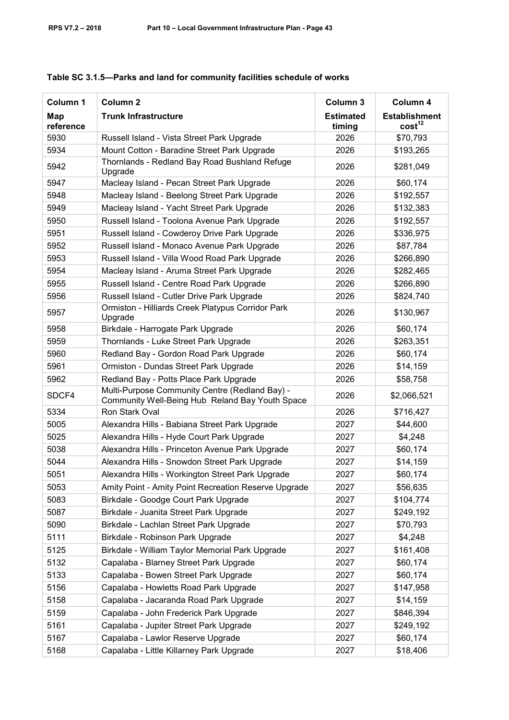| Column 1         | Column <sub>2</sub>                                                                               | Column 3                   | Column 4                                   |
|------------------|---------------------------------------------------------------------------------------------------|----------------------------|--------------------------------------------|
| Map<br>reference | <b>Trunk Infrastructure</b>                                                                       | <b>Estimated</b><br>timing | <b>Establishment</b><br>cost <sup>12</sup> |
| 5930             | Russell Island - Vista Street Park Upgrade                                                        | 2026                       | \$70,793                                   |
| 5934             | Mount Cotton - Baradine Street Park Upgrade                                                       | 2026                       | \$193,265                                  |
| 5942             | Thornlands - Redland Bay Road Bushland Refuge<br>Upgrade                                          | 2026                       | \$281,049                                  |
| 5947             | Macleay Island - Pecan Street Park Upgrade                                                        | 2026                       | \$60,174                                   |
| 5948             | Macleay Island - Beelong Street Park Upgrade                                                      | 2026                       | \$192,557                                  |
| 5949             | Macleay Island - Yacht Street Park Upgrade                                                        | 2026                       | \$132,383                                  |
| 5950             | Russell Island - Toolona Avenue Park Upgrade                                                      | 2026                       | \$192,557                                  |
| 5951             | Russell Island - Cowderoy Drive Park Upgrade                                                      | 2026                       | \$336,975                                  |
| 5952             | Russell Island - Monaco Avenue Park Upgrade                                                       | 2026                       | \$87,784                                   |
| 5953             | Russell Island - Villa Wood Road Park Upgrade                                                     | 2026                       | \$266,890                                  |
| 5954             | Macleay Island - Aruma Street Park Upgrade                                                        | 2026                       | \$282,465                                  |
| 5955             | Russell Island - Centre Road Park Upgrade                                                         | 2026                       | \$266,890                                  |
| 5956             | Russell Island - Cutler Drive Park Upgrade                                                        | 2026                       | \$824,740                                  |
| 5957             | Ormiston - Hilliards Creek Platypus Corridor Park<br>Upgrade                                      | 2026                       | \$130,967                                  |
| 5958             | Birkdale - Harrogate Park Upgrade                                                                 | 2026                       | \$60,174                                   |
| 5959             | Thornlands - Luke Street Park Upgrade                                                             | 2026                       | \$263,351                                  |
| 5960             | Redland Bay - Gordon Road Park Upgrade                                                            | 2026                       | \$60,174                                   |
| 5961             | Ormiston - Dundas Street Park Upgrade                                                             | 2026                       | \$14,159                                   |
| 5962             | Redland Bay - Potts Place Park Upgrade                                                            | 2026                       | \$58,758                                   |
| SDCF4            | Multi-Purpose Community Centre (Redland Bay) -<br>Community Well-Being Hub Reland Bay Youth Space | 2026                       | \$2,066,521                                |
| 5334             | Ron Stark Oval                                                                                    | 2026                       | \$716,427                                  |
| 5005             | Alexandra Hills - Babiana Street Park Upgrade                                                     | 2027                       | \$44,600                                   |
| 5025             | Alexandra Hills - Hyde Court Park Upgrade                                                         | 2027                       | \$4,248                                    |
| 5038             | Alexandra Hills - Princeton Avenue Park Upgrade                                                   | 2027                       | \$60,174                                   |
| 5044             | Alexandra Hills - Snowdon Street Park Upgrade                                                     | 2027                       | \$14,159                                   |
| 5051             | Alexandra Hills - Workington Street Park Upgrade                                                  | 2027                       | \$60,174                                   |
| 5053             | Amity Point - Amity Point Recreation Reserve Upgrade                                              | 2027                       | \$56,635                                   |
| 5083             | Birkdale - Goodge Court Park Upgrade                                                              | 2027                       | \$104,774                                  |
| 5087             | Birkdale - Juanita Street Park Upgrade                                                            | 2027                       | \$249,192                                  |
| 5090             | Birkdale - Lachlan Street Park Upgrade                                                            | 2027                       | \$70,793                                   |
| 5111             | Birkdale - Robinson Park Upgrade                                                                  | 2027                       | \$4,248                                    |
| 5125             | Birkdale - William Taylor Memorial Park Upgrade                                                   | 2027                       | \$161,408                                  |
| 5132             | Capalaba - Blarney Street Park Upgrade                                                            | 2027                       | \$60,174                                   |
| 5133             | Capalaba - Bowen Street Park Upgrade                                                              | 2027                       | \$60,174                                   |
| 5156             | Capalaba - Howletts Road Park Upgrade                                                             | 2027                       | \$147,958                                  |
| 5158             | Capalaba - Jacaranda Road Park Upgrade                                                            | 2027                       | \$14,159                                   |
| 5159             | Capalaba - John Frederick Park Upgrade                                                            | 2027                       | \$846,394                                  |
| 5161             | Capalaba - Jupiter Street Park Upgrade                                                            | 2027                       | \$249,192                                  |
| 5167             | Capalaba - Lawlor Reserve Upgrade                                                                 | 2027                       | \$60,174                                   |
| 5168             | Capalaba - Little Killarney Park Upgrade                                                          | 2027                       | \$18,406                                   |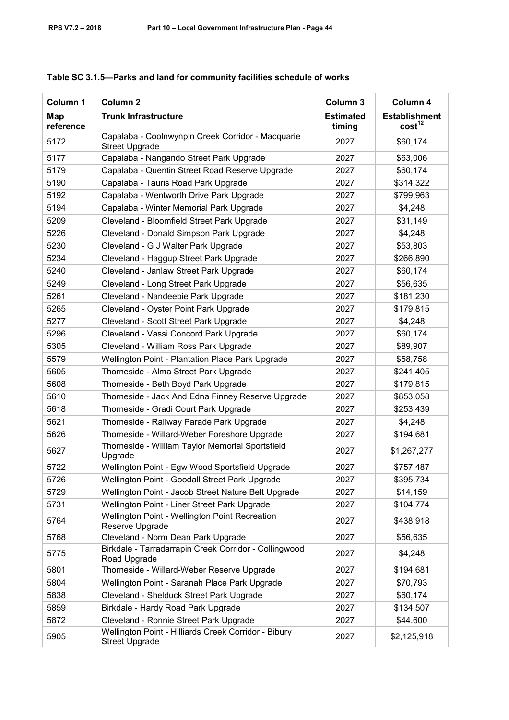| Column 1         | Column <sub>2</sub>                                                           | Column 3                   | Column 4                                   |
|------------------|-------------------------------------------------------------------------------|----------------------------|--------------------------------------------|
| Map<br>reference | <b>Trunk Infrastructure</b>                                                   | <b>Estimated</b><br>timing | <b>Establishment</b><br>cost <sup>12</sup> |
| 5172             | Capalaba - Coolnwynpin Creek Corridor - Macquarie<br><b>Street Upgrade</b>    | 2027                       | \$60,174                                   |
| 5177             | Capalaba - Nangando Street Park Upgrade                                       | 2027                       | \$63,006                                   |
| 5179             | Capalaba - Quentin Street Road Reserve Upgrade                                | 2027                       | \$60,174                                   |
| 5190             | Capalaba - Tauris Road Park Upgrade                                           | 2027                       | \$314,322                                  |
| 5192             | Capalaba - Wentworth Drive Park Upgrade                                       | 2027                       | \$799,963                                  |
| 5194             | Capalaba - Winter Memorial Park Upgrade                                       | 2027                       | \$4,248                                    |
| 5209             | Cleveland - Bloomfield Street Park Upgrade                                    | 2027                       | \$31,149                                   |
| 5226             | Cleveland - Donald Simpson Park Upgrade                                       | 2027                       | \$4,248                                    |
| 5230             | Cleveland - G J Walter Park Upgrade                                           | 2027                       | \$53,803                                   |
| 5234             | Cleveland - Haggup Street Park Upgrade                                        | 2027                       | \$266,890                                  |
| 5240             | Cleveland - Janlaw Street Park Upgrade                                        | 2027                       | \$60,174                                   |
| 5249             | Cleveland - Long Street Park Upgrade                                          | 2027                       | \$56,635                                   |
| 5261             | Cleveland - Nandeebie Park Upgrade                                            | 2027                       | \$181,230                                  |
| 5265             | Cleveland - Oyster Point Park Upgrade                                         | 2027                       | \$179,815                                  |
| 5277             | Cleveland - Scott Street Park Upgrade                                         | 2027                       | \$4,248                                    |
| 5296             | Cleveland - Vassi Concord Park Upgrade                                        | 2027                       | \$60,174                                   |
| 5305             | Cleveland - William Ross Park Upgrade                                         | 2027                       | \$89,907                                   |
| 5579             | <b>Wellington Point - Plantation Place Park Upgrade</b>                       | 2027                       | \$58,758                                   |
| 5605             | Thorneside - Alma Street Park Upgrade                                         | 2027                       | \$241,405                                  |
| 5608             | Thorneside - Beth Boyd Park Upgrade                                           | 2027                       | \$179,815                                  |
| 5610             | Thorneside - Jack And Edna Finney Reserve Upgrade                             | 2027                       | \$853,058                                  |
| 5618             | Thorneside - Gradi Court Park Upgrade                                         | 2027                       | \$253,439                                  |
| 5621             | Thorneside - Railway Parade Park Upgrade                                      | 2027                       | \$4,248                                    |
| 5626             | Thorneside - Willard-Weber Foreshore Upgrade                                  | 2027                       | \$194,681                                  |
| 5627             | Thorneside - William Taylor Memorial Sportsfield<br>Upgrade                   | 2027                       | \$1,267,277                                |
| 5722             | Wellington Point - Egw Wood Sportsfield Upgrade                               | 2027                       | \$757,487                                  |
| 5726             | Wellington Point - Goodall Street Park Upgrade                                | 2027                       | \$395,734                                  |
| 5729             | Wellington Point - Jacob Street Nature Belt Upgrade                           | 2027                       | \$14,159                                   |
| 5731             | Wellington Point - Liner Street Park Upgrade                                  | 2027                       | \$104,774                                  |
| 5764             | Wellington Point - Wellington Point Recreation<br>Reserve Upgrade             | 2027                       | \$438,918                                  |
| 5768             | Cleveland - Norm Dean Park Upgrade                                            | 2027                       | \$56,635                                   |
| 5775             | Birkdale - Tarradarrapin Creek Corridor - Collingwood<br>Road Upgrade         | 2027                       | \$4,248                                    |
| 5801             | Thorneside - Willard-Weber Reserve Upgrade                                    | 2027                       | \$194,681                                  |
| 5804             | Wellington Point - Saranah Place Park Upgrade                                 | 2027                       | \$70,793                                   |
| 5838             | Cleveland - Shelduck Street Park Upgrade                                      | 2027                       | \$60,174                                   |
| 5859             | Birkdale - Hardy Road Park Upgrade                                            | 2027                       | \$134,507                                  |
| 5872             | Cleveland - Ronnie Street Park Upgrade                                        | 2027                       | \$44,600                                   |
| 5905             | Wellington Point - Hilliards Creek Corridor - Bibury<br><b>Street Upgrade</b> | 2027                       | \$2,125,918                                |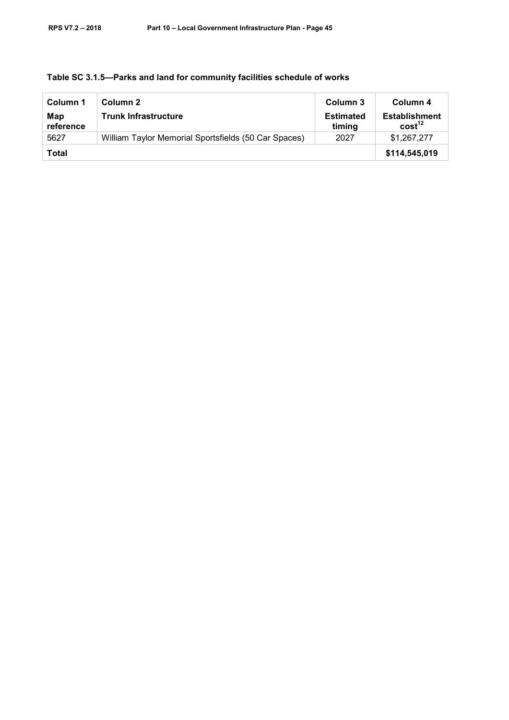| Column 1         | Column 2                                             | Column 3                   | Column 4                                   |
|------------------|------------------------------------------------------|----------------------------|--------------------------------------------|
| Map<br>reference | <b>Trunk Infrastructure</b>                          | <b>Estimated</b><br>timing | <b>Establishment</b><br>cost <sup>12</sup> |
| 5627             | William Taylor Memorial Sportsfields (50 Car Spaces) | 2027                       | \$1.267.277                                |
| <b>Total</b>     |                                                      |                            | \$114,545,019                              |